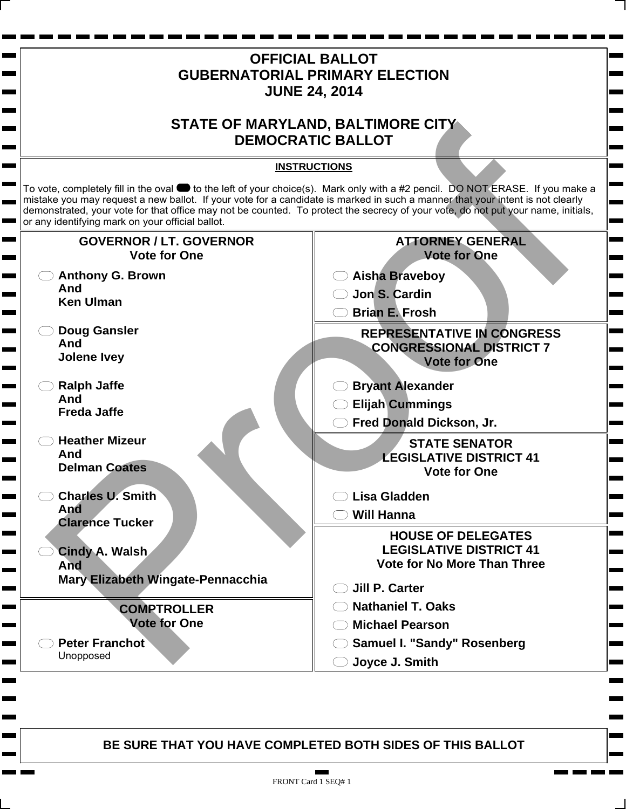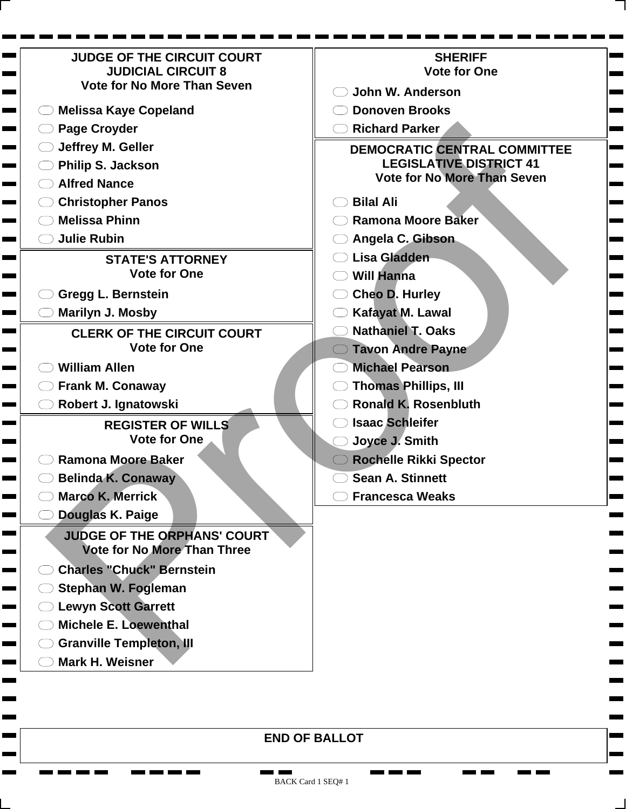| <b>JUDGE OF THE CIRCUIT COURT</b><br><b>JUDICIAL CIRCUIT 8</b><br><b>Vote for No More Than Seven</b><br><b>Melissa Kaye Copeland</b><br><b>Page Croyder</b><br>Jeffrey M. Geller<br><b>Philip S. Jackson</b><br><b>Alfred Nance</b><br><b>Christopher Panos</b><br><b>Melissa Phinn</b><br><b>Julie Rubin</b><br><b>STATE'S ATTORNEY</b><br><b>Vote for One</b> | <b>SHERIFF</b><br><b>Vote for One</b><br>John W. Anderson<br><b>Donoven Brooks</b><br><b>Richard Parker</b><br><b>DEMOCRATIC CENTRAL COMMITTEE</b><br><b>LEGISLATIVE DISTRICT 41</b><br><b>Vote for No More Than Seven</b><br><b>Bilal Ali</b><br><b>Ramona Moore Baker</b><br>Angela C. Gibson<br><b>Lisa Gladden</b> |
|-----------------------------------------------------------------------------------------------------------------------------------------------------------------------------------------------------------------------------------------------------------------------------------------------------------------------------------------------------------------|------------------------------------------------------------------------------------------------------------------------------------------------------------------------------------------------------------------------------------------------------------------------------------------------------------------------|
|                                                                                                                                                                                                                                                                                                                                                                 |                                                                                                                                                                                                                                                                                                                        |
|                                                                                                                                                                                                                                                                                                                                                                 |                                                                                                                                                                                                                                                                                                                        |
|                                                                                                                                                                                                                                                                                                                                                                 |                                                                                                                                                                                                                                                                                                                        |
|                                                                                                                                                                                                                                                                                                                                                                 |                                                                                                                                                                                                                                                                                                                        |
|                                                                                                                                                                                                                                                                                                                                                                 |                                                                                                                                                                                                                                                                                                                        |
|                                                                                                                                                                                                                                                                                                                                                                 |                                                                                                                                                                                                                                                                                                                        |
|                                                                                                                                                                                                                                                                                                                                                                 |                                                                                                                                                                                                                                                                                                                        |
|                                                                                                                                                                                                                                                                                                                                                                 |                                                                                                                                                                                                                                                                                                                        |
|                                                                                                                                                                                                                                                                                                                                                                 |                                                                                                                                                                                                                                                                                                                        |
|                                                                                                                                                                                                                                                                                                                                                                 |                                                                                                                                                                                                                                                                                                                        |
|                                                                                                                                                                                                                                                                                                                                                                 |                                                                                                                                                                                                                                                                                                                        |
|                                                                                                                                                                                                                                                                                                                                                                 |                                                                                                                                                                                                                                                                                                                        |
|                                                                                                                                                                                                                                                                                                                                                                 | <b>Will Hanna</b>                                                                                                                                                                                                                                                                                                      |
| <b>Gregg L. Bernstein</b>                                                                                                                                                                                                                                                                                                                                       | <b>Cheo D. Hurley</b>                                                                                                                                                                                                                                                                                                  |
| <b>Marilyn J. Mosby</b>                                                                                                                                                                                                                                                                                                                                         | Kafayat M. Lawal                                                                                                                                                                                                                                                                                                       |
| <b>CLERK OF THE CIRCUIT COURT</b>                                                                                                                                                                                                                                                                                                                               | <b>Nathaniel T. Oaks</b>                                                                                                                                                                                                                                                                                               |
| <b>Vote for One</b>                                                                                                                                                                                                                                                                                                                                             | <b>Tavon Andre Payne</b>                                                                                                                                                                                                                                                                                               |
| <b>William Allen</b>                                                                                                                                                                                                                                                                                                                                            | <b>Michael Pearson</b>                                                                                                                                                                                                                                                                                                 |
| <b>Frank M. Conaway</b>                                                                                                                                                                                                                                                                                                                                         | <b>Thomas Phillips, III</b>                                                                                                                                                                                                                                                                                            |
| Robert J. Ignatowski                                                                                                                                                                                                                                                                                                                                            | <b>Ronald K. Rosenbluth</b>                                                                                                                                                                                                                                                                                            |
| <b>REGISTER OF WILLS</b>                                                                                                                                                                                                                                                                                                                                        | <b>Isaac Schleifer</b>                                                                                                                                                                                                                                                                                                 |
| <b>Vote for One</b>                                                                                                                                                                                                                                                                                                                                             | Joyce J. Smith                                                                                                                                                                                                                                                                                                         |
| <b>Ramona Moore Baker</b>                                                                                                                                                                                                                                                                                                                                       | <b>Rochelle Rikki Spector</b>                                                                                                                                                                                                                                                                                          |
| <b>Belinda K. Conaway</b>                                                                                                                                                                                                                                                                                                                                       | <b>Sean A. Stinnett</b>                                                                                                                                                                                                                                                                                                |
| <b>Marco K. Merrick</b>                                                                                                                                                                                                                                                                                                                                         | <b>Francesca Weaks</b>                                                                                                                                                                                                                                                                                                 |
| Douglas K. Paige                                                                                                                                                                                                                                                                                                                                                |                                                                                                                                                                                                                                                                                                                        |
| <b>JUDGE OF THE ORPHANS' COURT</b>                                                                                                                                                                                                                                                                                                                              |                                                                                                                                                                                                                                                                                                                        |
| <b>Vote for No More Than Three</b>                                                                                                                                                                                                                                                                                                                              |                                                                                                                                                                                                                                                                                                                        |
| <b>Charles "Chuck" Bernstein</b>                                                                                                                                                                                                                                                                                                                                |                                                                                                                                                                                                                                                                                                                        |
| Stephan W. Fogleman                                                                                                                                                                                                                                                                                                                                             |                                                                                                                                                                                                                                                                                                                        |
| <b>Lewyn Scott Garrett</b>                                                                                                                                                                                                                                                                                                                                      |                                                                                                                                                                                                                                                                                                                        |
| <b>Michele E. Loewenthal</b>                                                                                                                                                                                                                                                                                                                                    |                                                                                                                                                                                                                                                                                                                        |
| <b>Granville Templeton, Ill</b>                                                                                                                                                                                                                                                                                                                                 |                                                                                                                                                                                                                                                                                                                        |
| <b>Mark H. Weisner</b>                                                                                                                                                                                                                                                                                                                                          |                                                                                                                                                                                                                                                                                                                        |

**COLOR** 

 $\Box$ 

 $\blacksquare$ 

 $\mathbf{r}$ 

**END OF BALLOT**

 $\mathbf{r}$  and  $\mathbf{r}$  and  $\mathbf{r}$ 

**CONTRACTOR** 

<u>ran ma</u>

 $\blacksquare$ 

 $\mathbf{r}$ 

**The Second** 

**The Second** 

 $\mathbf{r}$ 

п

٠

**CONTRACTOR** 

<u>ran karajaran mengangkan pada anak atau salah sahi</u>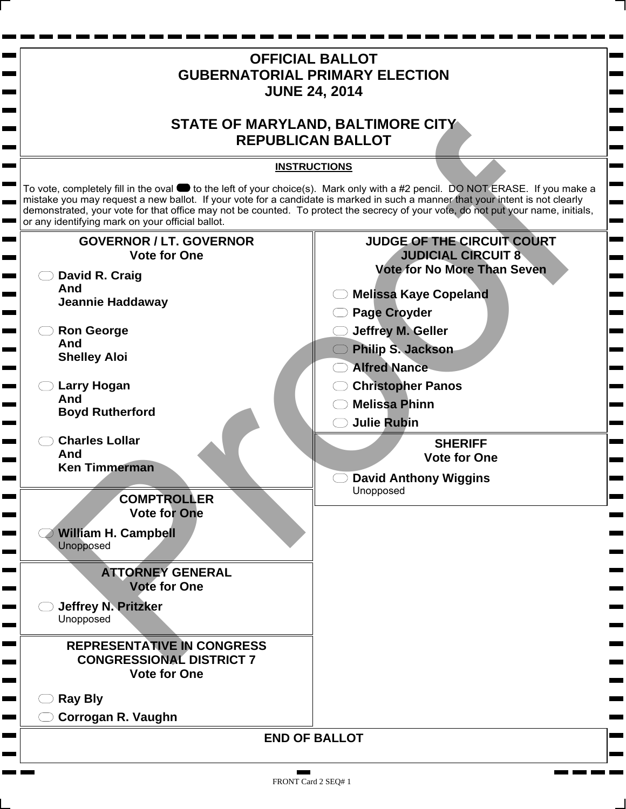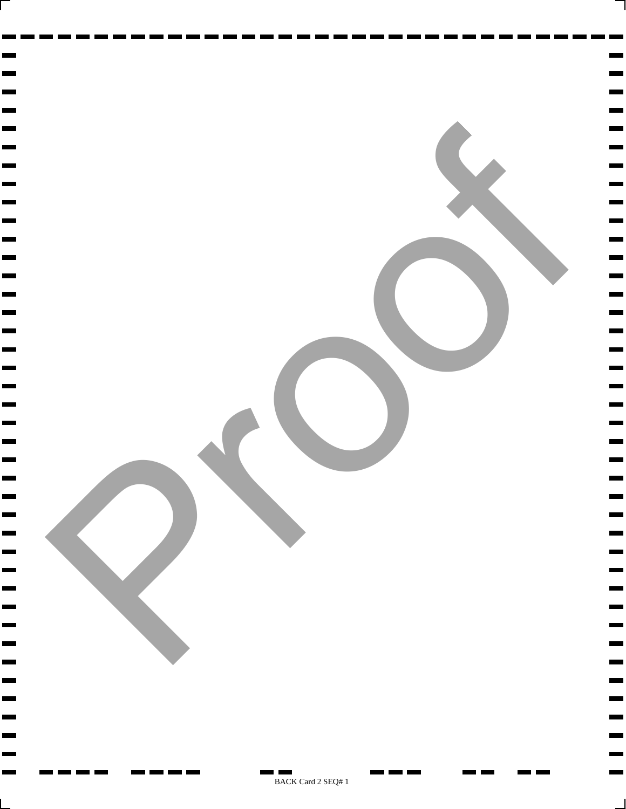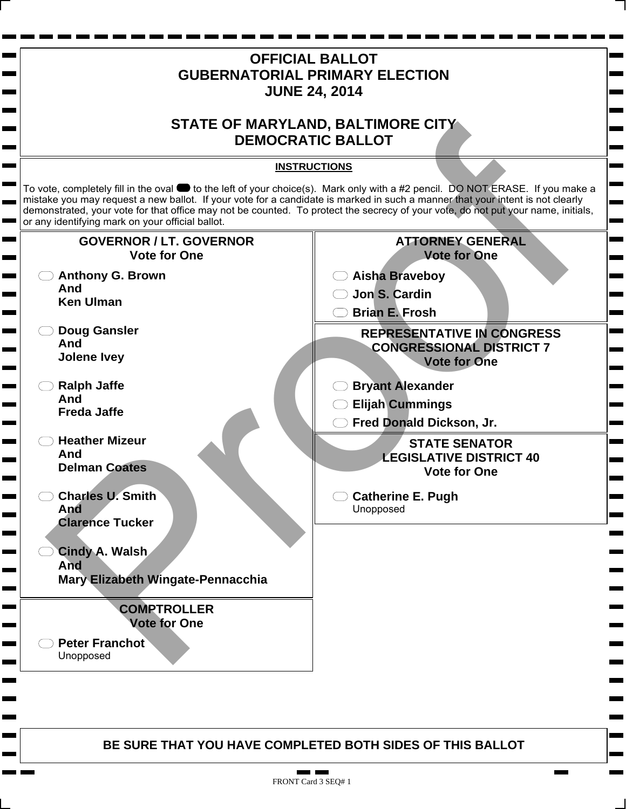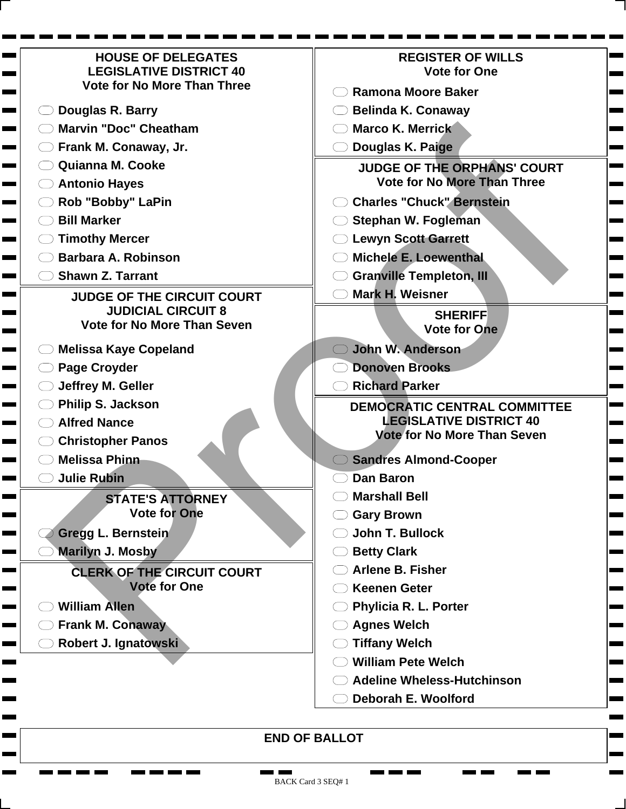

BACK Card 3 SEQ# 1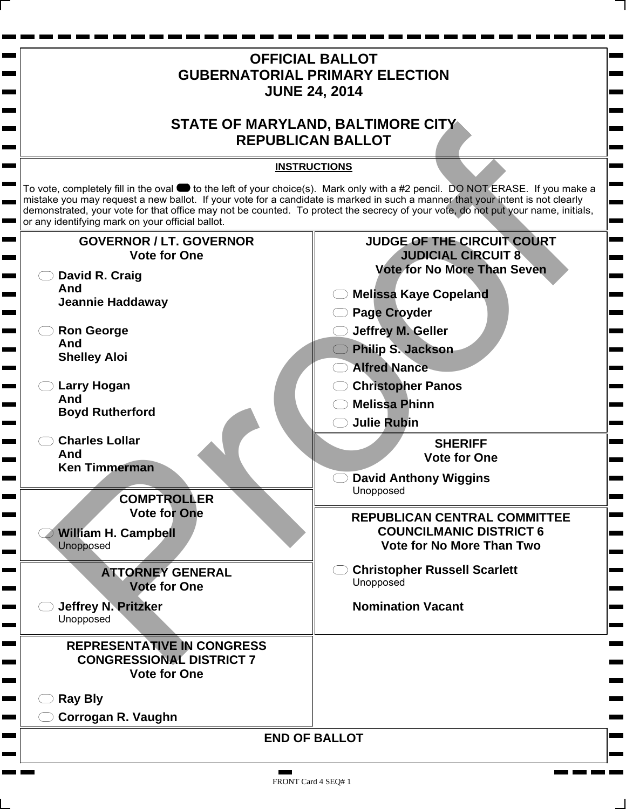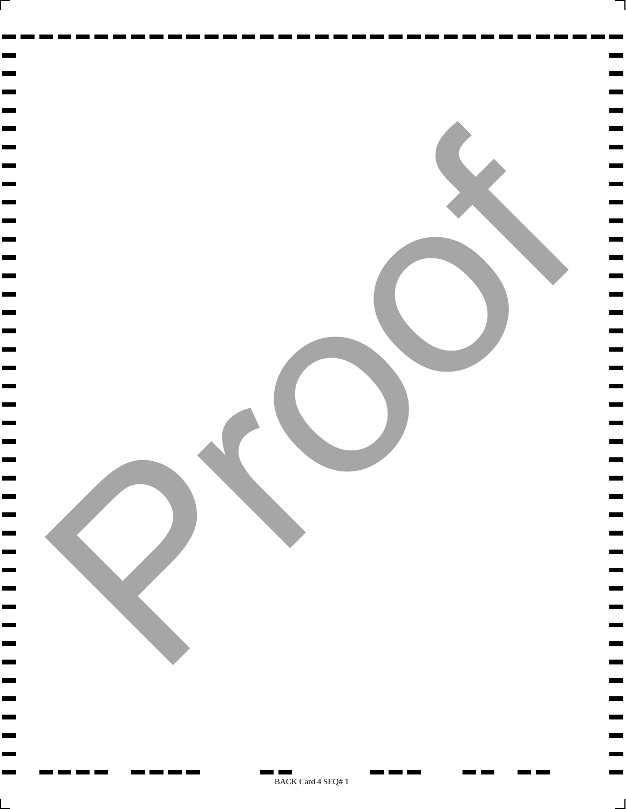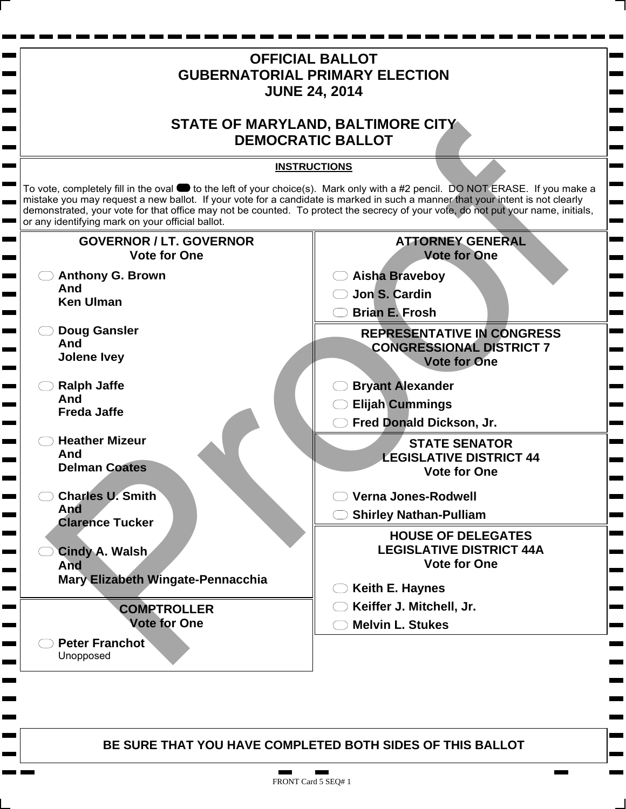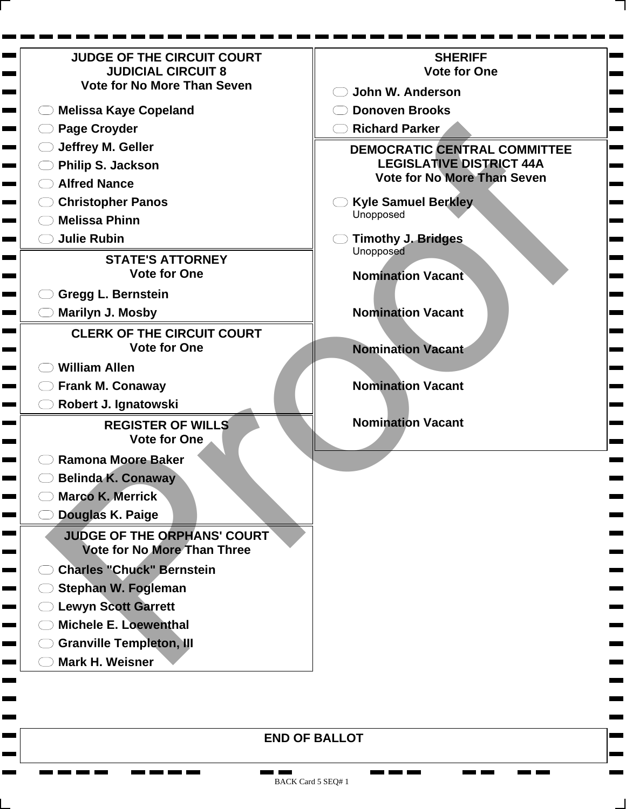| <b>JUDGE OF THE CIRCUIT COURT</b><br><b>JUDICIAL CIRCUIT 8</b>           | <b>SHERIFF</b><br><b>Vote for One</b> |
|--------------------------------------------------------------------------|---------------------------------------|
| <b>Vote for No More Than Seven</b>                                       | John W. Anderson                      |
| <b>Melissa Kaye Copeland</b>                                             | <b>Donoven Brooks</b>                 |
| <b>Page Croyder</b>                                                      | <b>Richard Parker</b>                 |
| Jeffrey M. Geller                                                        | DEMOCRATIC CENTRAL COMMITTEE          |
| <b>Philip S. Jackson</b>                                                 | <b>LEGISLATIVE DISTRICT 44A</b>       |
| <b>Alfred Nance</b>                                                      | <b>Vote for No More Than Seven</b>    |
| <b>Christopher Panos</b>                                                 | <b>Kyle Samuel Berkley</b>            |
| <b>Melissa Phinn</b>                                                     | Unopposed                             |
| <b>Julie Rubin</b>                                                       | <b>Timothy J. Bridges</b>             |
| <b>STATE'S ATTORNEY</b>                                                  | Unopposed                             |
| <b>Vote for One</b>                                                      | <b>Nomination Vacant</b>              |
| <b>Gregg L. Bernstein</b>                                                |                                       |
| Marilyn J. Mosby                                                         | <b>Nomination Vacant</b>              |
| <b>CLERK OF THE CIRCUIT COURT</b>                                        |                                       |
| <b>Vote for One</b>                                                      | <b>Nomination Vacant</b>              |
| <b>William Allen</b>                                                     |                                       |
| <b>Frank M. Conaway</b>                                                  | <b>Nomination Vacant</b>              |
| Robert J. Ignatowski                                                     |                                       |
| <b>REGISTER OF WILLS</b>                                                 | <b>Nomination Vacant</b>              |
| <b>Vote for One</b>                                                      |                                       |
| <b>Ramona Moore Baker</b>                                                |                                       |
| <b>Belinda K. Conaway</b>                                                |                                       |
| <b>Marco K. Merrick</b>                                                  |                                       |
| Douglas K. Paige                                                         |                                       |
| <b>JUDGE OF THE ORPHANS' COURT</b><br><b>Vote for No More Than Three</b> |                                       |
| <b>Charles "Chuck" Bernstein</b>                                         |                                       |
| Stephan W. Fogleman                                                      |                                       |
| <b>Lewyn Scott Garrett</b>                                               |                                       |
| Michele E. Loewenthal                                                    |                                       |
| <b>Granville Templeton, III</b>                                          |                                       |
|                                                                          |                                       |

**The Second The State** 

**The Second** 

**END OF BALLOT**

<u>the first term</u>

**THE REAL** 

**CONTRACT The Contract of Contract of Contract of Contract of Contract of Contract of Contract o** 

 $\blacksquare$ 

ь ٠

> **The Co The Co Contract**

**The Common**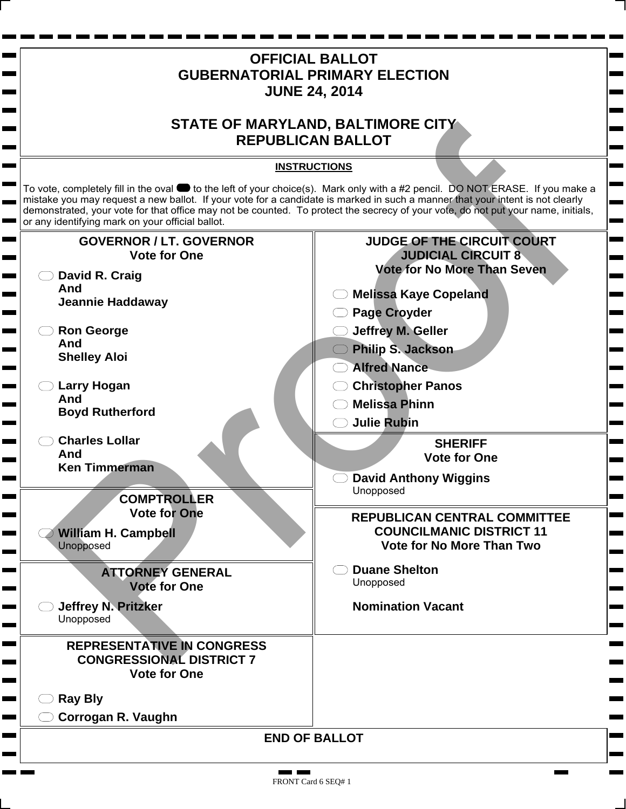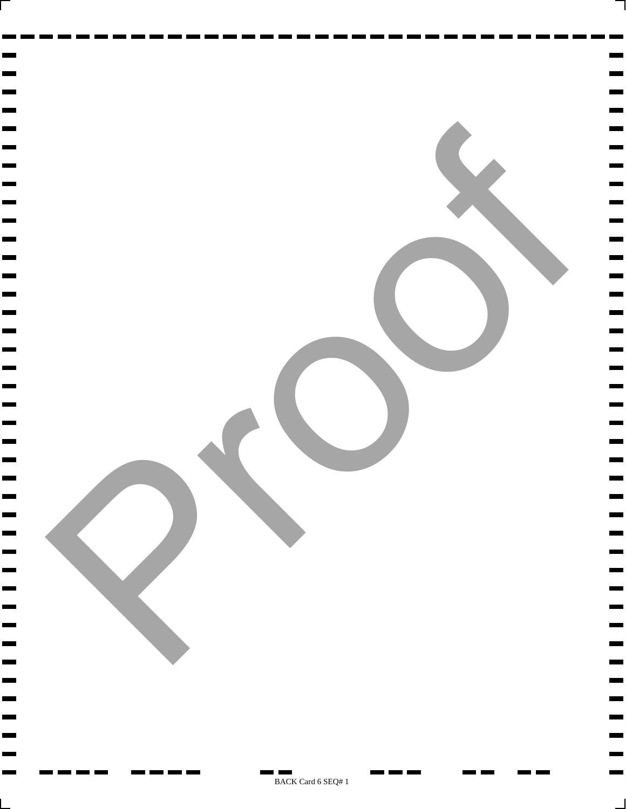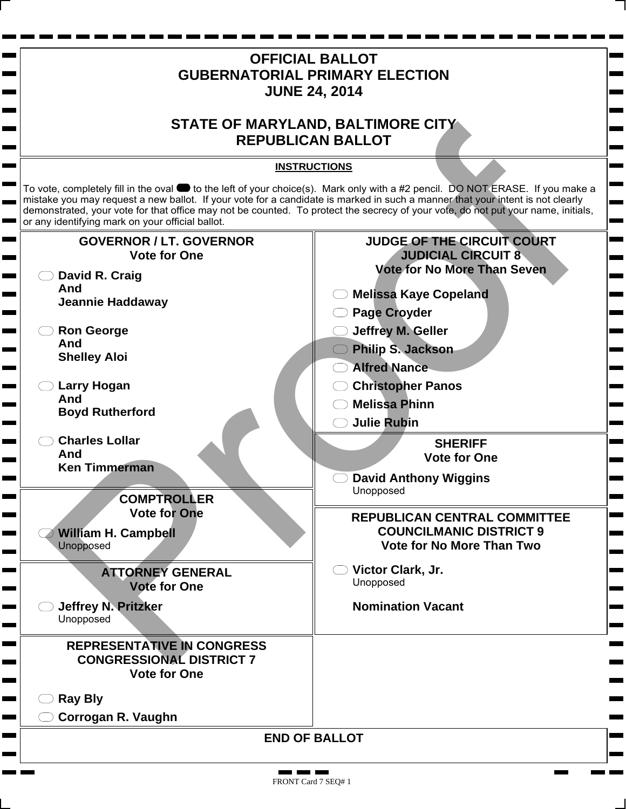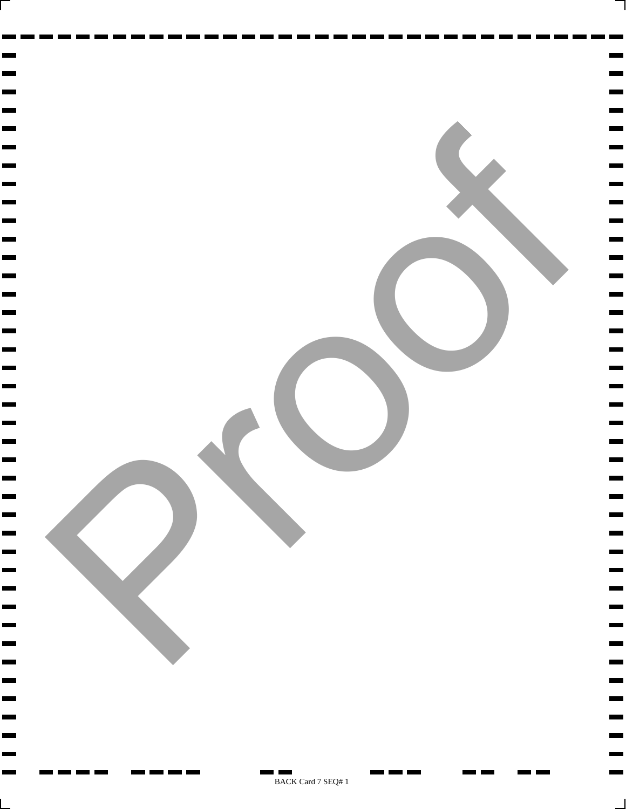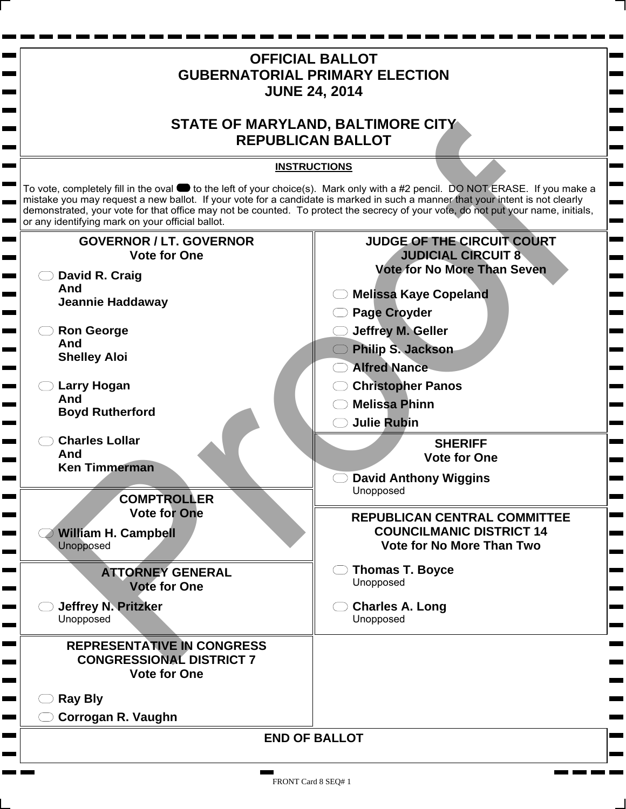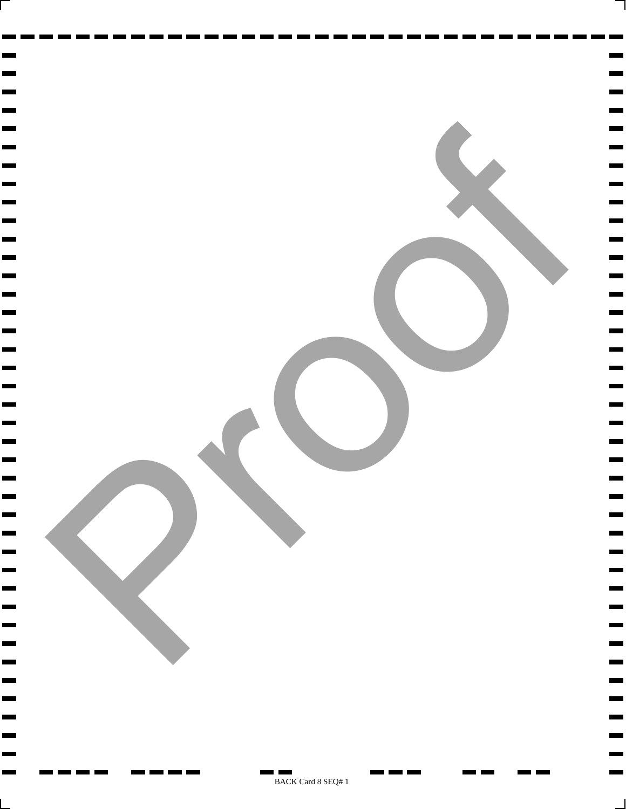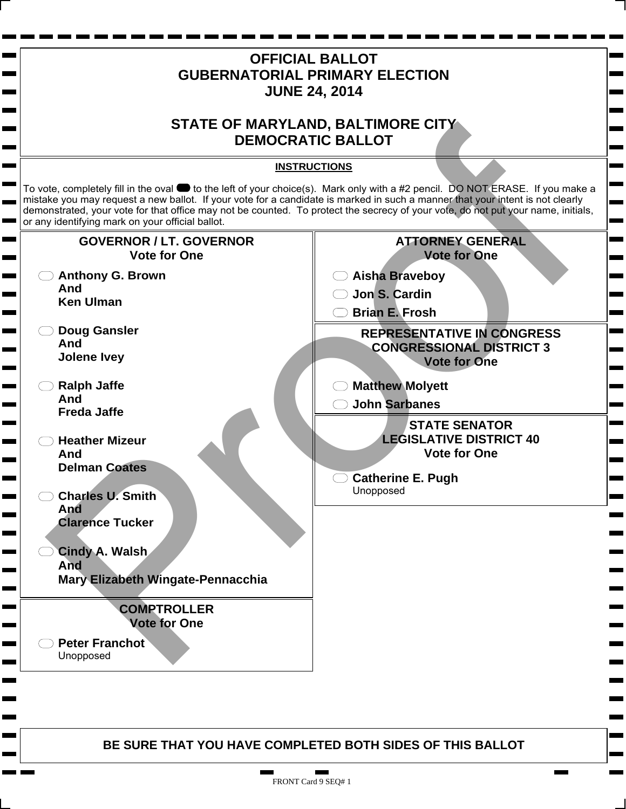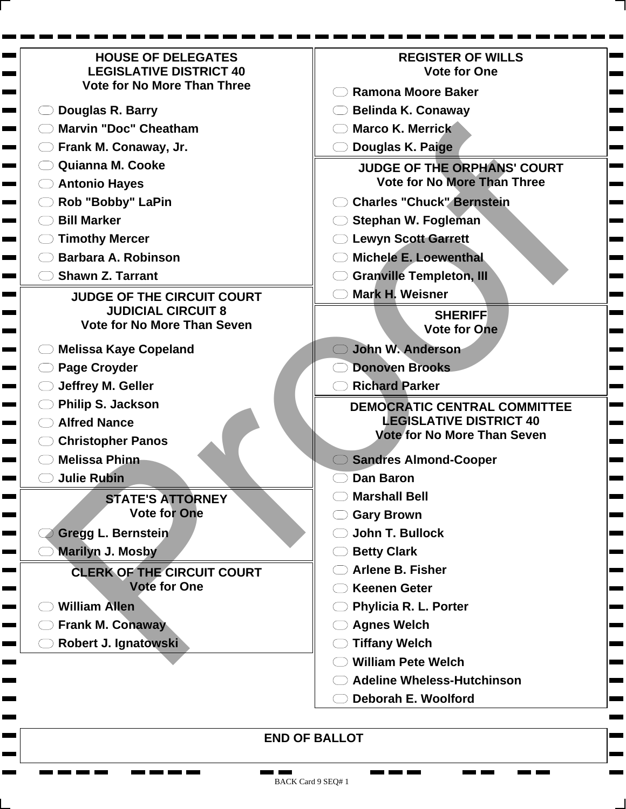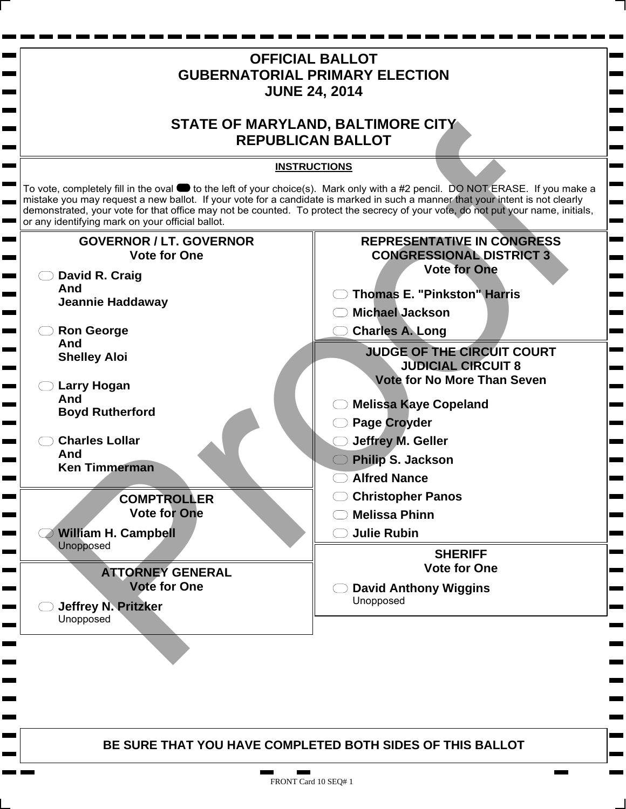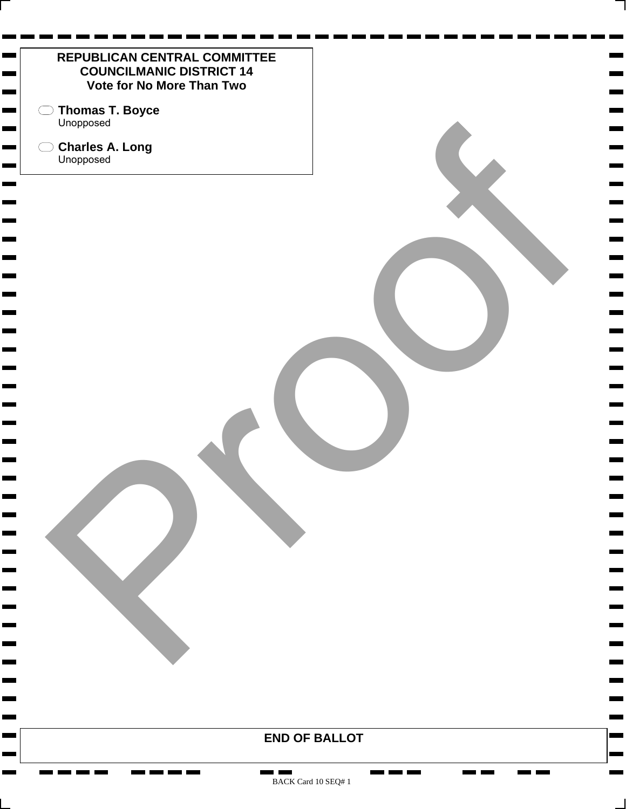| REPUBLICAN CENTRAL COMMITTEE<br><b>COUNCILMANIC DISTRICT 14</b><br>$\sim 100$<br>Vote for No More Than Two<br>$\overline{\phantom{a}}$<br>◯ Thomas T. Boyce<br>Unopposed<br><b>Contract</b><br>$\sim$<br><b>Charles A. Long</b><br>$\bigcirc$<br><b>Contract</b><br>Unopposed<br><b>The Co</b><br><b>Contract</b> |                      |  |
|-------------------------------------------------------------------------------------------------------------------------------------------------------------------------------------------------------------------------------------------------------------------------------------------------------------------|----------------------|--|
| <b>The Co</b><br><b>Contract</b><br>$\sim$<br><b>Contract</b><br><b>Contract</b><br>$\sim$<br><b>Contract</b><br><b>Contract</b><br><b>Contract</b><br><b>Contract</b><br>$\blacksquare$<br><b>Contract</b>                                                                                                       |                      |  |
| <b>Contract</b><br>$\sim 100$<br><b>Contract</b><br><b>The College</b><br><b>Contract</b><br><b>Contract</b><br><b>The Co</b><br><b>The Contract</b><br><b>College</b><br><b>Contract</b>                                                                                                                         |                      |  |
| <b>Contract</b><br><b>The Contract</b><br><b>Contract</b><br><b>The College</b><br><b>Contract</b><br><b>The Contract</b><br><b>Contract</b><br><b>Contract</b>                                                                                                                                                   | <b>END OF BALLOT</b> |  |
| <b>Contract</b>                                                                                                                                                                                                                                                                                                   |                      |  |

BACK Card 10 SEQ# 1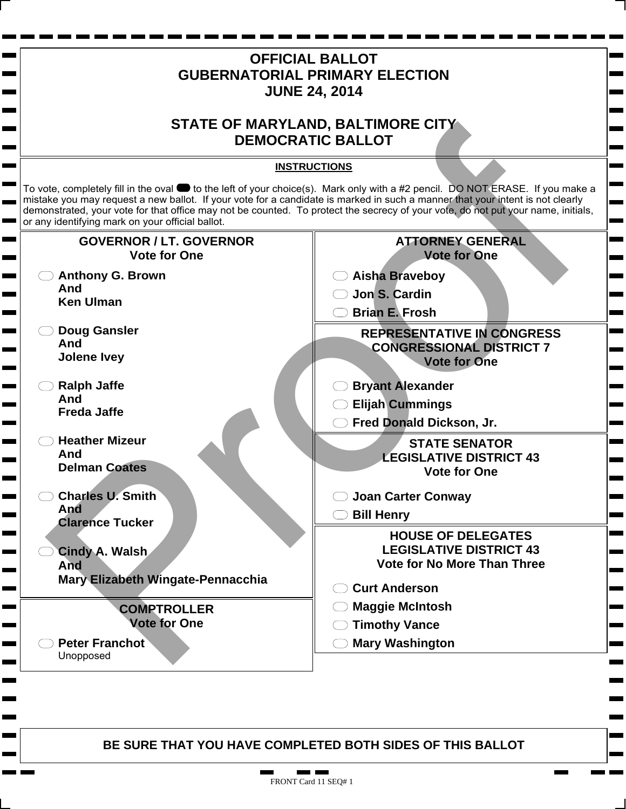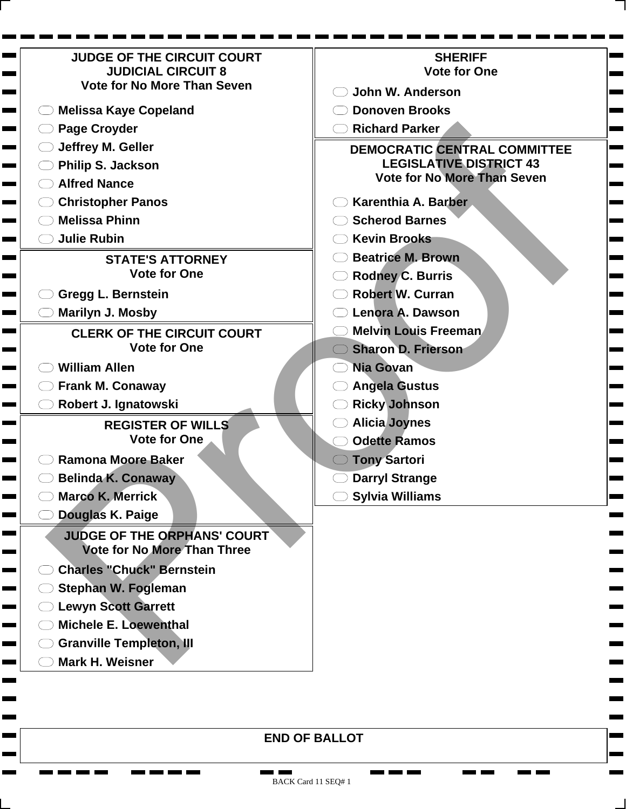| <b>JUDGE OF THE CIRCUIT COURT</b><br><b>JUDICIAL CIRCUIT 8</b> | <b>SHERIFF</b><br><b>Vote for One</b> |
|----------------------------------------------------------------|---------------------------------------|
| <b>Vote for No More Than Seven</b>                             | John W. Anderson                      |
| <b>Melissa Kaye Copeland</b>                                   | <b>Donoven Brooks</b>                 |
| <b>Page Croyder</b>                                            | <b>Richard Parker</b>                 |
| Jeffrey M. Geller                                              | DEMOCRATIC CENTRAL COMMITTEE          |
| <b>Philip S. Jackson</b>                                       | <b>LEGISLATIVE DISTRICT 43</b>        |
| <b>Alfred Nance</b>                                            | <b>Vote for No More Than Seven</b>    |
| <b>Christopher Panos</b>                                       | Karenthia A. Barber                   |
| <b>Melissa Phinn</b>                                           | <b>Scherod Barnes</b>                 |
| <b>Julie Rubin</b>                                             | <b>Kevin Brooks</b>                   |
| <b>STATE'S ATTORNEY</b>                                        | <b>Beatrice M. Brown</b>              |
| <b>Vote for One</b>                                            | <b>Rodney C. Burris</b>               |
| <b>Gregg L. Bernstein</b>                                      | <b>Robert W. Curran</b>               |
| <b>Marilyn J. Mosby</b>                                        | Lenora A. Dawson                      |
| <b>CLERK OF THE CIRCUIT COURT</b>                              | <b>Melvin Louis Freeman</b>           |
| <b>Vote for One</b>                                            | <b>Sharon D. Frierson</b>             |
| <b>William Allen</b>                                           | <b>Nia Govan</b>                      |
| <b>Frank M. Conaway</b>                                        | <b>Angela Gustus</b>                  |
| Robert J. Ignatowski                                           | <b>Ricky Johnson</b>                  |
| <b>REGISTER OF WILLS</b>                                       | <b>Alicia Joynes</b>                  |
| <b>Vote for One</b>                                            | <b>Odette Ramos</b>                   |
| <b>Ramona Moore Baker</b>                                      | <b>Tony Sartori</b>                   |
| <b>Belinda K. Conaway</b>                                      | <b>Darryl Strange</b>                 |
| <b>Marco K. Merrick</b>                                        | <b>Sylvia Williams</b>                |
| Douglas K. Paige                                               |                                       |
| <b>JUDGE OF THE ORPHANS' COURT</b>                             |                                       |
| <b>Vote for No More Than Three</b>                             |                                       |
| <b>Charles "Chuck" Bernstein</b>                               |                                       |
| Stephan W. Fogleman                                            |                                       |
| <b>Lewyn Scott Garrett</b>                                     |                                       |
| <b>Michele E. Loewenthal</b>                                   |                                       |
| <b>Granville Templeton, III</b>                                |                                       |
| <b>Mark H. Weisner</b>                                         |                                       |

m.

 $\Box$  $\overline{\phantom{0}}$ 

 $\mathbf{r}$ 

**END OF BALLOT**

 $\mathbf{r}$  and  $\mathbf{r}$  and  $\mathbf{r}$ 

**CONTINUES** 

<u>ran ma</u>

 $\blacksquare$ 

**College** 

**The Second** 

**The Second** 

**The Contract** 

<u>man ma</u>

**Contract** 

**The Common**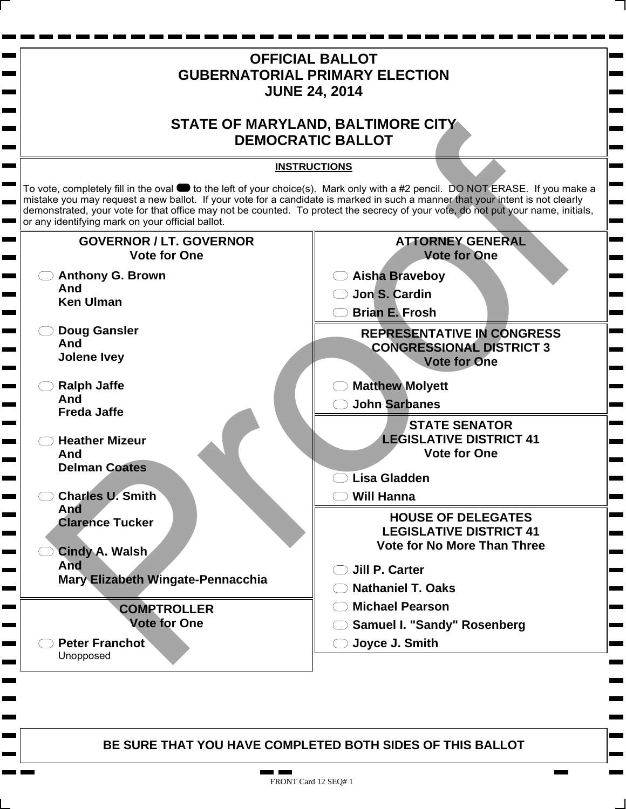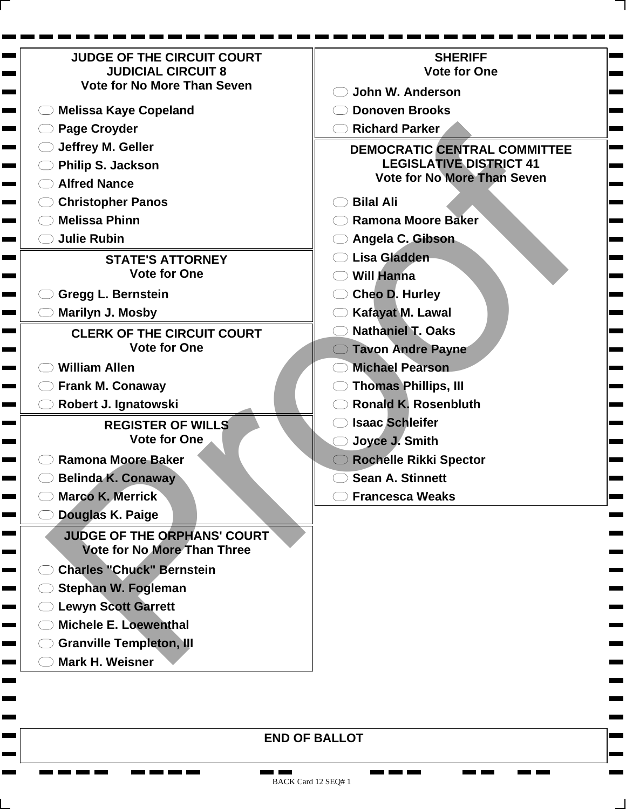| <b>JUDGE OF THE CIRCUIT COURT</b>                               | <b>SHERIFF</b>                                                       |
|-----------------------------------------------------------------|----------------------------------------------------------------------|
| <b>JUDICIAL CIRCUIT 8</b><br><b>Vote for No More Than Seven</b> | <b>Vote for One</b>                                                  |
|                                                                 | John W. Anderson                                                     |
| <b>Melissa Kaye Copeland</b>                                    | <b>Donoven Brooks</b>                                                |
| <b>Page Croyder</b>                                             | <b>Richard Parker</b>                                                |
| Jeffrey M. Geller                                               | <b>DEMOCRATIC CENTRAL COMMITTEE</b>                                  |
| <b>Philip S. Jackson</b>                                        | <b>LEGISLATIVE DISTRICT 41</b><br><b>Vote for No More Than Seven</b> |
| <b>Alfred Nance</b>                                             |                                                                      |
| <b>Christopher Panos</b>                                        | <b>Bilal Ali</b>                                                     |
| <b>Melissa Phinn</b>                                            | <b>Ramona Moore Baker</b>                                            |
| <b>Julie Rubin</b>                                              | Angela C. Gibson                                                     |
| <b>STATE'S ATTORNEY</b>                                         | Lisa Gladden                                                         |
| <b>Vote for One</b>                                             | <b>Will Hanna</b>                                                    |
| <b>Gregg L. Bernstein</b>                                       | <b>Cheo D. Hurley</b>                                                |
| Marilyn J. Mosby                                                | Kafayat M. Lawal                                                     |
| <b>CLERK OF THE CIRCUIT COURT</b>                               | <b>Nathaniel T. Oaks</b>                                             |
| <b>Vote for One</b>                                             | <b>Tavon Andre Payne</b>                                             |
| <b>William Allen</b>                                            | <b>Michael Pearson</b>                                               |
| <b>Frank M. Conaway</b>                                         | <b>Thomas Phillips, III</b>                                          |
| Robert J. Ignatowski                                            | <b>Ronald K. Rosenbluth</b>                                          |
| <b>REGISTER OF WILLS</b>                                        | <b>Isaac Schleifer</b>                                               |
| <b>Vote for One</b>                                             | Joyce J. Smith                                                       |
| <b>Ramona Moore Baker</b>                                       | <b>Rochelle Rikki Spector</b>                                        |
| <b>Belinda K. Conaway</b>                                       | <b>Sean A. Stinnett</b>                                              |
| <b>Marco K. Merrick</b>                                         | <b>Francesca Weaks</b>                                               |
| Douglas K. Paige                                                |                                                                      |
| <b>JUDGE OF THE ORPHANS' COURT</b>                              |                                                                      |
| <b>Vote for No More Than Three</b>                              |                                                                      |
| <b>Charles "Chuck" Bernstein</b>                                |                                                                      |
| Stephan W. Fogleman                                             |                                                                      |
| <b>Lewyn Scott Garrett</b>                                      |                                                                      |
| <b>Michele E. Loewenthal</b>                                    |                                                                      |
| <b>Granville Templeton, Ill</b>                                 |                                                                      |
| <b>Mark H. Weisner</b>                                          |                                                                      |

 $\blacksquare$ 

**College** 

**The Second** 

**The Second** 

 $\blacksquare$ ۰ **The Second** Ξ **COLOR** 

 $\Box$  $\overline{\phantom{0}}$ 

 $\mathbf{r}$ 

**END OF BALLOT**

 $\mathbf{r}$  and  $\mathbf{r}$  and  $\mathbf{r}$ 

**CONTRACTOR** 

<u>and the state</u>

**CONTRACTOR** 

<u>ran karajaran mengangkan pada anak atau salah sahi</u>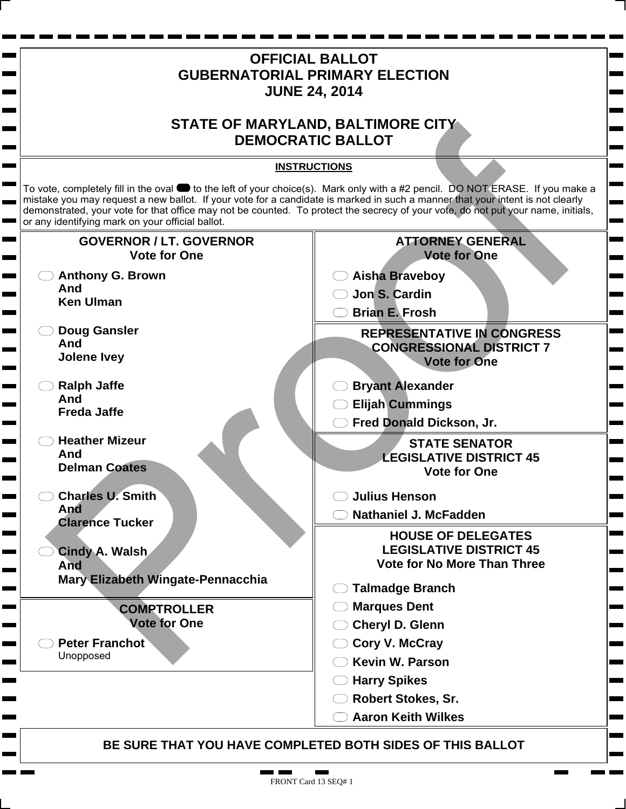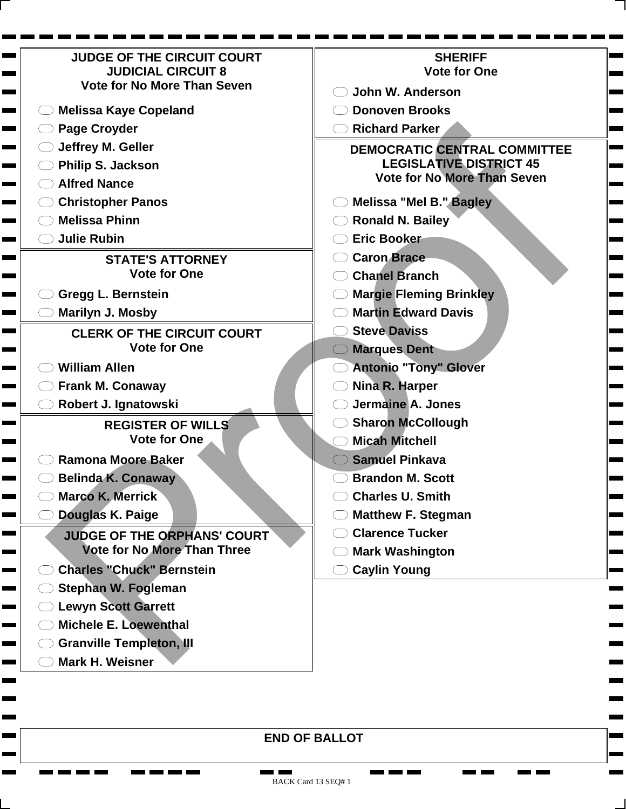| <b>JUDGE OF THE CIRCUIT COURT</b><br><b>JUDICIAL CIRCUIT 8</b> | <b>SHERIFF</b><br><b>Vote for One</b>                          |
|----------------------------------------------------------------|----------------------------------------------------------------|
| <b>Vote for No More Than Seven</b>                             | John W. Anderson                                               |
| <b>Melissa Kaye Copeland</b>                                   | <b>Donoven Brooks</b>                                          |
| <b>Page Croyder</b>                                            | <b>Richard Parker</b>                                          |
| Jeffrey M. Geller                                              |                                                                |
| Philip S. Jackson                                              | DEMOCRATIC CENTRAL COMMITTEE<br><b>LEGISLATIVE DISTRICT 45</b> |
| <b>Alfred Nance</b>                                            | <b>Vote for No More Than Seven</b>                             |
| <b>Christopher Panos</b>                                       | <b>Melissa "Mel B." Bagley</b>                                 |
| <b>Melissa Phinn</b>                                           | <b>Ronald N. Bailey</b>                                        |
| <b>Julie Rubin</b>                                             | <b>Eric Booker</b>                                             |
| <b>STATE'S ATTORNEY</b>                                        | <b>Caron Brace</b>                                             |
| <b>Vote for One</b>                                            | <b>Chanel Branch</b>                                           |
| <b>Gregg L. Bernstein</b>                                      | <b>Margie Fleming Brinkley</b>                                 |
| Marilyn J. Mosby                                               | <b>Martin Edward Davis</b>                                     |
| <b>CLERK OF THE CIRCUIT COURT</b>                              | <b>Steve Daviss</b>                                            |
| <b>Vote for One</b>                                            | <b>Marques Dent</b>                                            |
| <b>William Allen</b>                                           | <b>Antonio "Tony" Glover</b>                                   |
| <b>Frank M. Conaway</b>                                        | Nina R. Harper                                                 |
| Robert J. Ignatowski                                           | <b>Jermaine A. Jones</b>                                       |
| <b>REGISTER OF WILLS</b>                                       | <b>Sharon McCollough</b>                                       |
| <b>Vote for One</b>                                            | <b>Micah Mitchell</b>                                          |
| <b>Ramona Moore Baker</b>                                      | <b>Samuel Pinkava</b>                                          |
| <b>Belinda K. Conaway</b>                                      | <b>Brandon M. Scott</b>                                        |
| <b>Marco K. Merrick</b>                                        | <b>Charles U. Smith</b>                                        |
| Douglas K. Paige                                               | <b>Matthew F. Stegman</b>                                      |
| <b>JUDGE OF THE ORPHANS' COURT</b>                             | <b>Clarence Tucker</b>                                         |
| <b>Vote for No More Than Three</b>                             | <b>Mark Washington</b>                                         |
| <b>Charles "Chuck" Bernstein</b>                               | <b>Caylin Young</b>                                            |
| Stephan W. Fogleman                                            |                                                                |
| <b>Lewyn Scott Garrett</b>                                     |                                                                |
| <b>Michele E. Loewenthal</b>                                   |                                                                |
| <b>Granville Templeton, Ill</b>                                |                                                                |
| <b>Mark H. Weisner</b>                                         |                                                                |

**COLOR** 

 $\Box$ 

 $\blacksquare$ 

 $\mathbf{r}$ 

 $\blacksquare$ 

٠

 $\blacksquare$ 

**The Second** 

 $\mathbf{r}$ 

 $\blacksquare$ Ħ. <u>ran karajaran mengangkan pada anak atau salah sahi</u>

**END OF BALLOT**

**The Common** 

 $\mathbf{r}$  and  $\mathbf{r}$  and  $\mathbf{r}$ 

**CONTRACTOR** 

<u>ran ma</u>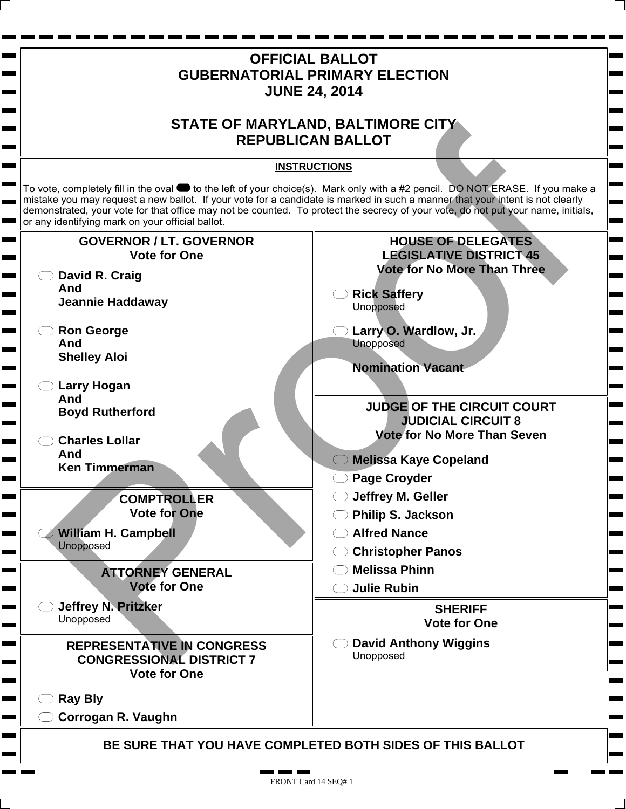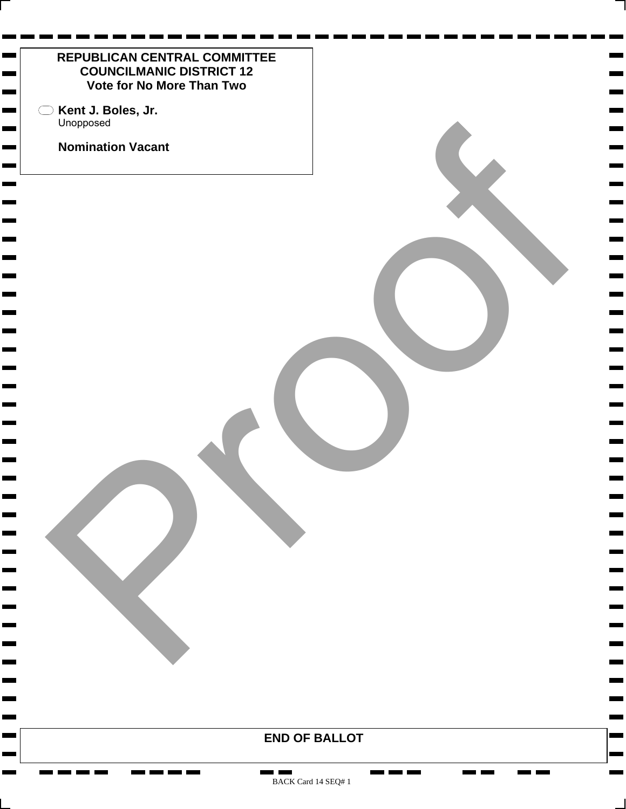Н

г

## **REPUBLICAN CENTRAL COMMITTEE COUNCILMANIC DISTRICT 12 Vote for No More Than Two**

**Kent J. Boles, Jr.** Unopposed Proof

**Nomination Vacant**

**END OF BALLOT**

 $\overline{\phantom{a}}$ 

 $\mathbf{r}$ 

**The Second** 

BACK Card 14 SEQ# 1

<u>the state of the sta</u>

**CONTRACTOR**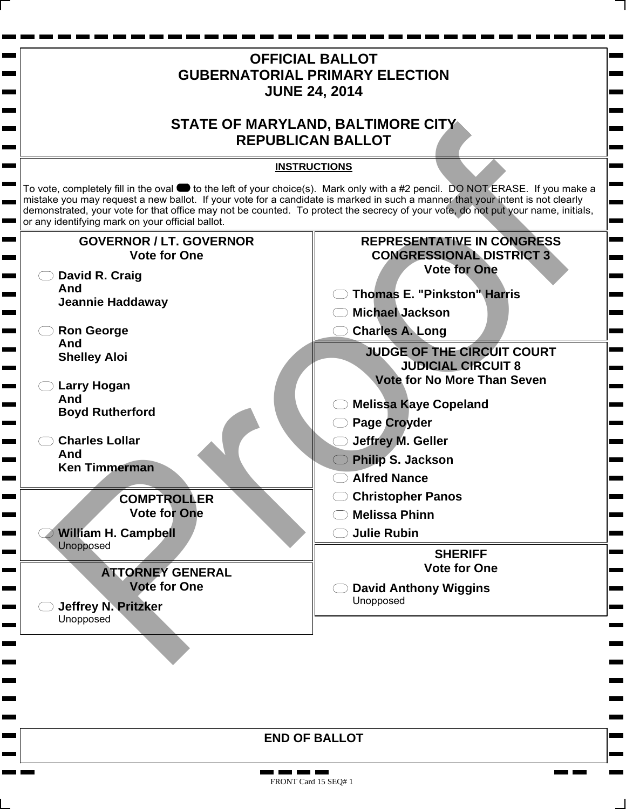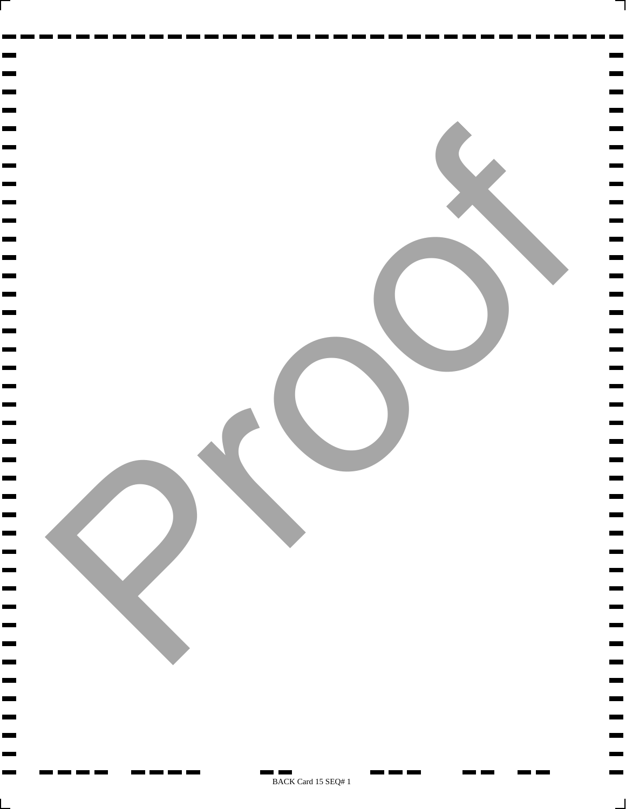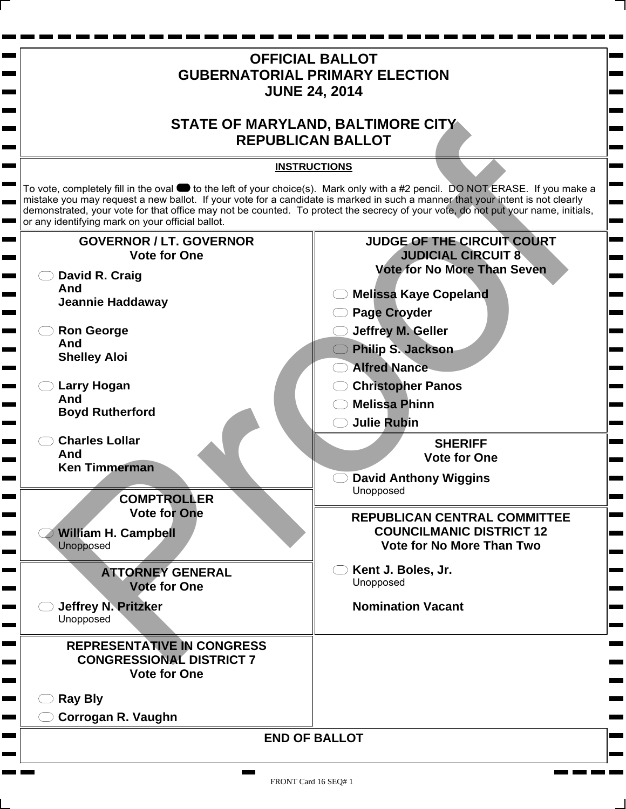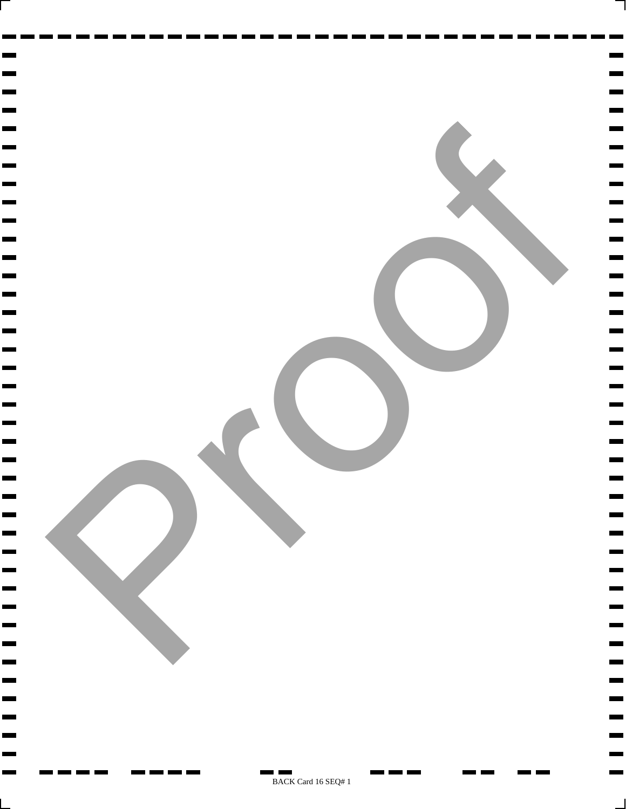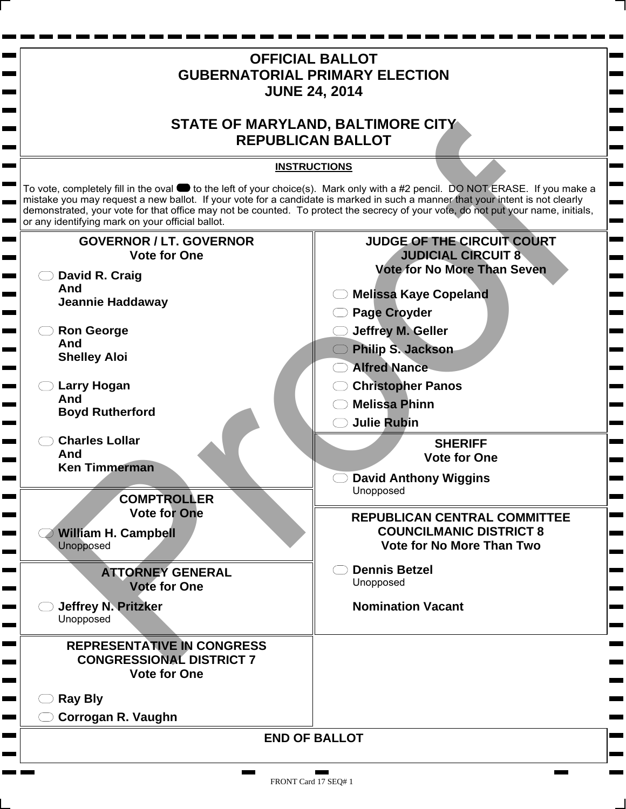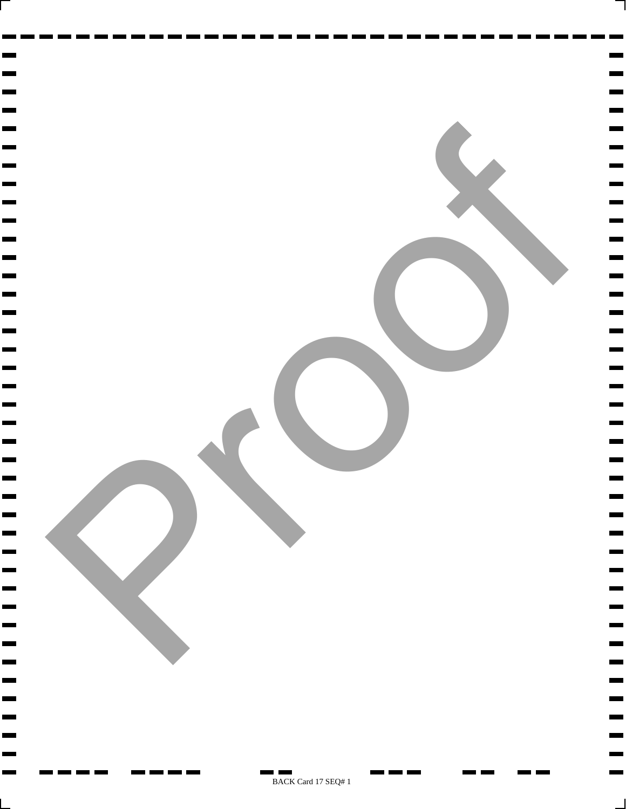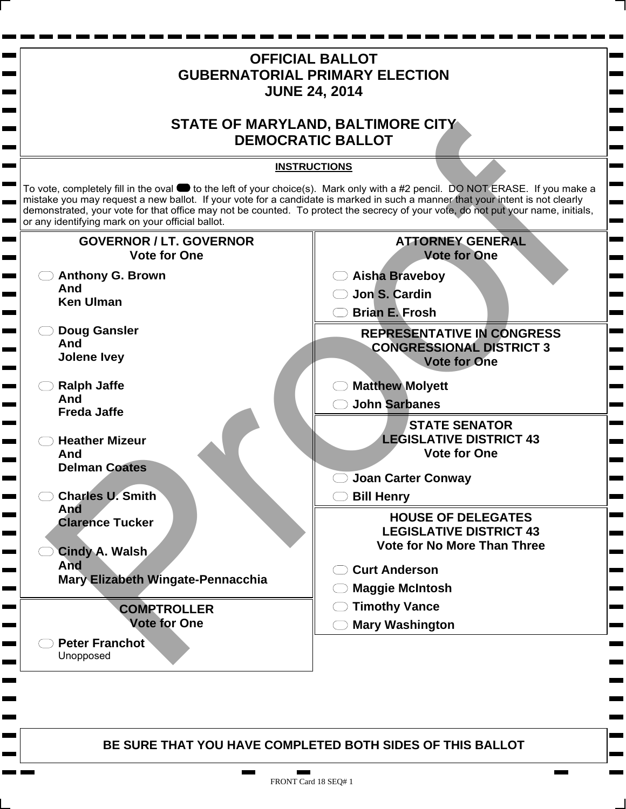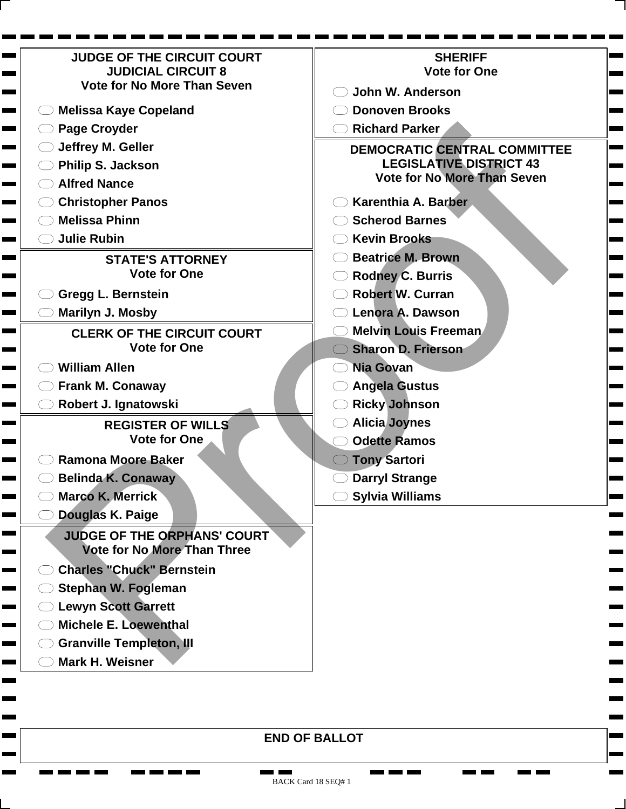| <b>JUDGE OF THE CIRCUIT COURT</b><br><b>JUDICIAL CIRCUIT 8</b> | <b>SHERIFF</b><br><b>Vote for One</b> |
|----------------------------------------------------------------|---------------------------------------|
| <b>Vote for No More Than Seven</b>                             | John W. Anderson                      |
| <b>Melissa Kaye Copeland</b>                                   | <b>Donoven Brooks</b>                 |
| <b>Page Croyder</b>                                            | <b>Richard Parker</b>                 |
| Jeffrey M. Geller                                              | DEMOCRATIC CENTRAL COMMITTEE          |
| <b>Philip S. Jackson</b>                                       | <b>LEGISLATIVE DISTRICT 43</b>        |
| <b>Alfred Nance</b>                                            | <b>Vote for No More Than Seven</b>    |
| <b>Christopher Panos</b>                                       | Karenthia A. Barber                   |
| <b>Melissa Phinn</b>                                           | <b>Scherod Barnes</b>                 |
| <b>Julie Rubin</b>                                             | <b>Kevin Brooks</b>                   |
| <b>STATE'S ATTORNEY</b>                                        | <b>Beatrice M. Brown</b>              |
| <b>Vote for One</b>                                            | <b>Rodney C. Burris</b>               |
| <b>Gregg L. Bernstein</b>                                      | <b>Robert W. Curran</b>               |
| <b>Marilyn J. Mosby</b>                                        | Lenora A. Dawson                      |
| <b>CLERK OF THE CIRCUIT COURT</b>                              | <b>Melvin Louis Freeman</b>           |
| <b>Vote for One</b>                                            | <b>Sharon D. Frierson</b>             |
| <b>William Allen</b>                                           | <b>Nia Govan</b>                      |
| <b>Frank M. Conaway</b>                                        | <b>Angela Gustus</b>                  |
| Robert J. Ignatowski                                           | <b>Ricky Johnson</b>                  |
| <b>REGISTER OF WILLS</b>                                       | <b>Alicia Joynes</b>                  |
| <b>Vote for One</b>                                            | <b>Odette Ramos</b>                   |
| <b>Ramona Moore Baker</b>                                      | <b>Tony Sartori</b>                   |
| <b>Belinda K. Conaway</b>                                      | <b>Darryl Strange</b>                 |
| <b>Marco K. Merrick</b>                                        | <b>Sylvia Williams</b>                |
| Douglas K. Paige                                               |                                       |
| <b>JUDGE OF THE ORPHANS' COURT</b>                             |                                       |
| <b>Vote for No More Than Three</b>                             |                                       |
| <b>Charles "Chuck" Bernstein</b>                               |                                       |
| Stephan W. Fogleman                                            |                                       |
| <b>Lewyn Scott Garrett</b>                                     |                                       |
| <b>Michele E. Loewenthal</b>                                   |                                       |
| <b>Granville Templeton, III</b>                                |                                       |
| <b>Mark H. Weisner</b>                                         |                                       |

m.

 $\Box$ 

 $\overline{\phantom{0}}$ 

 $\mathbf{r}$ 

**END OF BALLOT**

 $\mathbf{r}$  and  $\mathbf{r}$  and  $\mathbf{r}$ 

**The Common** 

<u>ran ma</u>

 $\blacksquare$ 

٠

 $\blacksquare$ 

**Contract** 

**The Second** 

**The Contract** 

<u>man ma</u>

**Contract** 

**The Common**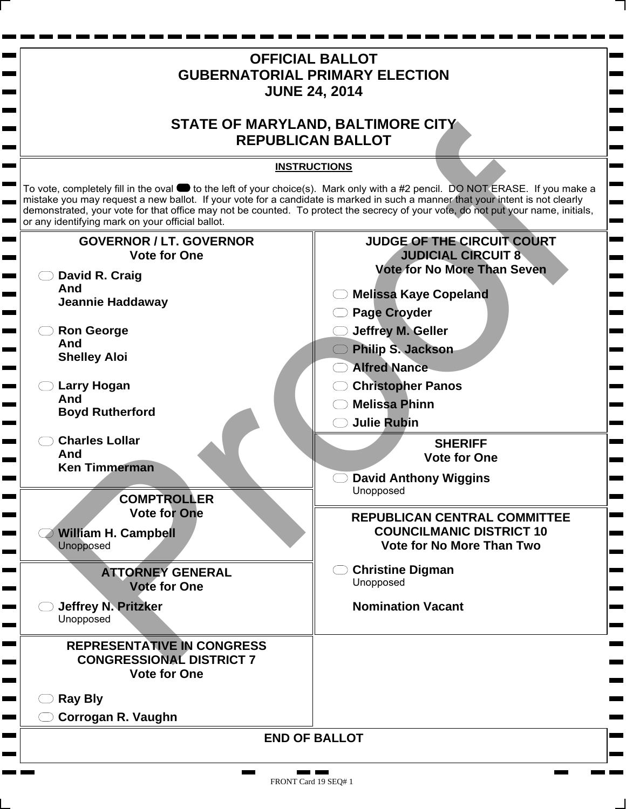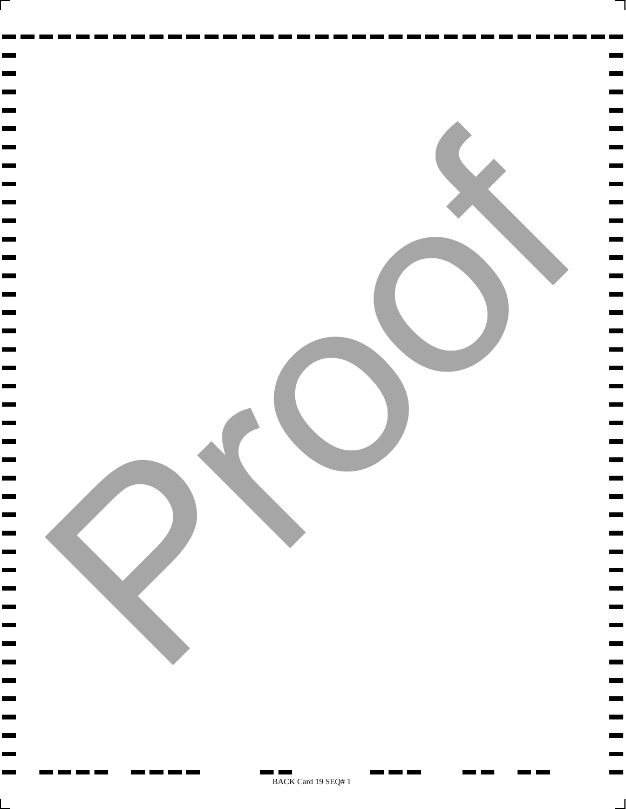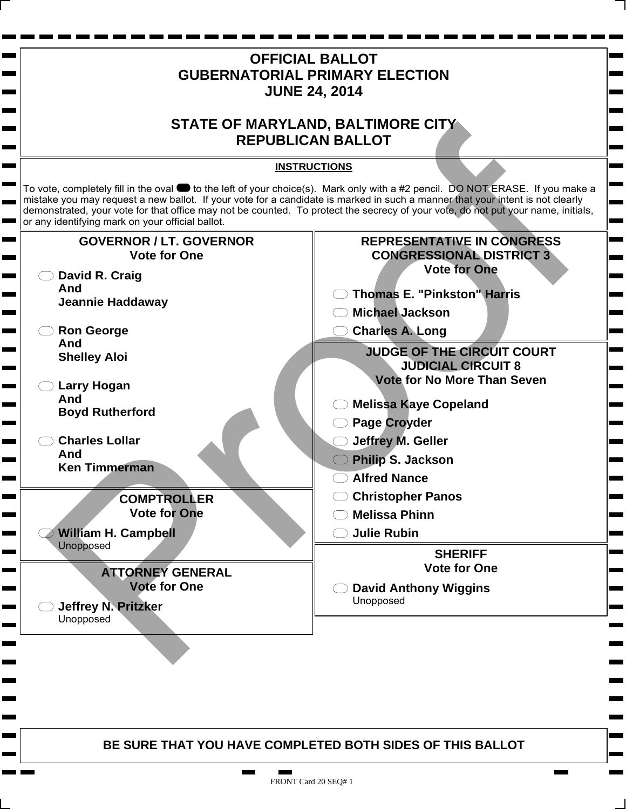

FRONT Card 20 SEQ# 1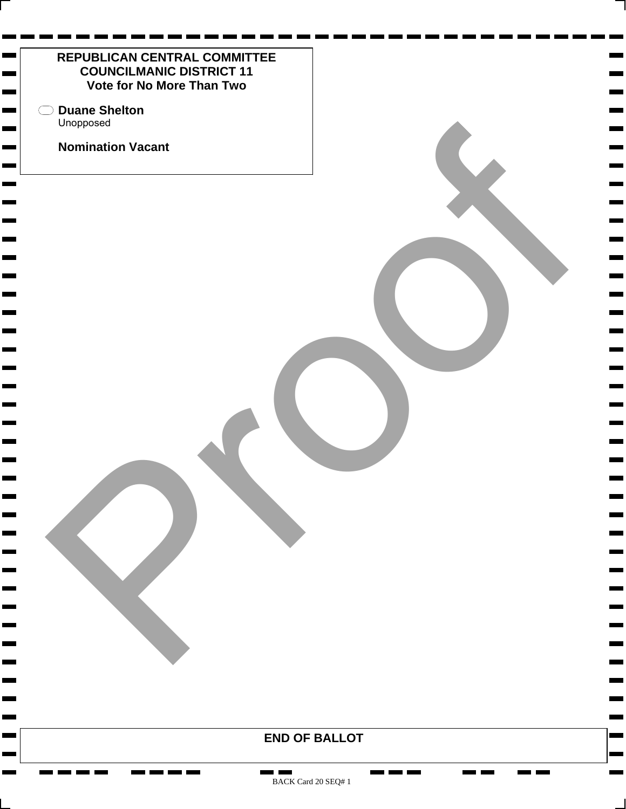г

## **REPUBLICAN CENTRAL COMMITTEE COUNCILMANIC DISTRICT 11 Vote for No More Than Two**

**Duane Shelton** Unopposed Proof

**Nomination Vacant**

**END OF BALLOT**

 $\overline{\phantom{a}}$ 

man a

**The Second** 

BACK Card 20 SEQ# 1

<u>the state of the sta</u>

**The Common**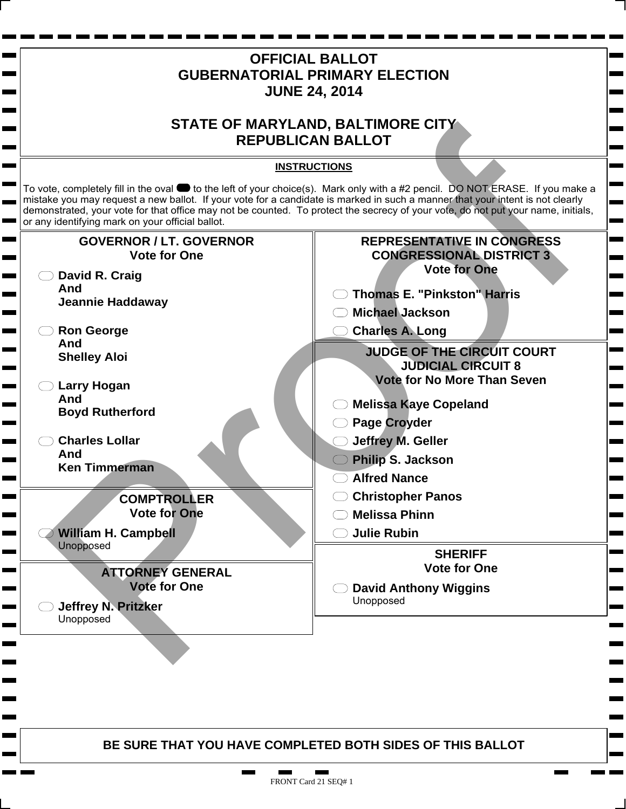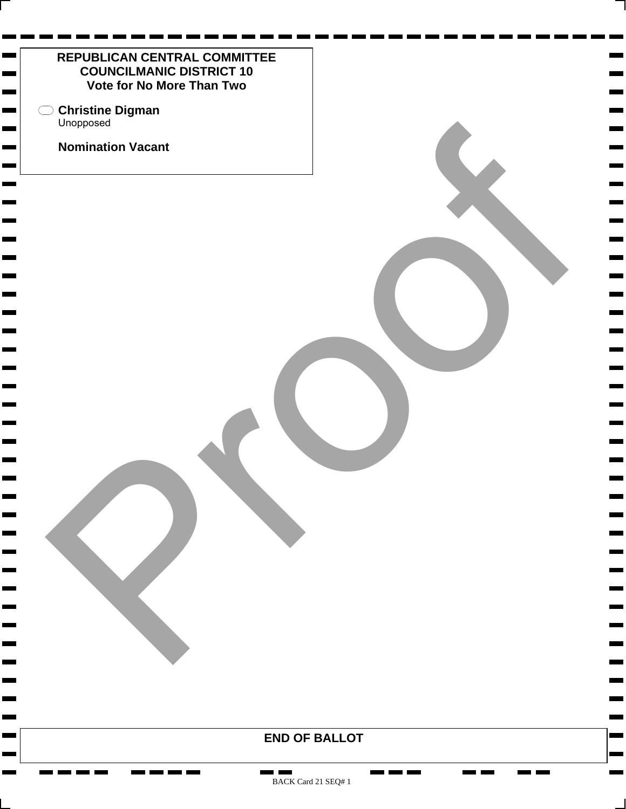Н

г

## **REPUBLICAN CENTRAL COMMITTEE COUNCILMANIC DISTRICT 10 Vote for No More Than Two**

**Christine Digman** Unopposed Proof

**Nomination Vacant**

**END OF BALLOT**

 $\overline{\phantom{a}}$ 

m.

**The Second** 

BACK Card 21 SEQ# 1

<u>the state of the sta</u>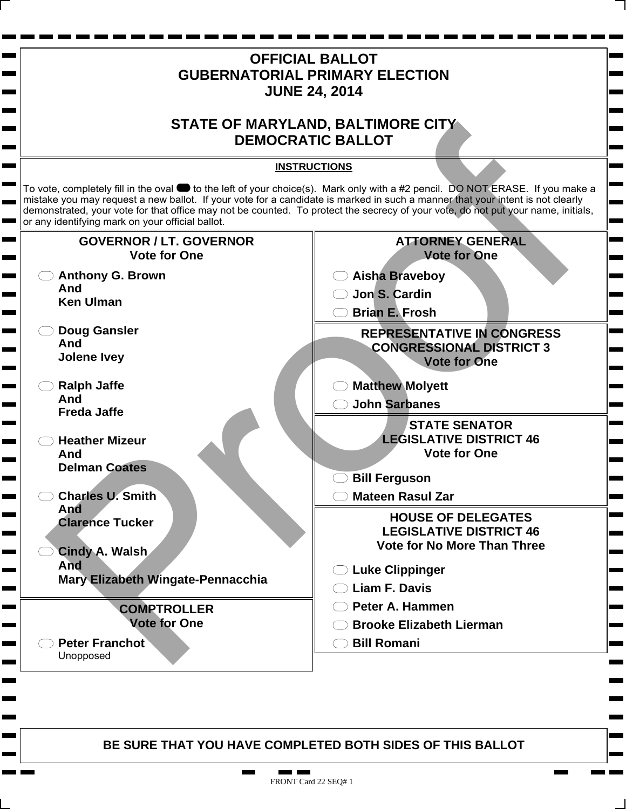

**BE SURE THAT YOU HAVE COMPLETED BOTH SIDES OF THIS BALLOT**

. .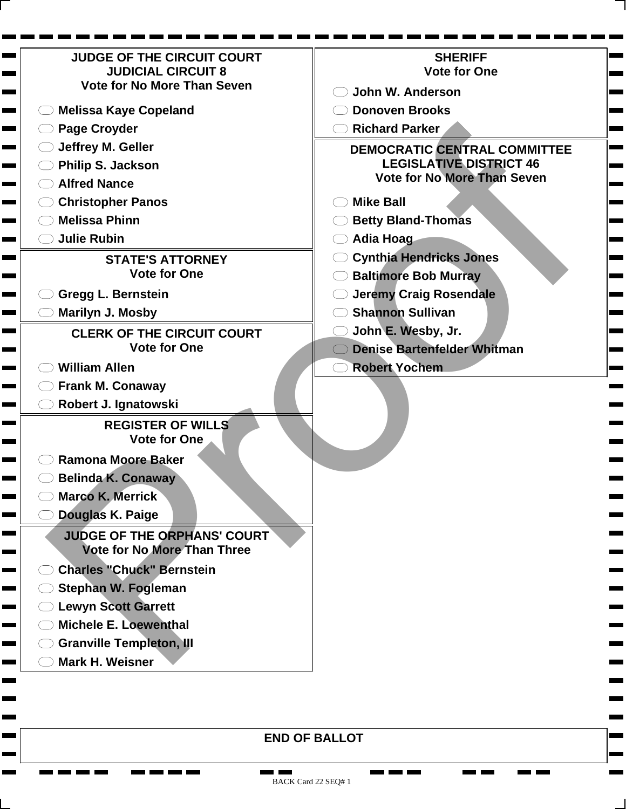| <b>JUDGE OF THE CIRCUIT COURT</b>  | <b>SHERIFF</b>                     |
|------------------------------------|------------------------------------|
| <b>JUDICIAL CIRCUIT 8</b>          | <b>Vote for One</b>                |
| <b>Vote for No More Than Seven</b> | John W. Anderson                   |
| <b>Melissa Kaye Copeland</b>       | <b>Donoven Brooks</b>              |
| <b>Page Croyder</b>                | <b>Richard Parker</b>              |
| Jeffrey M. Geller                  | DEMOCRATIC CENTRAL COMMITTEE       |
| <b>Philip S. Jackson</b>           | <b>LEGISLATIVE DISTRICT 46</b>     |
| <b>Alfred Nance</b>                | <b>Vote for No More Than Seven</b> |
| <b>Christopher Panos</b>           | <b>Mike Ball</b>                   |
| <b>Melissa Phinn</b>               | <b>Betty Bland-Thomas</b>          |
| <b>Julie Rubin</b>                 | <b>Adia Hoag</b>                   |
| <b>STATE'S ATTORNEY</b>            | <b>Cynthia Hendricks Jones</b>     |
| <b>Vote for One</b>                | <b>Baltimore Bob Murray</b>        |
| <b>Gregg L. Bernstein</b>          | <b>Jeremy Craig Rosendale</b>      |
| Marilyn J. Mosby                   | <b>Shannon Sullivan</b>            |
| <b>CLERK OF THE CIRCUIT COURT</b>  | John E. Wesby, Jr.                 |
| <b>Vote for One</b>                | <b>Denise Bartenfelder Whitman</b> |
| <b>William Allen</b>               | <b>Robert Yochem</b>               |
| <b>Frank M. Conaway</b>            |                                    |
| Robert J. Ignatowski               |                                    |
| <b>REGISTER OF WILLS</b>           |                                    |
| <b>Vote for One</b>                |                                    |
| <b>Ramona Moore Baker</b>          |                                    |
| <b>Belinda K. Conaway</b>          |                                    |
| Marco K. Merrick                   |                                    |
| Douglas K. Paige                   |                                    |
| <b>JUDGE OF THE ORPHANS' COURT</b> |                                    |
| <b>Vote for No More Than Three</b> |                                    |
| <b>Charles "Chuck" Bernstein</b>   |                                    |
| Stephan W. Fogleman                |                                    |
| <b>Lewyn Scott Garrett</b>         |                                    |
| <b>Michele E. Loewenthal</b>       |                                    |
| <b>Granville Templeton, Ill</b>    |                                    |
|                                    |                                    |

**END OF BALLOT**

**CONTRACTOR** 

a pa

<u>ran ma</u>

п

**The Second** 

**The State** 

**The Second** 

 $\blacksquare$  $\blacksquare$ 

۰

٠ г

**CONTRACTOR** 

<u>man ma</u>

**Contract**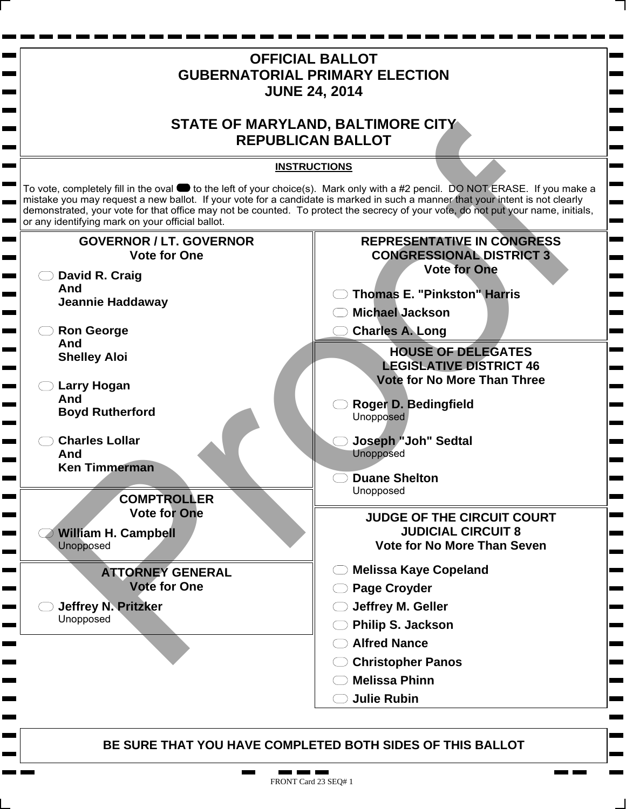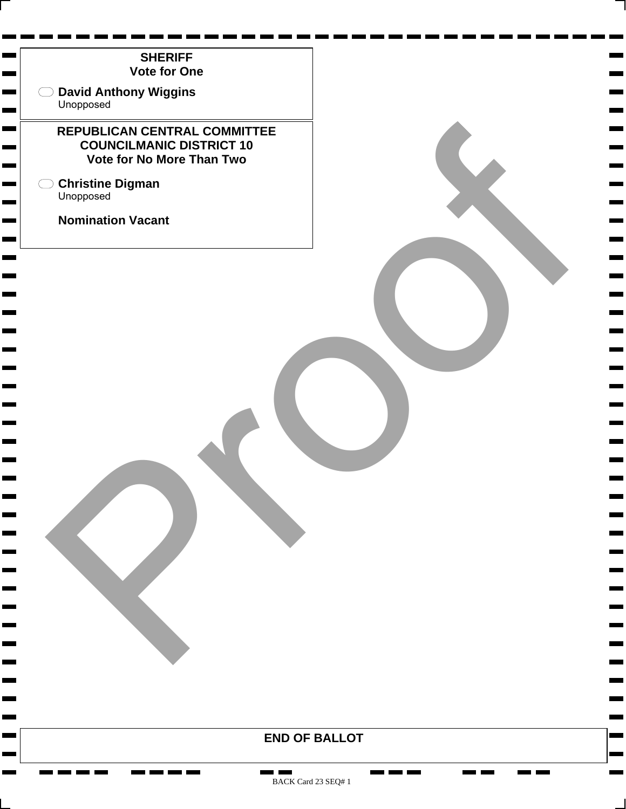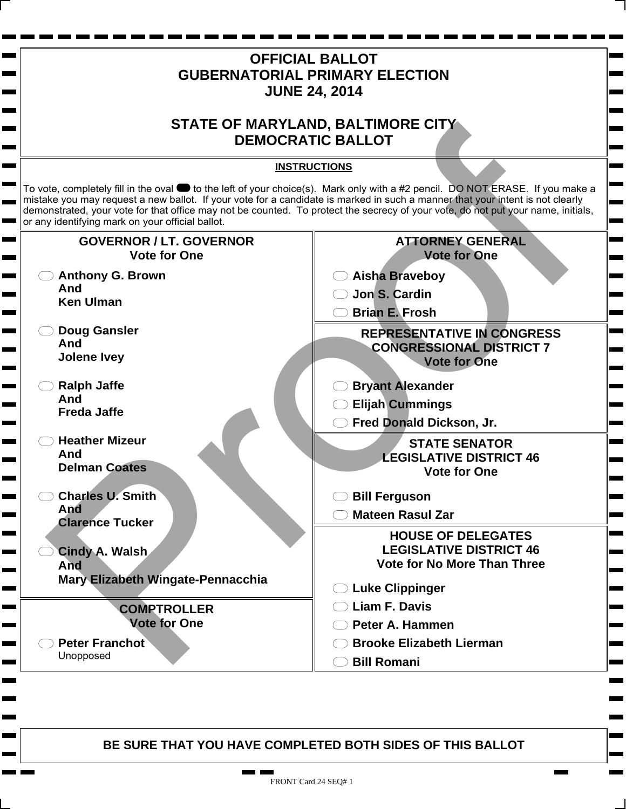

**BE SURE THAT YOU HAVE COMPLETED BOTH SIDES OF THIS BALLOT**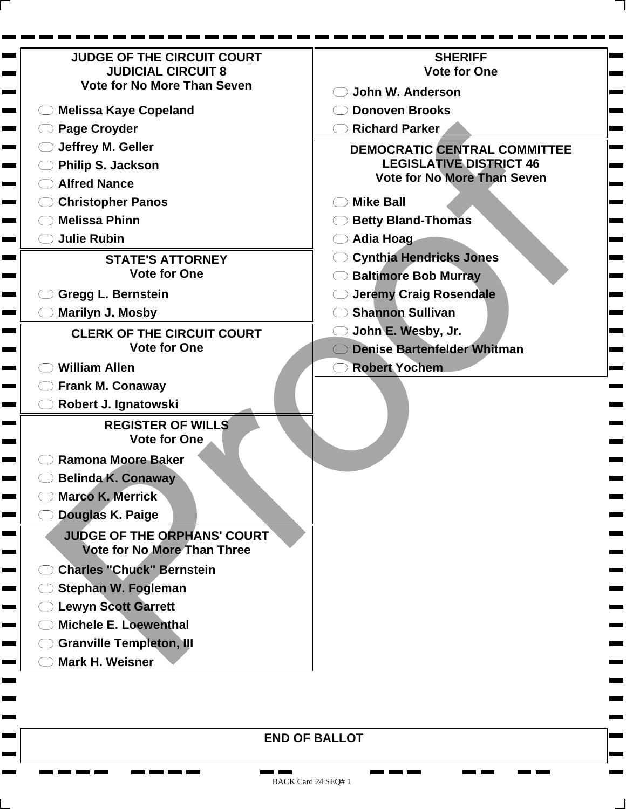| <b>JUDGE OF THE CIRCUIT COURT</b>  | <b>SHERIFF</b>                     |
|------------------------------------|------------------------------------|
| <b>JUDICIAL CIRCUIT 8</b>          | <b>Vote for One</b>                |
| <b>Vote for No More Than Seven</b> | John W. Anderson                   |
| <b>Melissa Kaye Copeland</b>       | <b>Donoven Brooks</b>              |
| <b>Page Croyder</b>                | <b>Richard Parker</b>              |
| Jeffrey M. Geller                  | DEMOCRATIC CENTRAL COMMITTEE       |
| <b>Philip S. Jackson</b>           | <b>LEGISLATIVE DISTRICT 46</b>     |
| <b>Alfred Nance</b>                | <b>Vote for No More Than Seven</b> |
| <b>Christopher Panos</b>           | <b>Mike Ball</b>                   |
| <b>Melissa Phinn</b>               | <b>Betty Bland-Thomas</b>          |
| <b>Julie Rubin</b>                 | <b>Adia Hoag</b>                   |
| <b>STATE'S ATTORNEY</b>            | <b>Cynthia Hendricks Jones</b>     |
| <b>Vote for One</b>                | <b>Baltimore Bob Murray</b>        |
| <b>Gregg L. Bernstein</b>          | <b>Jeremy Craig Rosendale</b>      |
| Marilyn J. Mosby                   | <b>Shannon Sullivan</b>            |
| <b>CLERK OF THE CIRCUIT COURT</b>  | John E. Wesby, Jr.                 |
| <b>Vote for One</b>                | <b>Denise Bartenfelder Whitman</b> |
| <b>William Allen</b>               | <b>Robert Yochem</b>               |
| <b>Frank M. Conaway</b>            |                                    |
| Robert J. Ignatowski               |                                    |
| <b>REGISTER OF WILLS</b>           |                                    |
| <b>Vote for One</b>                |                                    |
| <b>Ramona Moore Baker</b>          |                                    |
| <b>Belinda K. Conaway</b>          |                                    |
| Marco K. Merrick                   |                                    |
| Douglas K. Paige                   |                                    |
| <b>JUDGE OF THE ORPHANS' COURT</b> |                                    |
| <b>Vote for No More Than Three</b> |                                    |
| <b>Charles "Chuck" Bernstein</b>   |                                    |
| Stephan W. Fogleman                |                                    |
| <b>Lewyn Scott Garrett</b>         |                                    |
| <b>Michele E. Loewenthal</b>       |                                    |
| <b>Granville Templeton, Ill</b>    |                                    |
|                                    |                                    |

**END OF BALLOT**

<u>the Communication</u>

Н a part <u>ran ma</u>

**The Second** 

**The State** 

**The Second** 

 $\blacksquare$  $\blacksquare$ 

۰

٠ г

**CONTRACTOR** 

<u>man ma</u>

**Contract**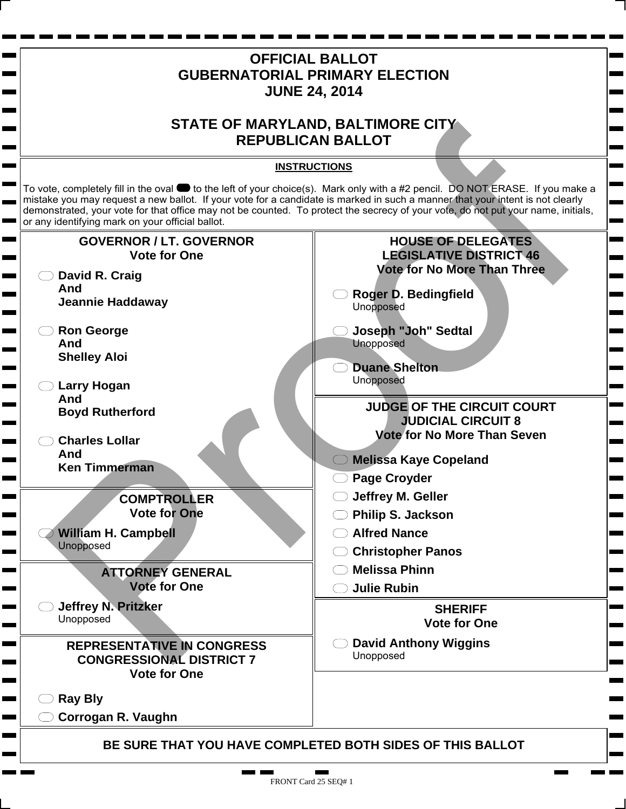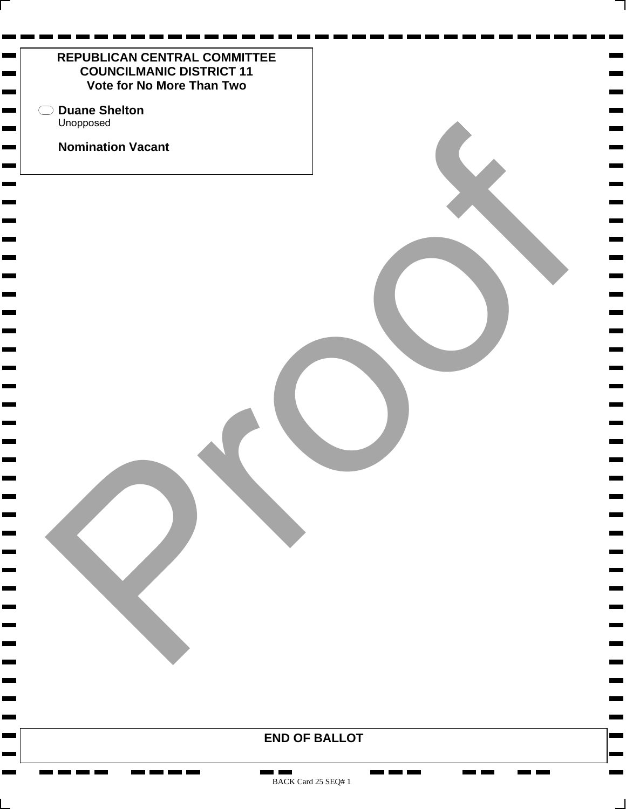г

## **REPUBLICAN CENTRAL COMMITTEE COUNCILMANIC DISTRICT 11 Vote for No More Than Two**

**Duane Shelton** Unopposed Proof

**Nomination Vacant**

**END OF BALLOT**

 $\overline{\phantom{a}}$ 

man a

**The Second** 

BACK Card 25 SEQ# 1

<u>the state of the sta</u>

**The Common**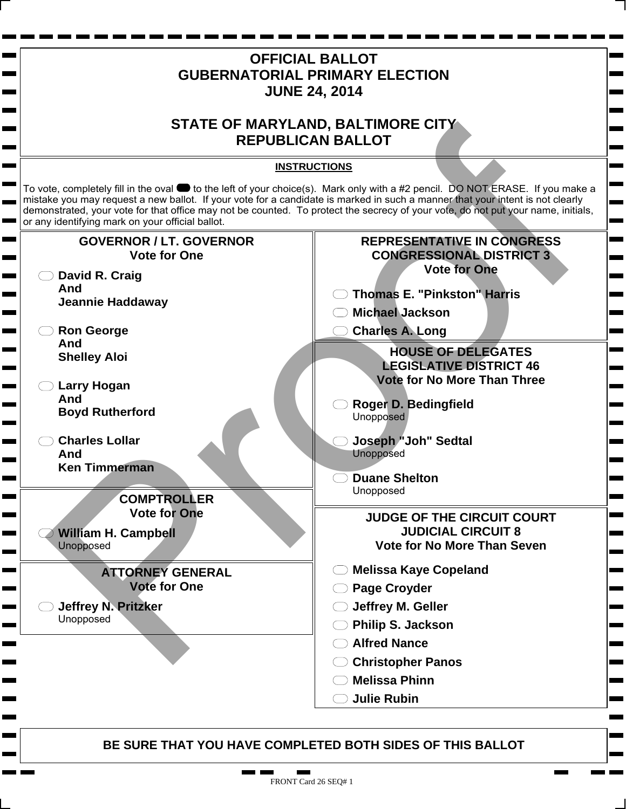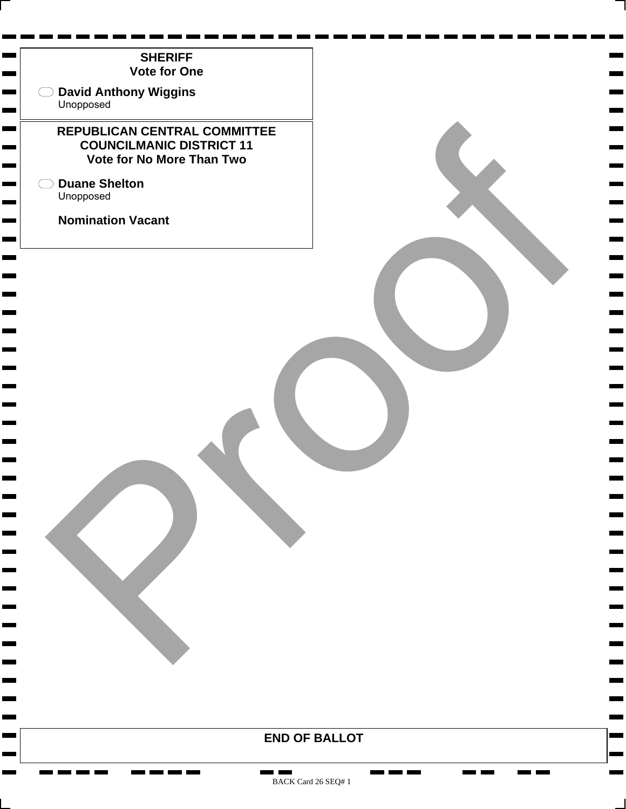

BACK Card 26 SEQ# 1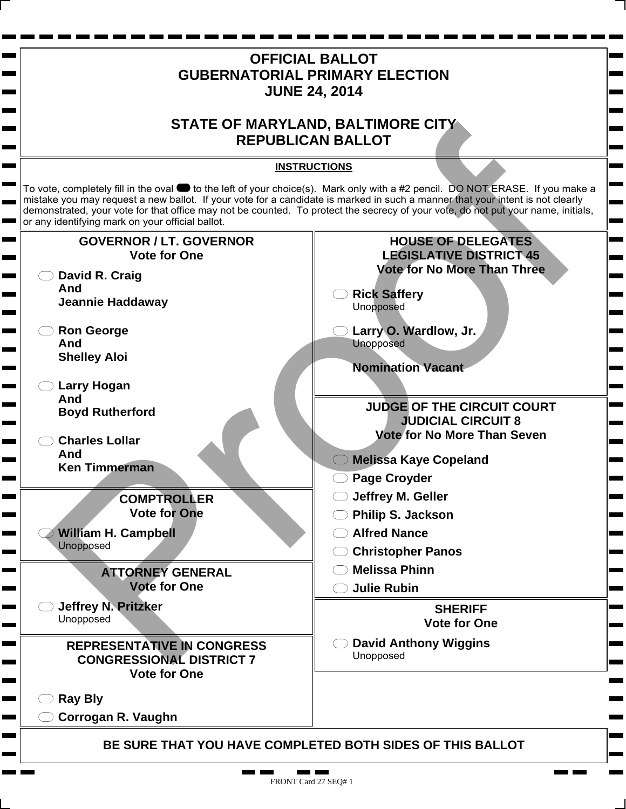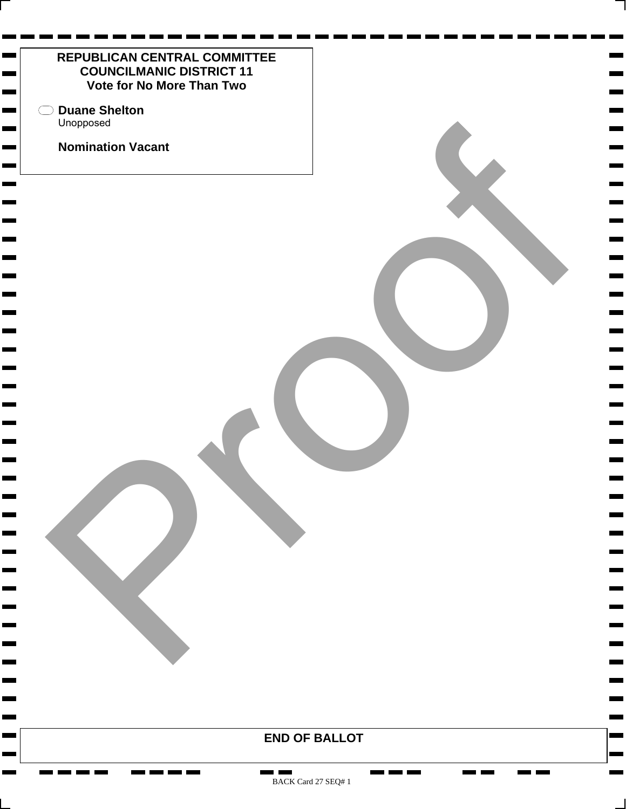г

### **REPUBLICAN CENTRAL COMMITTEE COUNCILMANIC DISTRICT 11 Vote for No More Than Two**

**Duane Shelton** Unopposed Proof

**Nomination Vacant**

**END OF BALLOT**

 $\overline{\phantom{a}}$ 

man a

**The Second** 

BACK Card 27 SEQ# 1

<u>the state of the sta</u>

**The Common**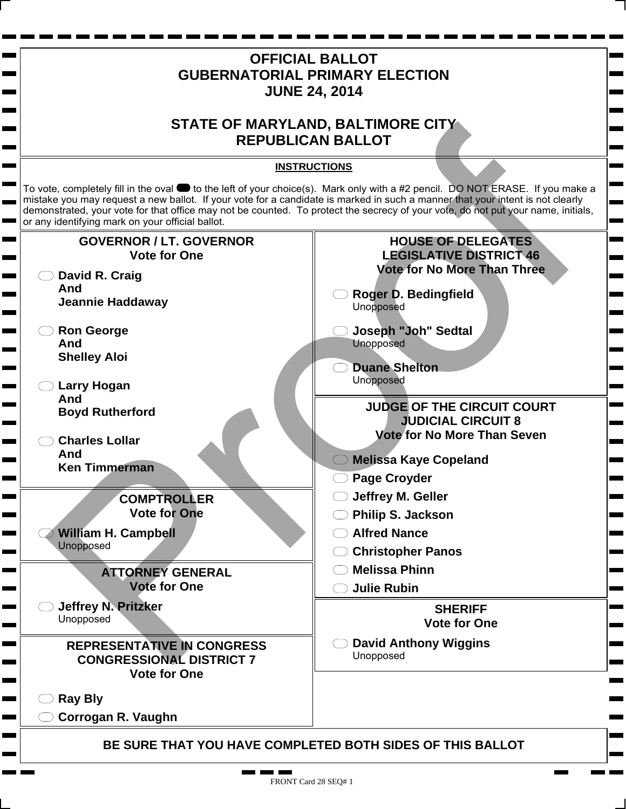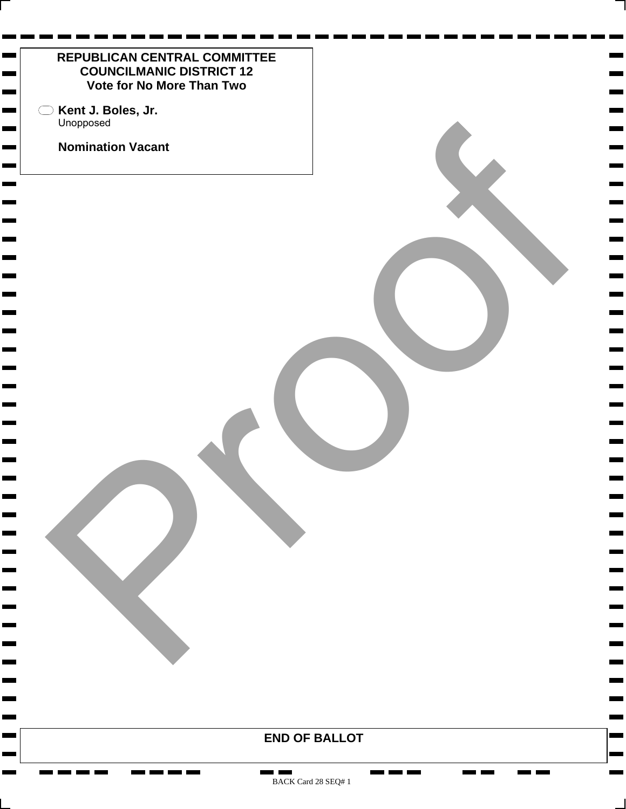Н

г

## **REPUBLICAN CENTRAL COMMITTEE COUNCILMANIC DISTRICT 12 Vote for No More Than Two**

**Kent J. Boles, Jr.** Unopposed Proof

**Nomination Vacant**

**END OF BALLOT**

 $\overline{\phantom{a}}$ 

m.

**The Second** 

BACK Card 28 SEQ# 1

<u>the state of the sta</u>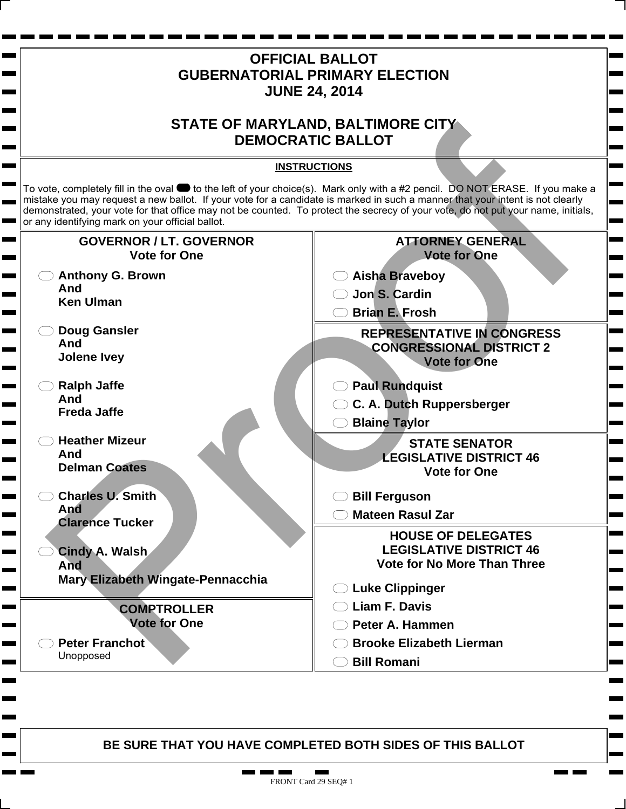

**BE SURE THAT YOU HAVE COMPLETED BOTH SIDES OF THIS BALLOT**

. .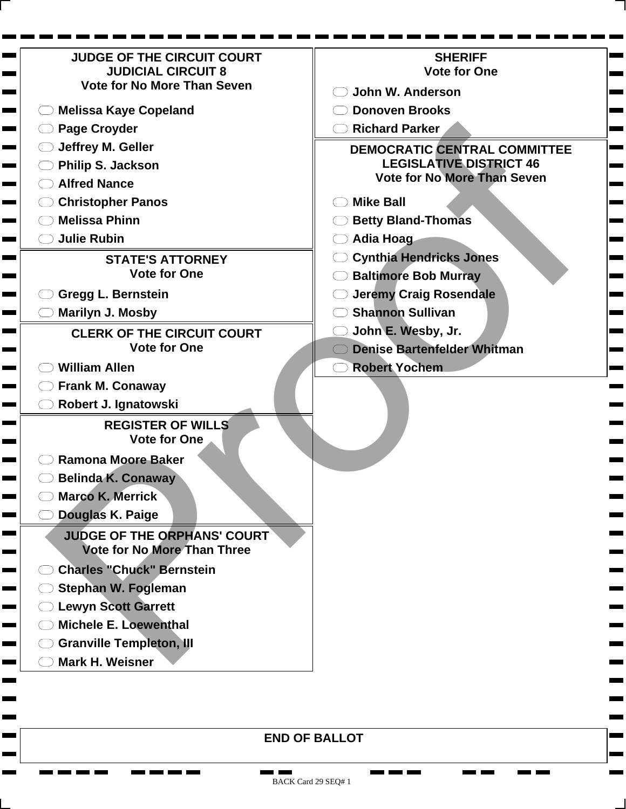| <b>JUDGE OF THE CIRCUIT COURT</b>  | <b>SHERIFF</b>                     |
|------------------------------------|------------------------------------|
| <b>JUDICIAL CIRCUIT 8</b>          | <b>Vote for One</b>                |
| <b>Vote for No More Than Seven</b> | John W. Anderson                   |
| <b>Melissa Kaye Copeland</b>       | <b>Donoven Brooks</b>              |
| <b>Page Croyder</b>                | <b>Richard Parker</b>              |
| Jeffrey M. Geller                  | DEMOCRATIC CENTRAL COMMITTEE       |
| <b>Philip S. Jackson</b>           | <b>LEGISLATIVE DISTRICT 46</b>     |
| <b>Alfred Nance</b>                | <b>Vote for No More Than Seven</b> |
| <b>Christopher Panos</b>           | <b>Mike Ball</b>                   |
| <b>Melissa Phinn</b>               | <b>Betty Bland-Thomas</b>          |
| <b>Julie Rubin</b>                 | <b>Adia Hoag</b>                   |
| <b>STATE'S ATTORNEY</b>            | <b>Cynthia Hendricks Jones</b>     |
| <b>Vote for One</b>                | <b>Baltimore Bob Murray</b>        |
| <b>Gregg L. Bernstein</b>          | <b>Jeremy Craig Rosendale</b>      |
| Marilyn J. Mosby                   | <b>Shannon Sullivan</b>            |
| <b>CLERK OF THE CIRCUIT COURT</b>  | John E. Wesby, Jr.                 |
| <b>Vote for One</b>                | <b>Denise Bartenfelder Whitman</b> |
| <b>William Allen</b>               | <b>Robert Yochem</b>               |
| <b>Frank M. Conaway</b>            |                                    |
| Robert J. Ignatowski               |                                    |
| <b>REGISTER OF WILLS</b>           |                                    |
| <b>Vote for One</b>                |                                    |
| <b>Ramona Moore Baker</b>          |                                    |
| <b>Belinda K. Conaway</b>          |                                    |
| Marco K. Merrick                   |                                    |
| Douglas K. Paige                   |                                    |
| <b>JUDGE OF THE ORPHANS' COURT</b> |                                    |
| <b>Vote for No More Than Three</b> |                                    |
| <b>Charles "Chuck" Bernstein</b>   |                                    |
| Stephan W. Fogleman                |                                    |
| <b>Lewyn Scott Garrett</b>         |                                    |
| <b>Michele E. Loewenthal</b>       |                                    |
| <b>Granville Templeton, Ill</b>    |                                    |
|                                    |                                    |

**END OF BALLOT**

<u>the Communication</u>

a part

г

<u>ran ma</u>

**The Second** 

**The State** 

**The Second** 

 $\blacksquare$  $\blacksquare$ 

۰

٠ г

**CONTRACTOR** 

<u>and for the little</u>

**Contract**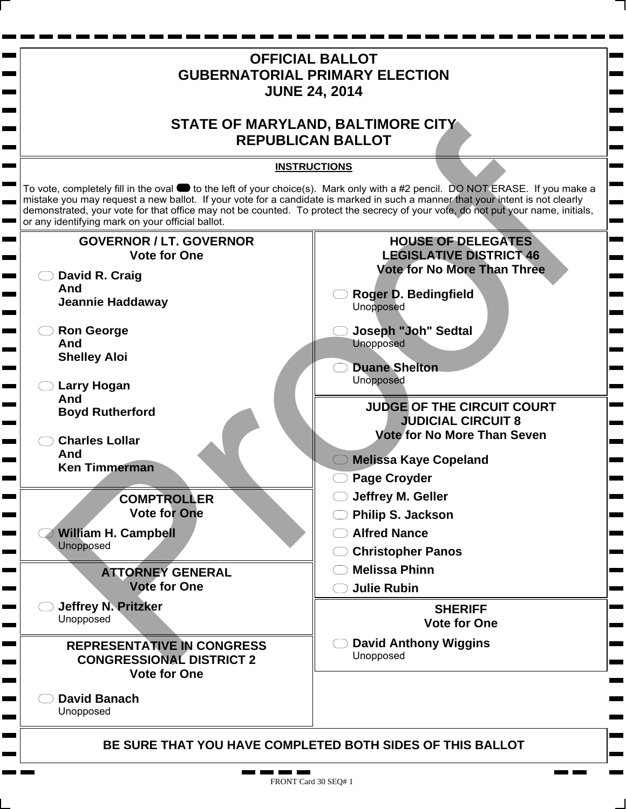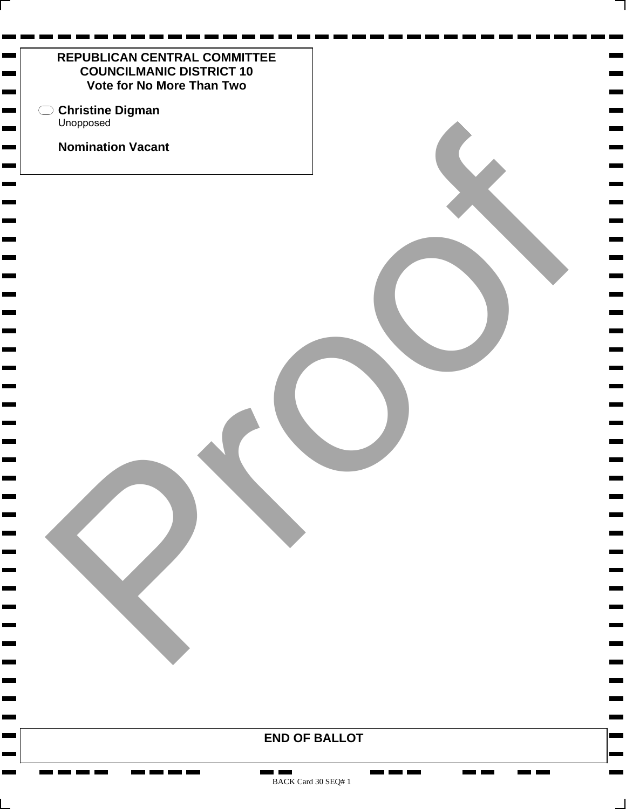Н

г

## **REPUBLICAN CENTRAL COMMITTEE COUNCILMANIC DISTRICT 10 Vote for No More Than Two**

**Christine Digman** Unopposed Proof

**Nomination Vacant**

**END OF BALLOT**

 $\overline{\phantom{a}}$ 

man a

 $\mathbf{r}$ 

BACK Card 30 SEQ# 1

<u>the state of the sta</u>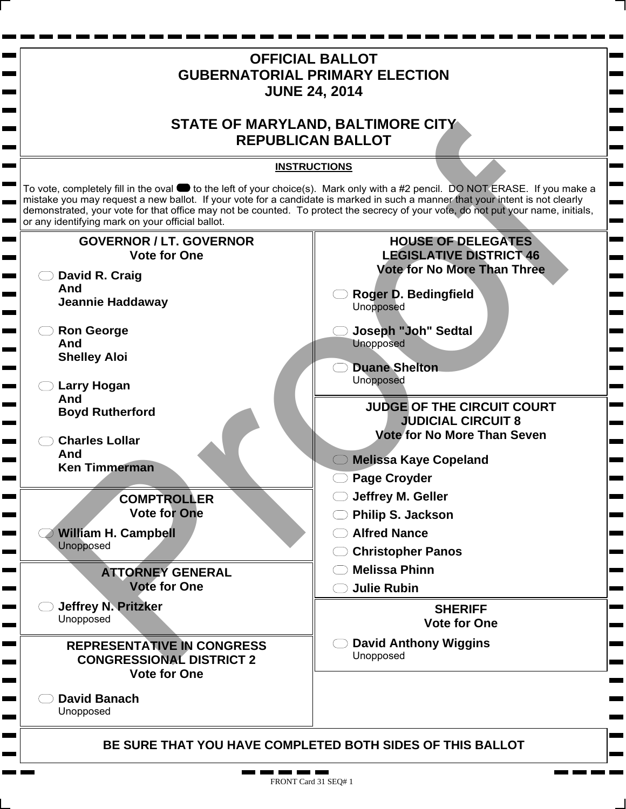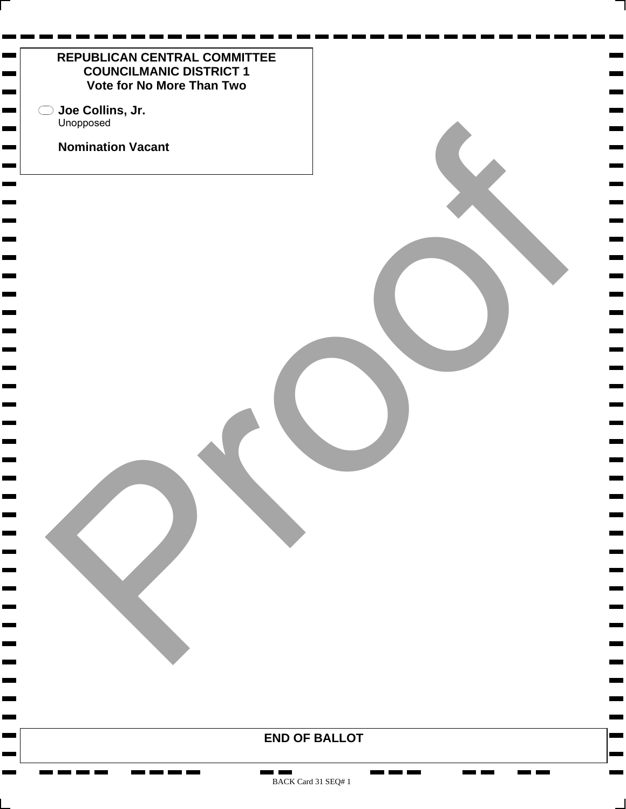# **Contract** Н Е  $\mathbf{r}$  $\mathbf{r}$  $\mathbf{r}$  $\mathbf{r}$ Е  $\blacksquare$  $\mathbf{r}$ **COMPUTE**  $\mathbf{r}$  $\mathbf{r}$ Е **CONTRACT COLOR CONTRACT**  $\blacksquare$  $\mathbf{r}$  $\mathbf{r}$ **College The Second**  $\mathbf{r}$ Н  $\mathbf{r}$ **CONTRACT Contract Contract** É Е  $\mathbf{r}$ **COLOR** m.  $\mathbf{r}$ m.

Н

г

### **REPUBLICAN CENTRAL COMMITTEE COUNCILMANIC DISTRICT 1 Vote for No More Than Two**

**Joe Collins, Jr.** Unopposed Proof

**Nomination Vacant**

**END OF BALLOT**

 $\overline{\phantom{a}}$ 

man a

**The Second** 

BACK Card 31 SEQ# 1

**Basil Basil Ba**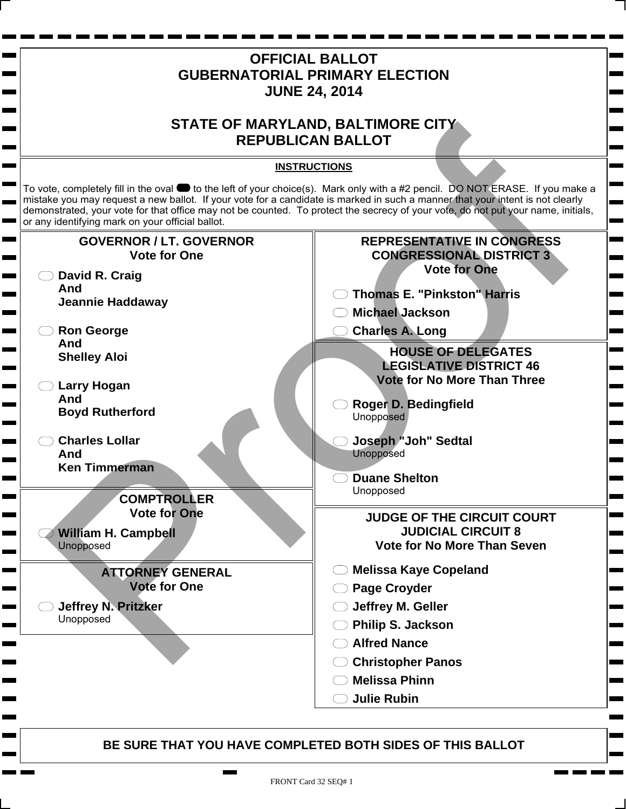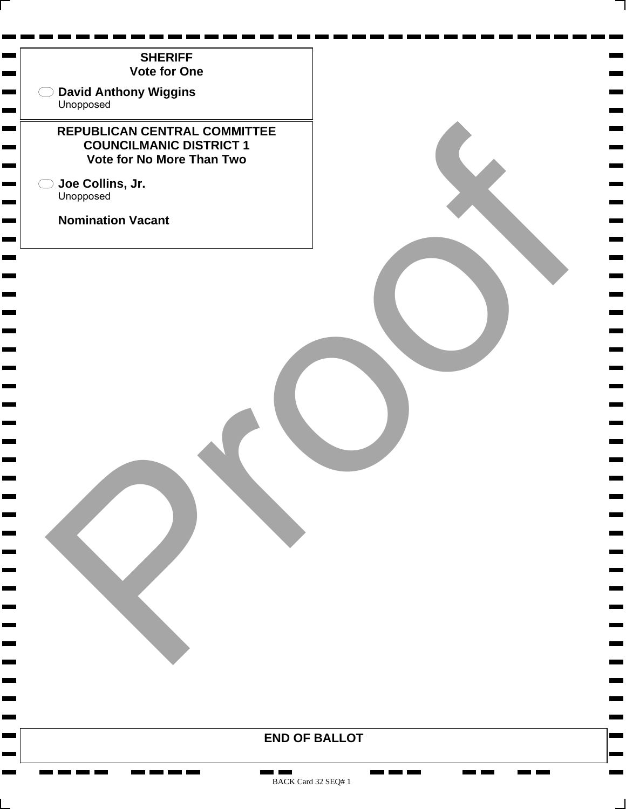

BACK Card 32 SEQ# 1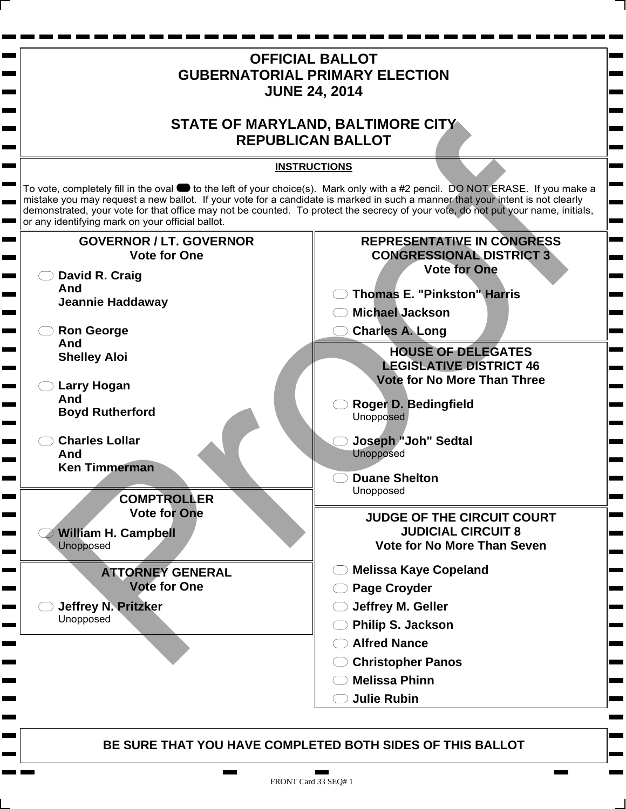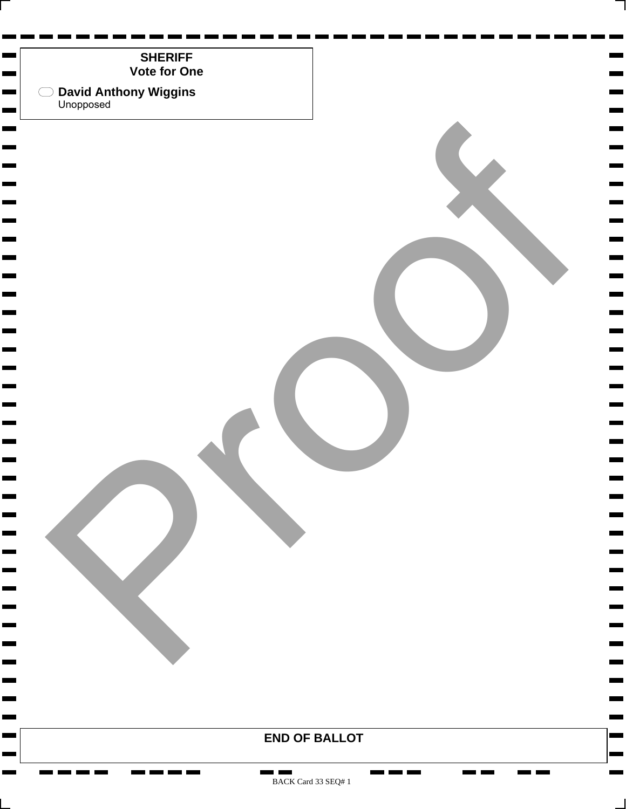

BACK Card 33 SEQ# 1

 $\mathbf{r}$ 

**The Second Service**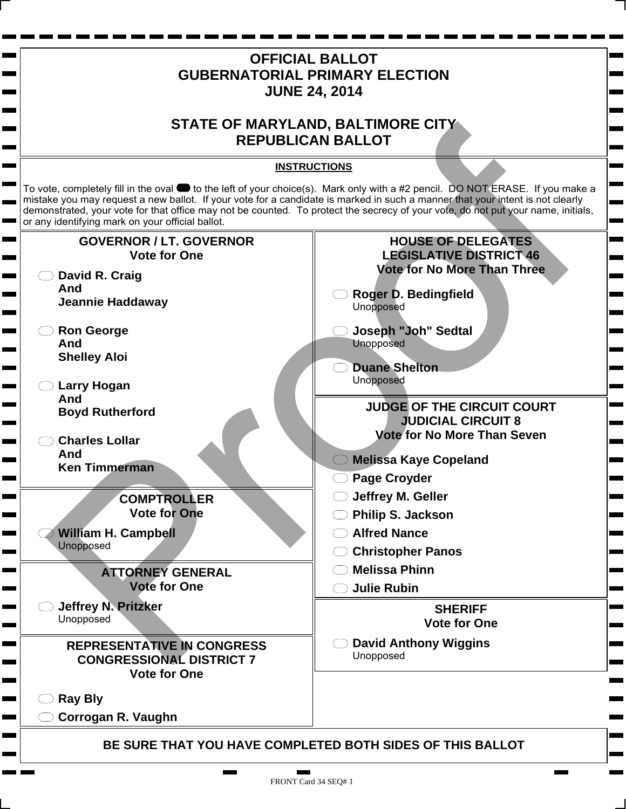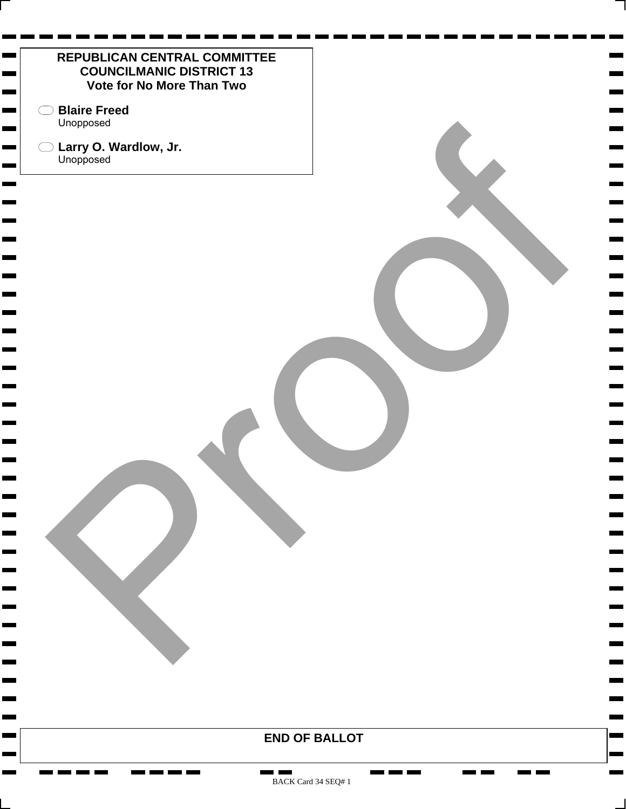| REPUBLICAN CENTRAL COMMITTEE<br><b>COUNCILMANIC DISTRICT 13</b><br>Vote for No More Than Two<br><b>Blaire Freed</b><br>Unopposed<br>Larry O. Wardlow, Jr.<br>Unopposed<br>$\mathcal{L}(\mathcal{A})$<br>$\rightarrow$ |  |
|-----------------------------------------------------------------------------------------------------------------------------------------------------------------------------------------------------------------------|--|
| $\overline{\phantom{a}}$<br>j.<br>e.<br>$\overline{\phantom{0}}$<br>a a<br>-<br>j.<br>÷<br>$\overline{\phantom{0}}$                                                                                                   |  |
|                                                                                                                                                                                                                       |  |
| <b>END OF BALLOT</b>                                                                                                                                                                                                  |  |

BACK Card 34 SEQ# 1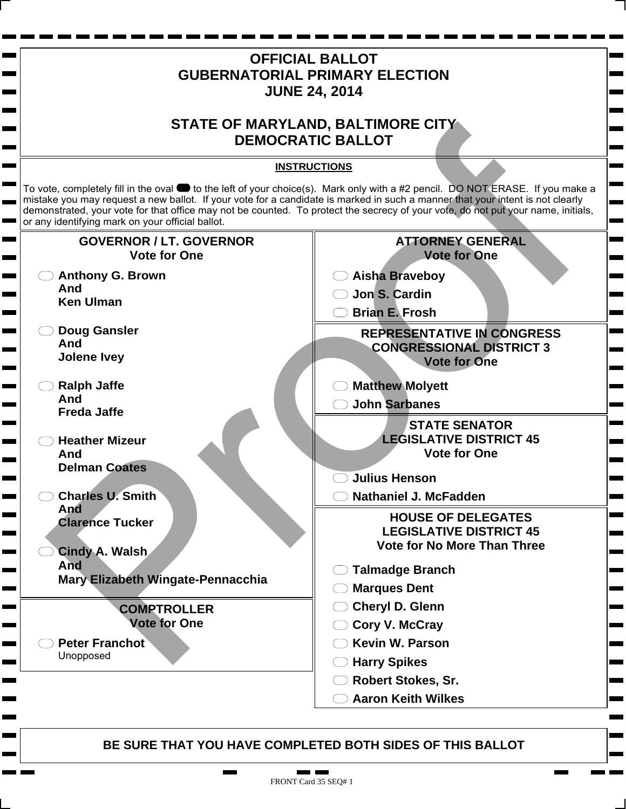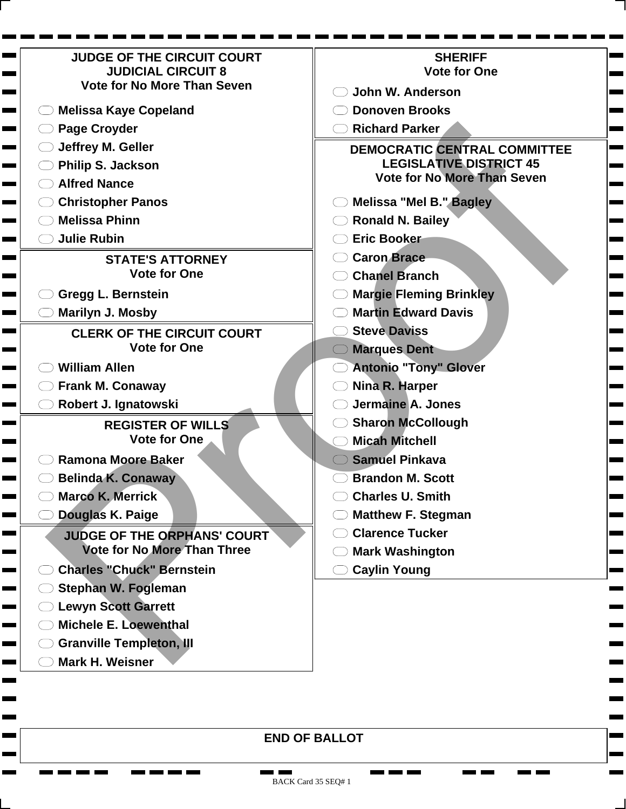| <b>JUDGE OF THE CIRCUIT COURT</b><br><b>JUDICIAL CIRCUIT 8</b> | <b>SHERIFF</b><br><b>Vote for One</b> |
|----------------------------------------------------------------|---------------------------------------|
| <b>Vote for No More Than Seven</b>                             | John W. Anderson                      |
| <b>Melissa Kaye Copeland</b>                                   | <b>Donoven Brooks</b>                 |
| <b>Page Croyder</b>                                            | <b>Richard Parker</b>                 |
| Jeffrey M. Geller                                              | DEMOCRATIC CENTRAL COMMITTEE          |
| Philip S. Jackson                                              | <b>LEGISLATIVE DISTRICT 45</b>        |
| <b>Alfred Nance</b>                                            | <b>Vote for No More Than Seven</b>    |
| <b>Christopher Panos</b>                                       | <b>Melissa "Mel B." Bagley</b>        |
| <b>Melissa Phinn</b>                                           | <b>Ronald N. Bailey</b>               |
| <b>Julie Rubin</b>                                             | <b>Eric Booker</b>                    |
| <b>STATE'S ATTORNEY</b>                                        | <b>Caron Brace</b>                    |
| <b>Vote for One</b>                                            | <b>Chanel Branch</b>                  |
| <b>Gregg L. Bernstein</b>                                      | <b>Margie Fleming Brinkley</b>        |
| Marilyn J. Mosby                                               | <b>Martin Edward Davis</b>            |
| <b>CLERK OF THE CIRCUIT COURT</b>                              | <b>Steve Daviss</b>                   |
| <b>Vote for One</b>                                            | <b>Marques Dent</b>                   |
| <b>William Allen</b>                                           | <b>Antonio "Tony" Glover</b>          |
| <b>Frank M. Conaway</b>                                        | Nina R. Harper                        |
| Robert J. Ignatowski                                           | Jermaine A. Jones                     |
| <b>REGISTER OF WILLS</b>                                       | <b>Sharon McCollough</b>              |
| <b>Vote for One</b>                                            | <b>Micah Mitchell</b>                 |
| <b>Ramona Moore Baker</b>                                      | <b>Samuel Pinkava</b>                 |
| <b>Belinda K. Conaway</b>                                      | <b>Brandon M. Scott</b>               |
| <b>Marco K. Merrick</b>                                        | <b>Charles U. Smith</b>               |
| Douglas K. Paige                                               | <b>Matthew F. Stegman</b>             |
| <b>JUDGE OF THE ORPHANS' COURT</b>                             | <b>Clarence Tucker</b>                |
| <b>Vote for No More Than Three</b>                             | <b>Mark Washington</b>                |
| <b>Charles "Chuck" Bernstein</b>                               | <b>Caylin Young</b>                   |
| Stephan W. Fogleman                                            |                                       |
| <b>Lewyn Scott Garrett</b>                                     |                                       |
| <b>Michele E. Loewenthal</b>                                   |                                       |
| <b>Granville Templeton, Ill</b>                                |                                       |
| <b>Mark H. Weisner</b>                                         |                                       |

**COLOR** 

 $\Box$ 

 $\blacksquare$ 

 $\mathbf{r}$ 

 $\blacksquare$ 

٠

 $\blacksquare$ 

**Contract** 

 $\mathbf{r}$ 

 $\blacksquare$ 

п

<u>ran karajaran mengangkan pada saat dan bagi dalam kalendar dalam kalendar dalam bagi dalam bagi dalam kalendar</u>

**END OF BALLOT**

**The Common** 

 $\mathbf{r}$  and  $\mathbf{r}$  and  $\mathbf{r}$ 

**CONTRACTOR** 

<u>ran ma</u>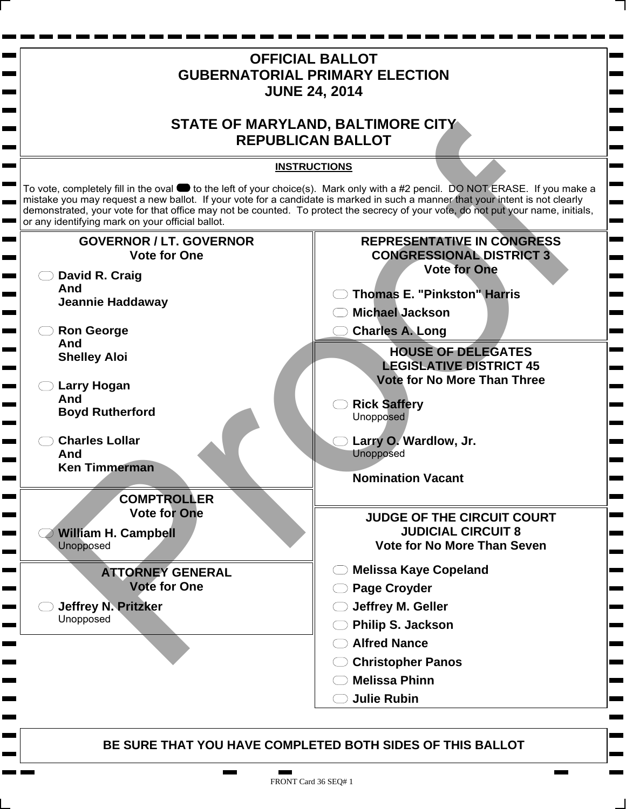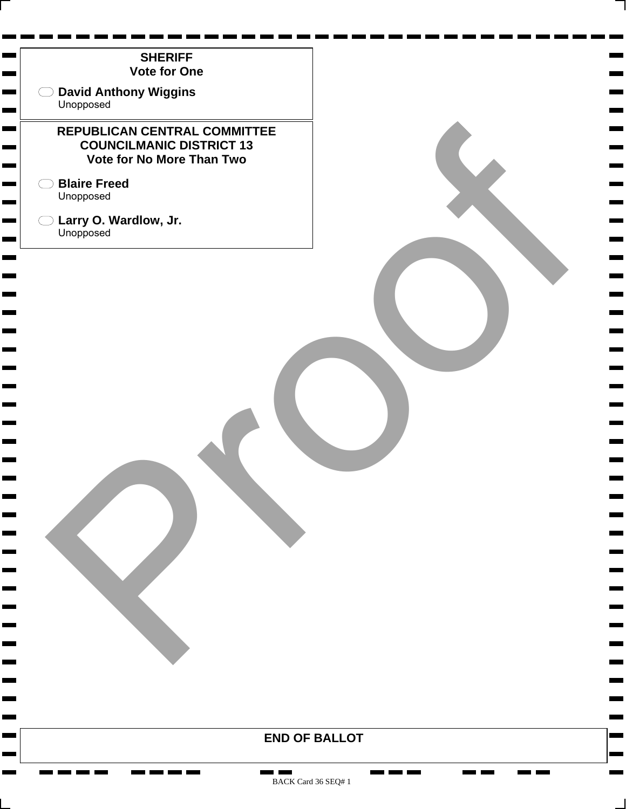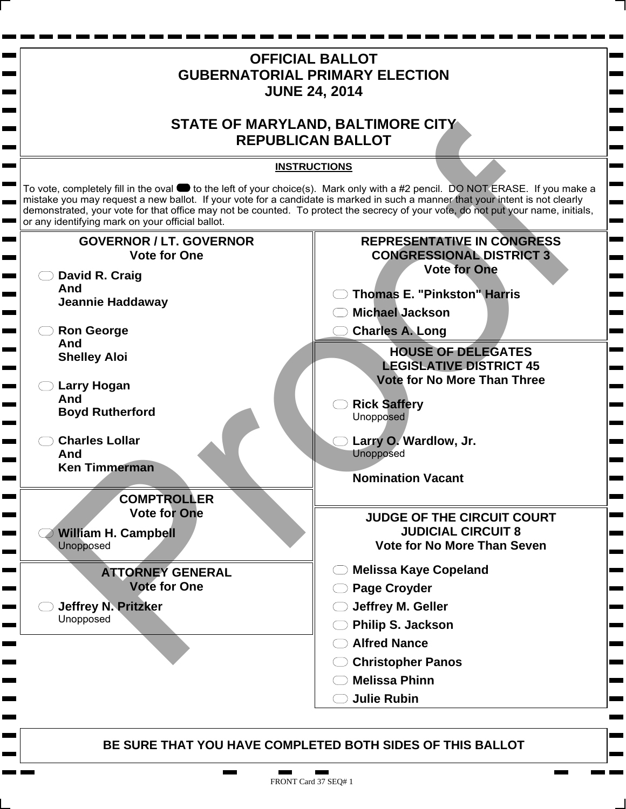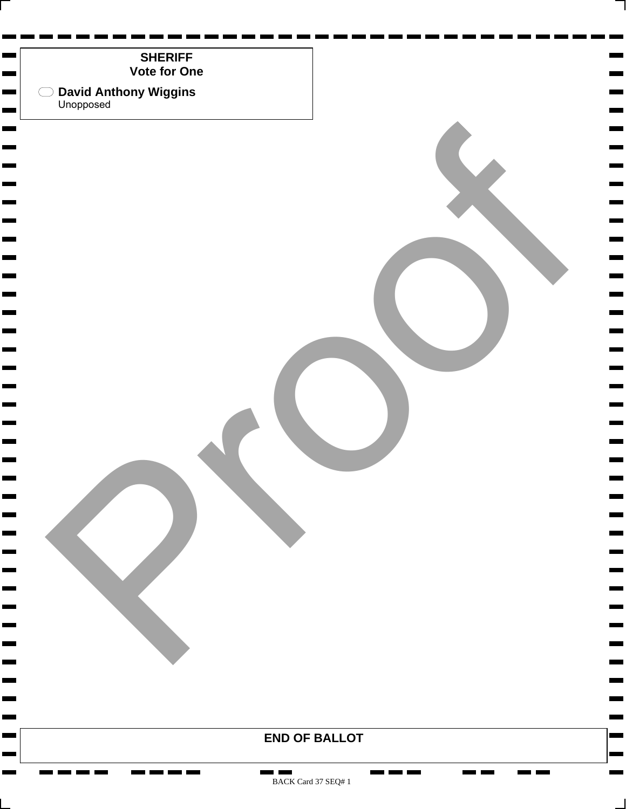

BACK Card 37 SEQ# 1

 $\mathbf{r}$ 

**The Second**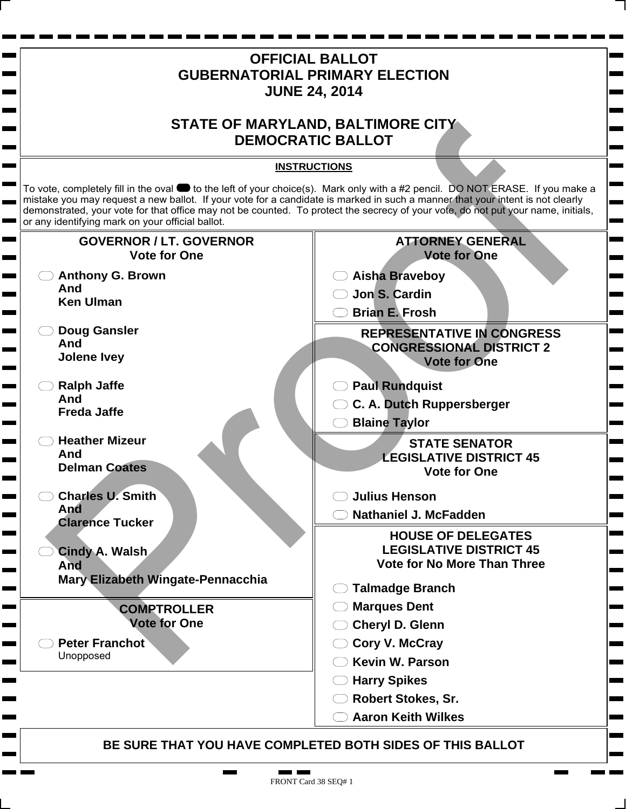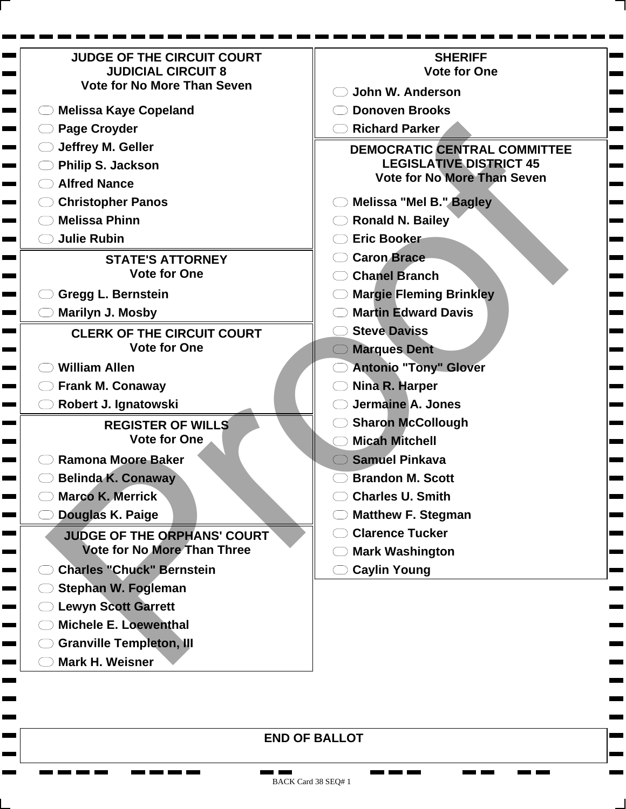| <b>JUDGE OF THE CIRCUIT COURT</b><br><b>JUDICIAL CIRCUIT 8</b> | <b>SHERIFF</b><br><b>Vote for One</b> |
|----------------------------------------------------------------|---------------------------------------|
| <b>Vote for No More Than Seven</b>                             | John W. Anderson                      |
| <b>Melissa Kaye Copeland</b>                                   | <b>Donoven Brooks</b>                 |
| <b>Page Croyder</b>                                            | <b>Richard Parker</b>                 |
| Jeffrey M. Geller                                              | DEMOCRATIC CENTRAL COMMITTEE          |
| Philip S. Jackson                                              | <b>LEGISLATIVE DISTRICT 45</b>        |
| <b>Alfred Nance</b>                                            | <b>Vote for No More Than Seven</b>    |
| <b>Christopher Panos</b>                                       | <b>Melissa "Mel B." Bagley</b>        |
| <b>Melissa Phinn</b>                                           | <b>Ronald N. Bailey</b>               |
| <b>Julie Rubin</b>                                             | <b>Eric Booker</b>                    |
| <b>STATE'S ATTORNEY</b>                                        | <b>Caron Brace</b>                    |
| <b>Vote for One</b>                                            | <b>Chanel Branch</b>                  |
| <b>Gregg L. Bernstein</b>                                      | <b>Margie Fleming Brinkley</b>        |
| Marilyn J. Mosby                                               | <b>Martin Edward Davis</b>            |
| <b>CLERK OF THE CIRCUIT COURT</b>                              | <b>Steve Daviss</b>                   |
| <b>Vote for One</b>                                            | <b>Marques Dent</b>                   |
| <b>William Allen</b>                                           | <b>Antonio "Tony" Glover</b>          |
| <b>Frank M. Conaway</b>                                        | Nina R. Harper                        |
| Robert J. Ignatowski                                           | Jermaine A. Jones                     |
| <b>REGISTER OF WILLS</b>                                       | <b>Sharon McCollough</b>              |
| <b>Vote for One</b>                                            | <b>Micah Mitchell</b>                 |
| <b>Ramona Moore Baker</b>                                      | <b>Samuel Pinkava</b>                 |
| <b>Belinda K. Conaway</b>                                      | <b>Brandon M. Scott</b>               |
| <b>Marco K. Merrick</b>                                        | <b>Charles U. Smith</b>               |
| Douglas K. Paige                                               | <b>Matthew F. Stegman</b>             |
| <b>JUDGE OF THE ORPHANS' COURT</b>                             | <b>Clarence Tucker</b>                |
| <b>Vote for No More Than Three</b>                             | <b>Mark Washington</b>                |
| <b>Charles "Chuck" Bernstein</b>                               | <b>Caylin Young</b>                   |
| Stephan W. Fogleman                                            |                                       |
| <b>Lewyn Scott Garrett</b>                                     |                                       |
| <b>Michele E. Loewenthal</b>                                   |                                       |
| <b>Granville Templeton, Ill</b>                                |                                       |
| <b>Mark H. Weisner</b>                                         |                                       |

**COLOR** 

 $\Box$ 

 $\blacksquare$ 

 $\mathbf{r}$ 

 $\blacksquare$ 

٠

 $\blacksquare$ 

**Contract** 

 $\mathbf{r}$ 

 $\blacksquare$ 

п

<u>ran karajaran mengangkan pada anak atau salah sahi</u>

**END OF BALLOT**

**The Common** 

 $\mathbf{r}$  and  $\mathbf{r}$  and  $\mathbf{r}$ 

**CONTRACTOR** 

<u>ran ma</u>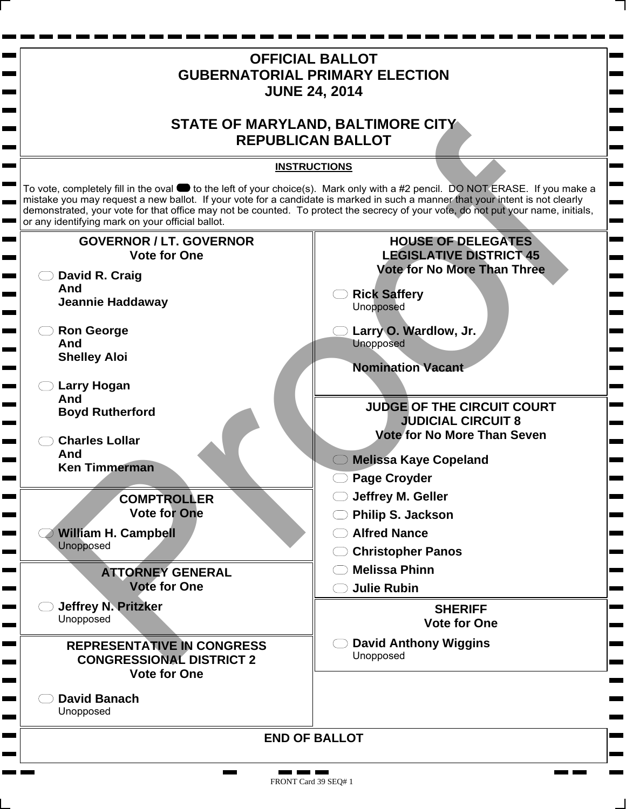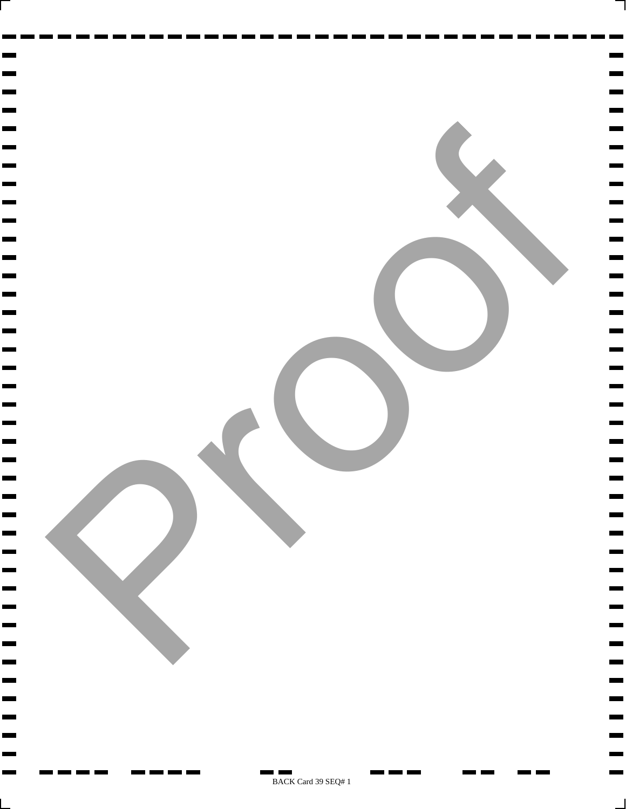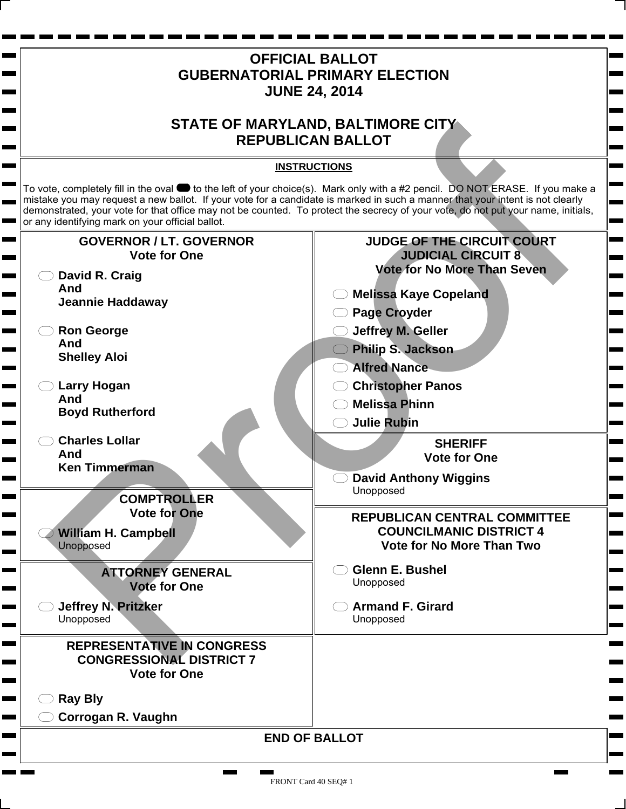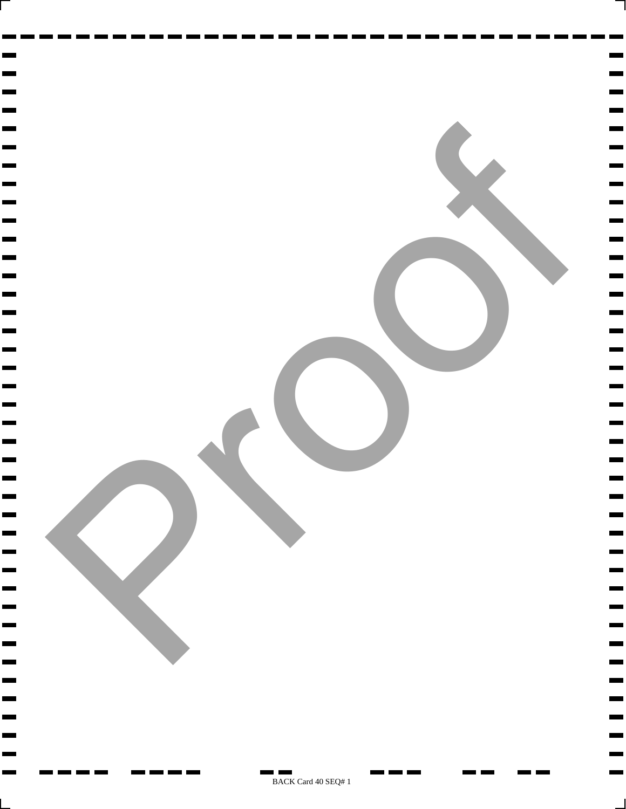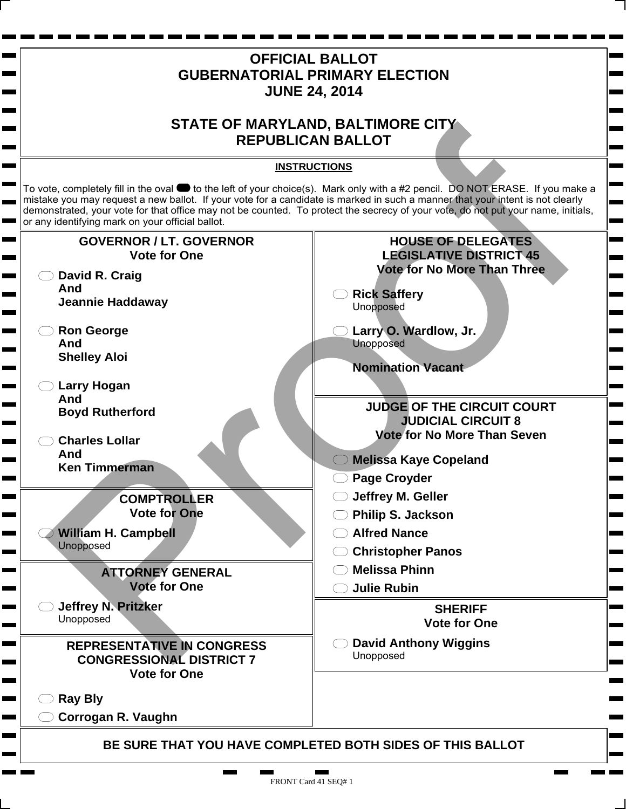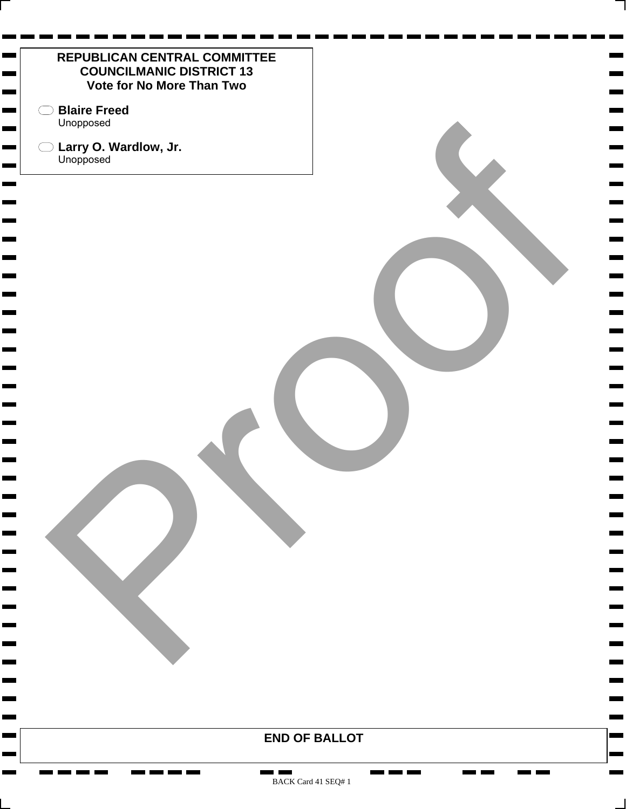| REPUBLICAN CENTRAL COMMITTEE                                 |                      |
|--------------------------------------------------------------|----------------------|
| <b>COUNCILMANIC DISTRICT 13</b><br>Vote for No More Than Two |                      |
| <b>Blaire Freed</b><br>$($ )<br>Unopposed                    |                      |
| Larry O. Wardlow, Jr.<br>Unopposed<br>$\bigcirc$             |                      |
|                                                              |                      |
|                                                              |                      |
|                                                              |                      |
| in a                                                         |                      |
|                                                              |                      |
|                                                              |                      |
|                                                              |                      |
|                                                              |                      |
|                                                              |                      |
|                                                              |                      |
|                                                              |                      |
|                                                              |                      |
|                                                              |                      |
|                                                              |                      |
|                                                              | <b>END OF BALLOT</b> |
|                                                              |                      |

BACK Card 41 SEQ# 1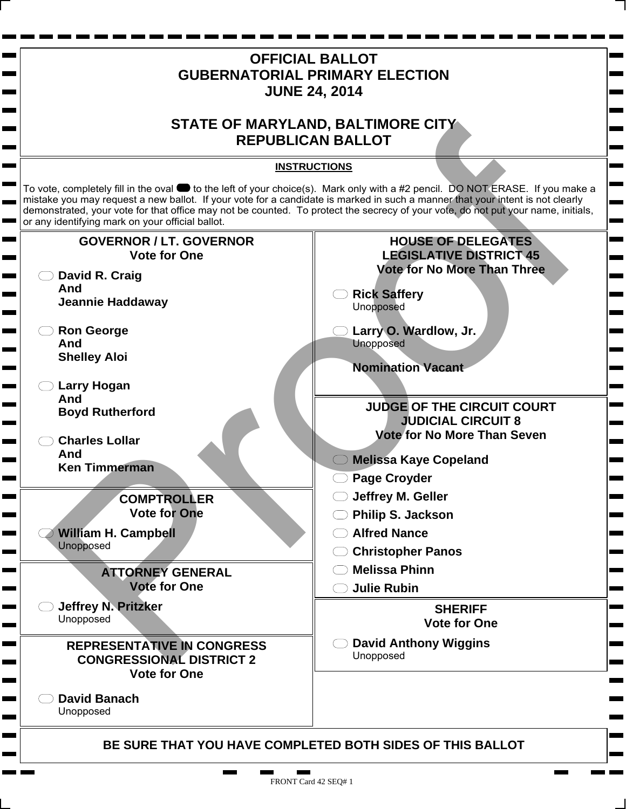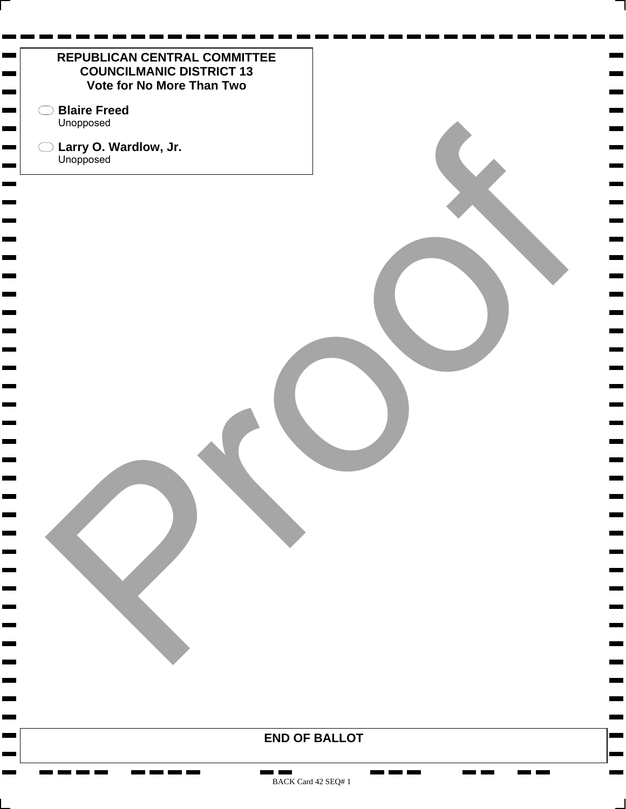| REPUBLICAN CENTRAL COMMITTEE<br><b>COUNCILMANIC DISTRICT 13</b> |                      |
|-----------------------------------------------------------------|----------------------|
| Vote for No More Than Two                                       |                      |
| <b>Blaire Freed</b><br>$($ )<br>Unopposed                       |                      |
| Larry O. Wardlow, Jr.<br>Unopposed<br>$\bigcirc$                |                      |
| т                                                               |                      |
|                                                                 | <b>END OF BALLOT</b> |
|                                                                 |                      |
|                                                                 |                      |

BACK Card 42 SEQ# 1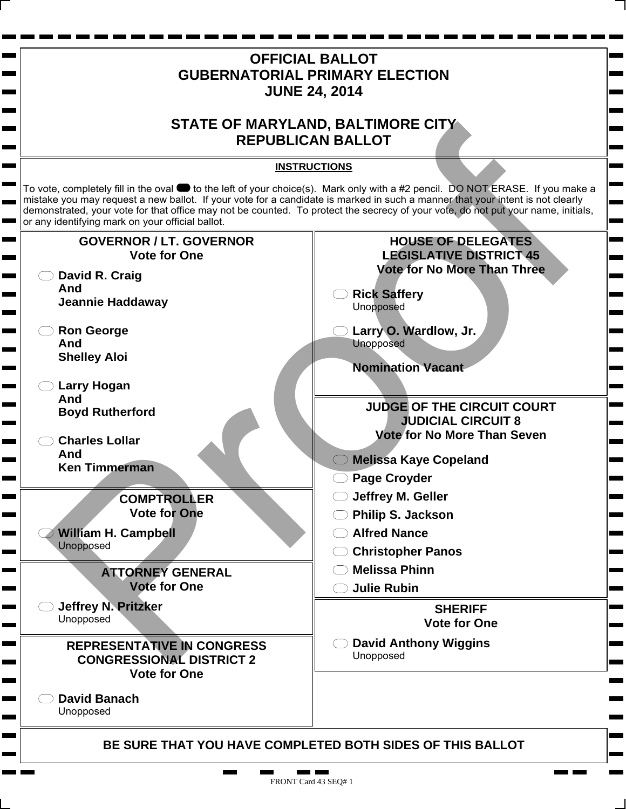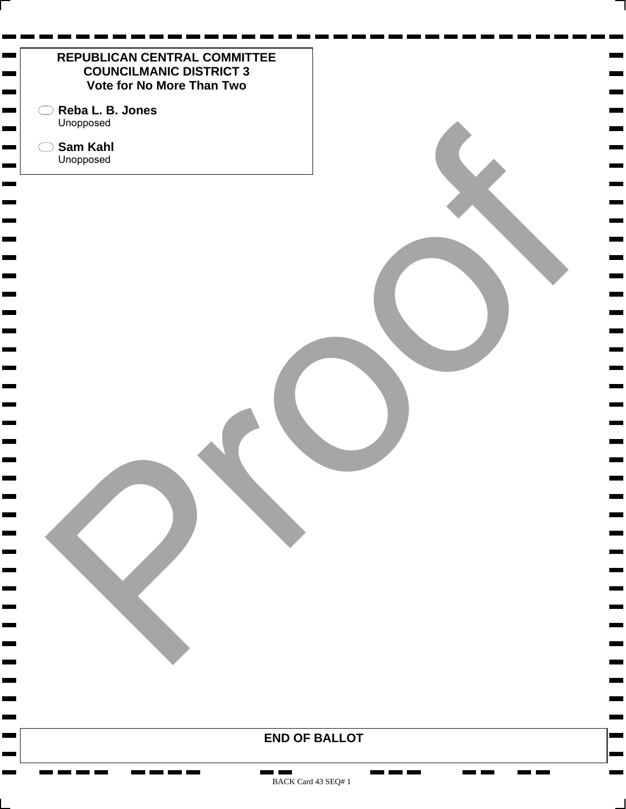| REPUBLICAN CENTRAL COMMITTEE<br><b>COUNCILMANIC DISTRICT 3</b><br><b>College</b><br>Vote for No More Than Two<br><b>START</b> |                      |
|-------------------------------------------------------------------------------------------------------------------------------|----------------------|
| Reba L. B. Jones<br>$\bigcirc$<br><b>Contract</b><br>Unopposed                                                                |                      |
| Sam Kahl<br>$\bigcirc$<br>$\blacksquare$<br>Unopposed                                                                         |                      |
|                                                                                                                               |                      |
| البري                                                                                                                         |                      |
| البرين                                                                                                                        |                      |
|                                                                                                                               |                      |
| a a shekara                                                                                                                   |                      |
|                                                                                                                               |                      |
|                                                                                                                               |                      |
|                                                                                                                               |                      |
|                                                                                                                               |                      |
|                                                                                                                               |                      |
|                                                                                                                               |                      |
|                                                                                                                               |                      |
|                                                                                                                               |                      |
|                                                                                                                               |                      |
|                                                                                                                               | <b>END OF BALLOT</b> |
|                                                                                                                               |                      |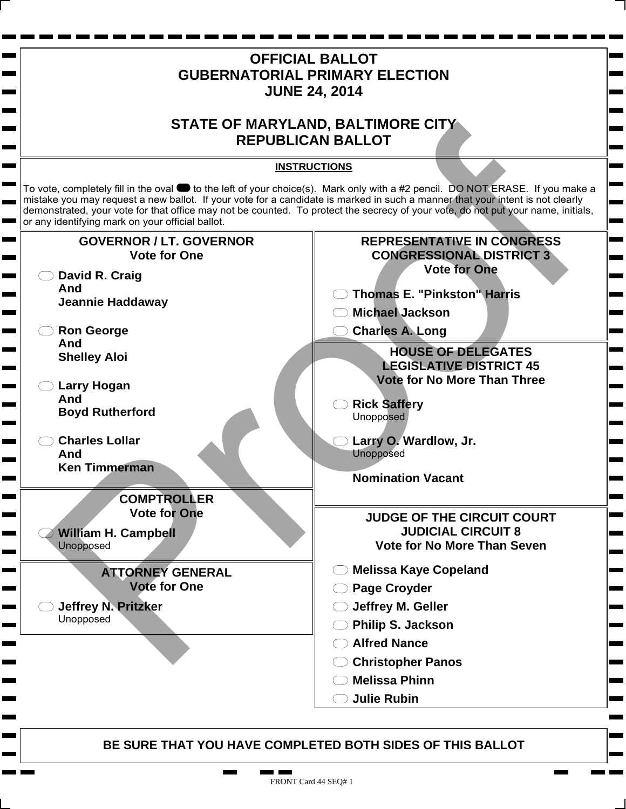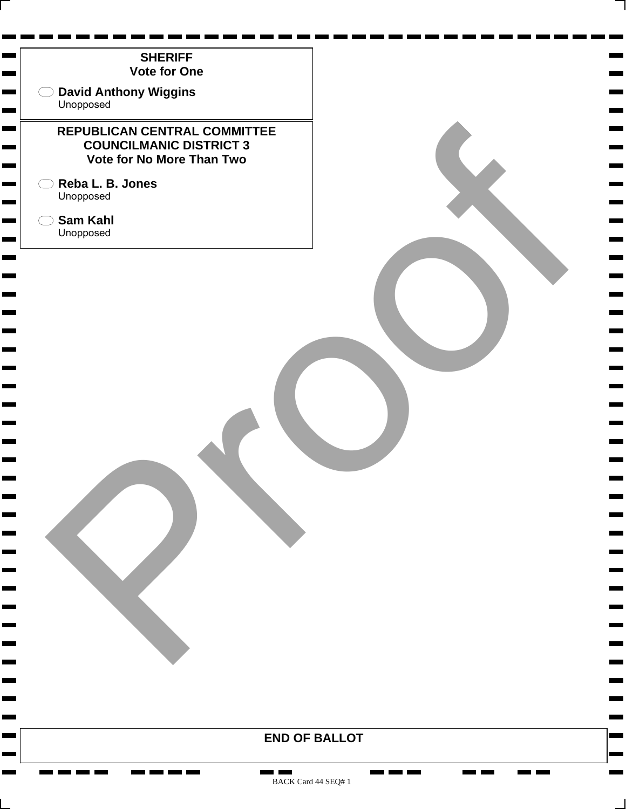

BACK Card 44 SEQ# 1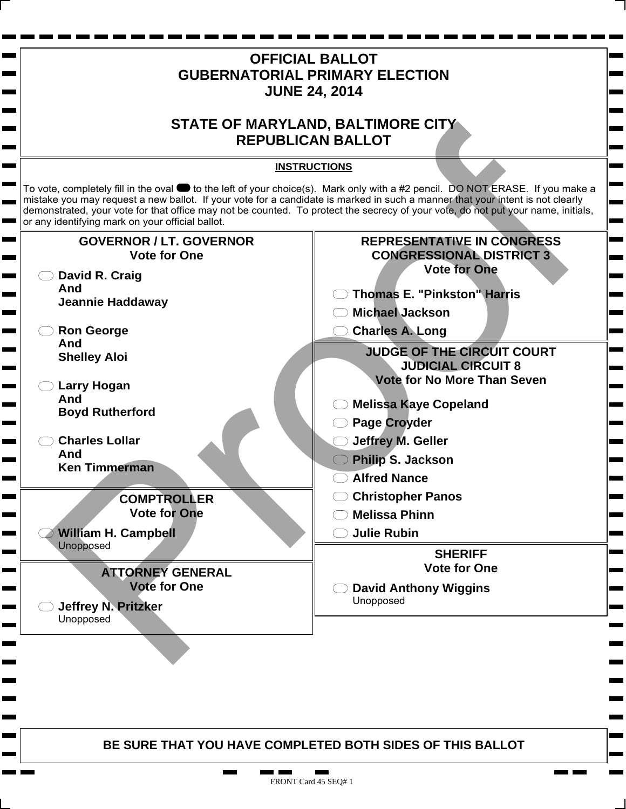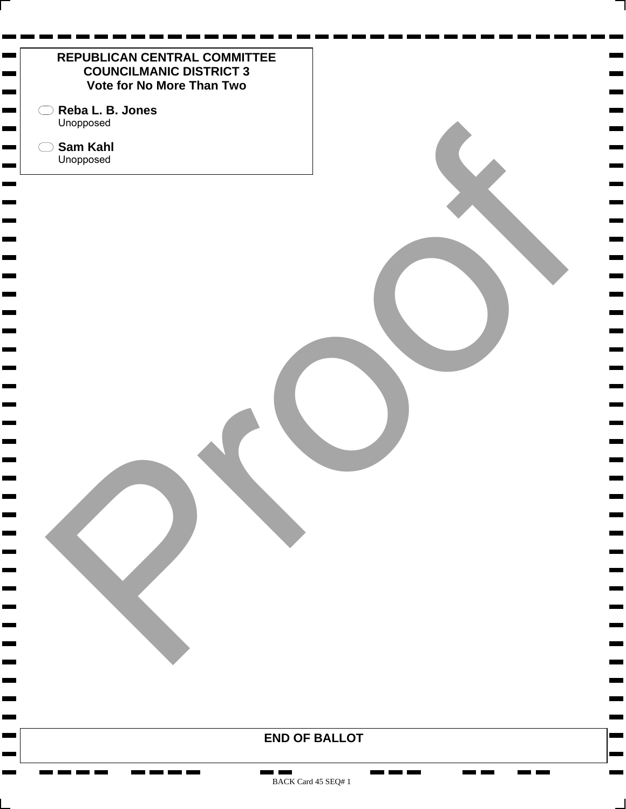| REPUBLICAN CENTRAL COMMITTEE<br><b>COUNCILMANIC DISTRICT 3</b><br>Vote for No More Than Two<br>Reba L. B. Jones<br>$\bigcirc$<br>Unopposed<br>Sam Kahl<br>Unopposed<br><b>END OF BALLOT</b> |  |  |
|---------------------------------------------------------------------------------------------------------------------------------------------------------------------------------------------|--|--|
|                                                                                                                                                                                             |  |  |
|                                                                                                                                                                                             |  |  |
|                                                                                                                                                                                             |  |  |
|                                                                                                                                                                                             |  |  |
|                                                                                                                                                                                             |  |  |
|                                                                                                                                                                                             |  |  |
|                                                                                                                                                                                             |  |  |
|                                                                                                                                                                                             |  |  |
|                                                                                                                                                                                             |  |  |
|                                                                                                                                                                                             |  |  |
|                                                                                                                                                                                             |  |  |
|                                                                                                                                                                                             |  |  |
|                                                                                                                                                                                             |  |  |
|                                                                                                                                                                                             |  |  |
|                                                                                                                                                                                             |  |  |
|                                                                                                                                                                                             |  |  |
|                                                                                                                                                                                             |  |  |
|                                                                                                                                                                                             |  |  |
|                                                                                                                                                                                             |  |  |
|                                                                                                                                                                                             |  |  |
|                                                                                                                                                                                             |  |  |
|                                                                                                                                                                                             |  |  |
|                                                                                                                                                                                             |  |  |
|                                                                                                                                                                                             |  |  |
|                                                                                                                                                                                             |  |  |
|                                                                                                                                                                                             |  |  |
|                                                                                                                                                                                             |  |  |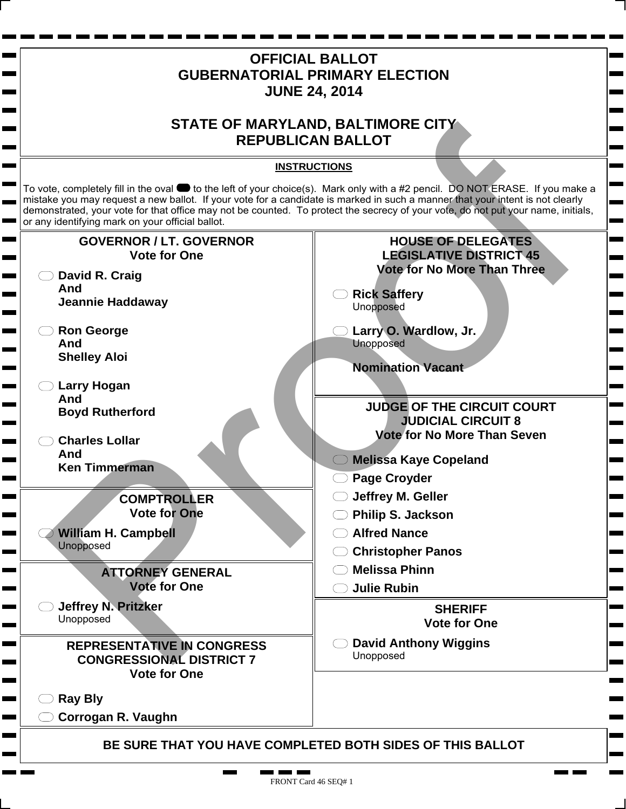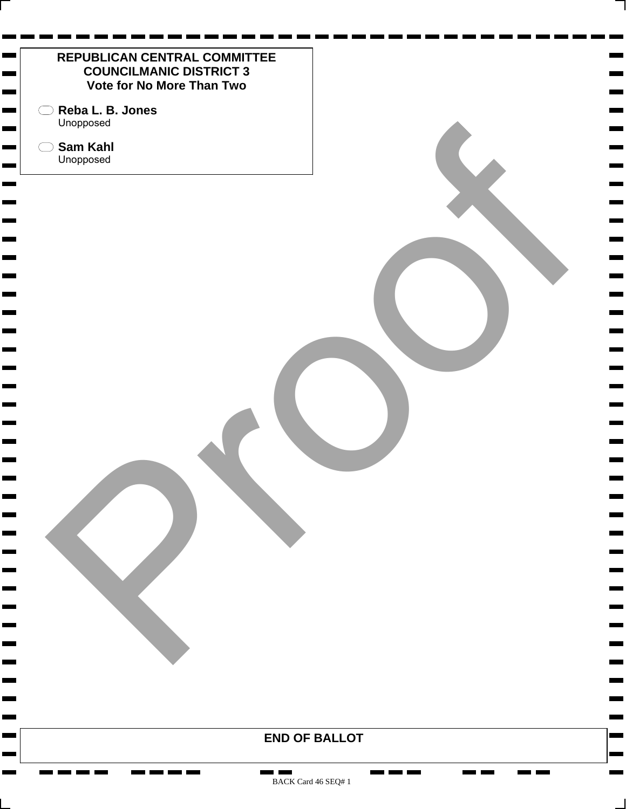| REPUBLICAN CENTRAL COMMITTEE<br><b>COUNCILMANIC DISTRICT 3</b><br><b>College</b><br>Vote for No More Than Two<br><b>START</b> |                      |
|-------------------------------------------------------------------------------------------------------------------------------|----------------------|
| Reba L. B. Jones<br>$\bigcirc$<br>$\blacksquare$<br>Unopposed                                                                 |                      |
| Sam Kahl<br>$\bigcirc$<br>$\blacksquare$<br>Unopposed                                                                         |                      |
|                                                                                                                               |                      |
| حس<br>نسي                                                                                                                     |                      |
| دی ا                                                                                                                          |                      |
| r a s                                                                                                                         |                      |
|                                                                                                                               |                      |
|                                                                                                                               |                      |
|                                                                                                                               |                      |
|                                                                                                                               |                      |
|                                                                                                                               |                      |
|                                                                                                                               |                      |
|                                                                                                                               |                      |
|                                                                                                                               |                      |
|                                                                                                                               |                      |
|                                                                                                                               | <b>END OF BALLOT</b> |
|                                                                                                                               |                      |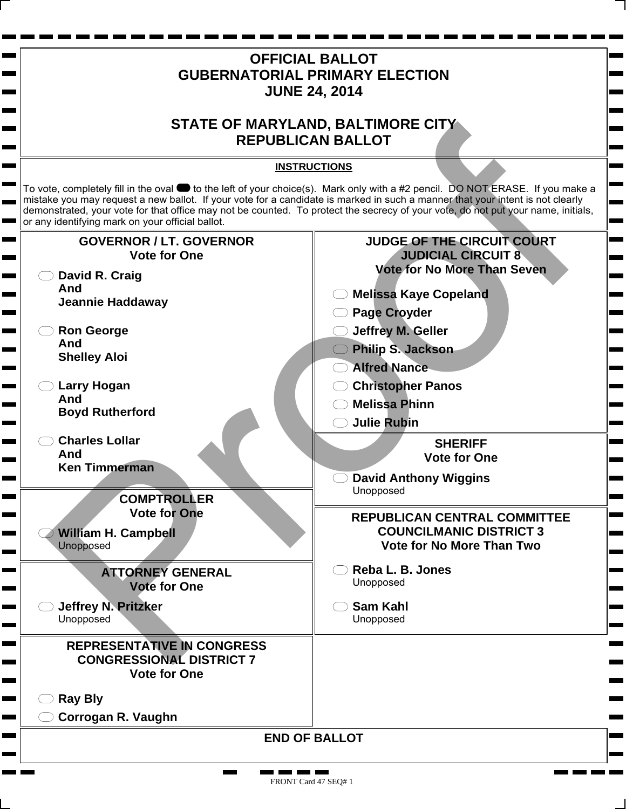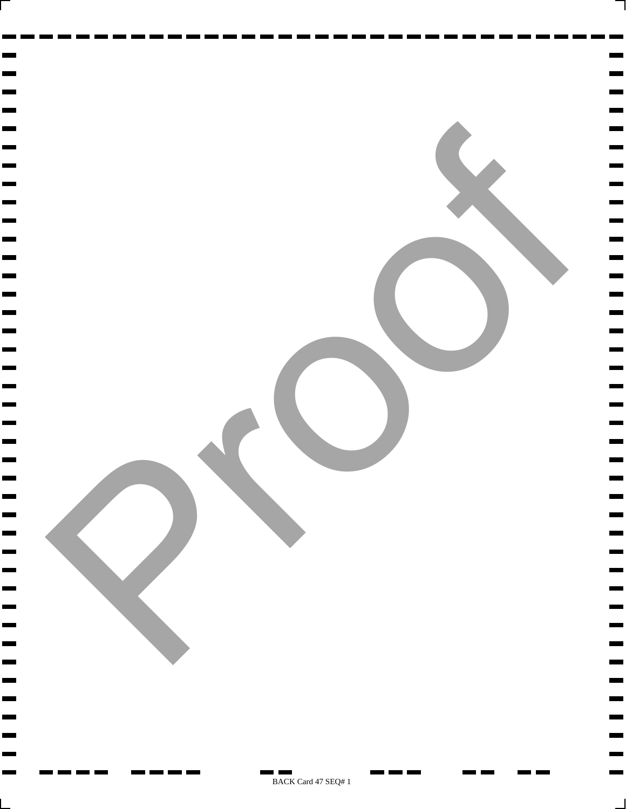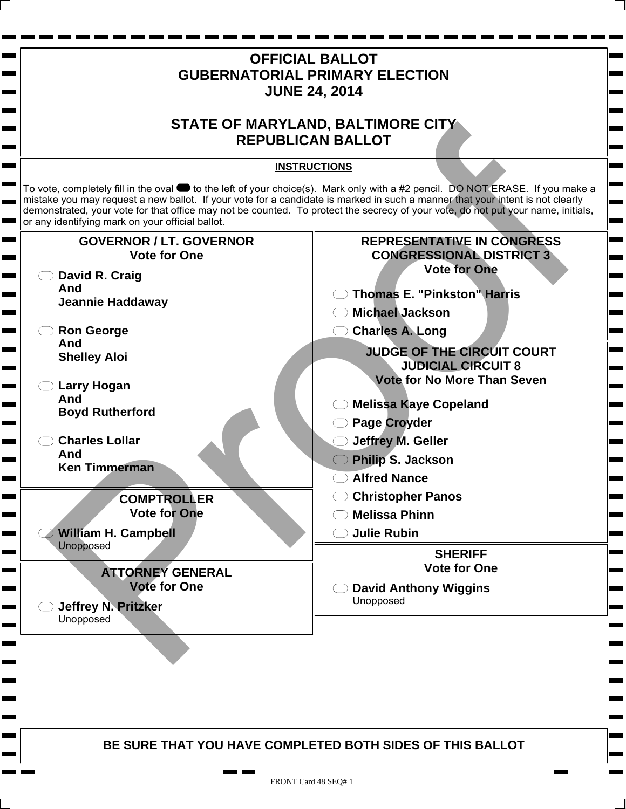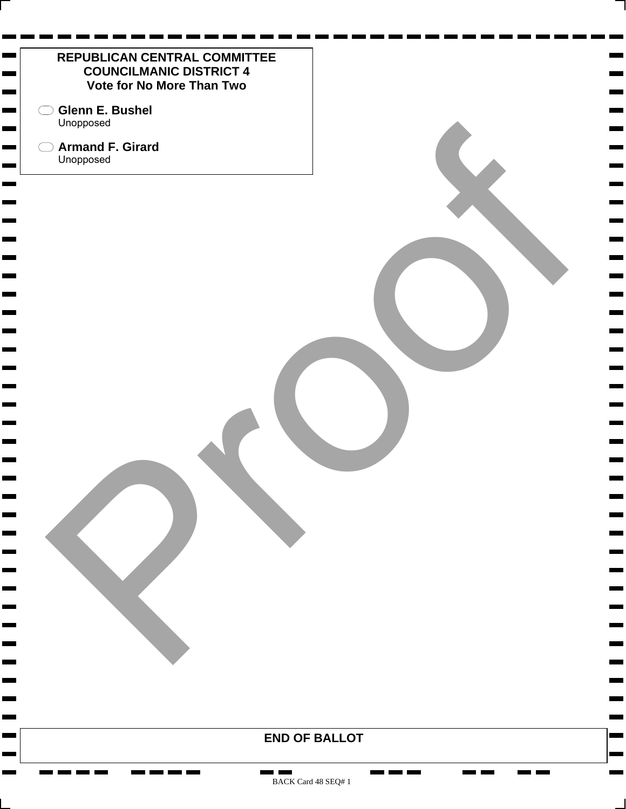| REPUBLICAN CENTRAL COMMITTEE<br><b>COUNCILMANIC DISTRICT 4</b><br>نسيس<br>Vote for No More Than Two<br>$\overline{\phantom{0}}$ |                      |
|---------------------------------------------------------------------------------------------------------------------------------|----------------------|
| <b>Glenn E. Bushel</b><br>$\bigcirc$<br><b>Contract</b><br>Unopposed<br><b>START</b>                                            |                      |
| <b>Armand F. Girard</b><br>$\bigcirc$<br>$\overline{\phantom{a}}$<br>Unopposed                                                  |                      |
|                                                                                                                                 |                      |
| <u>tan</u>                                                                                                                      |                      |
| <u>tan</u>                                                                                                                      |                      |
| <u>tan</u>                                                                                                                      |                      |
| <u>tan</u>                                                                                                                      |                      |
| <u>tan</u>                                                                                                                      |                      |
|                                                                                                                                 |                      |
|                                                                                                                                 |                      |
|                                                                                                                                 |                      |
|                                                                                                                                 |                      |
|                                                                                                                                 |                      |
|                                                                                                                                 |                      |
|                                                                                                                                 |                      |
|                                                                                                                                 |                      |
|                                                                                                                                 |                      |
|                                                                                                                                 |                      |
|                                                                                                                                 | <b>END OF BALLOT</b> |
|                                                                                                                                 |                      |

BACK Card 48 SEQ# 1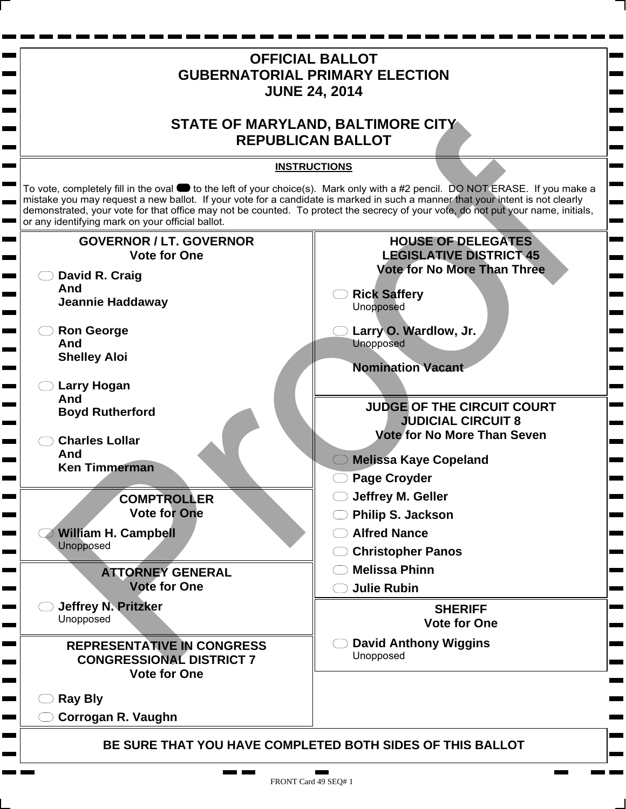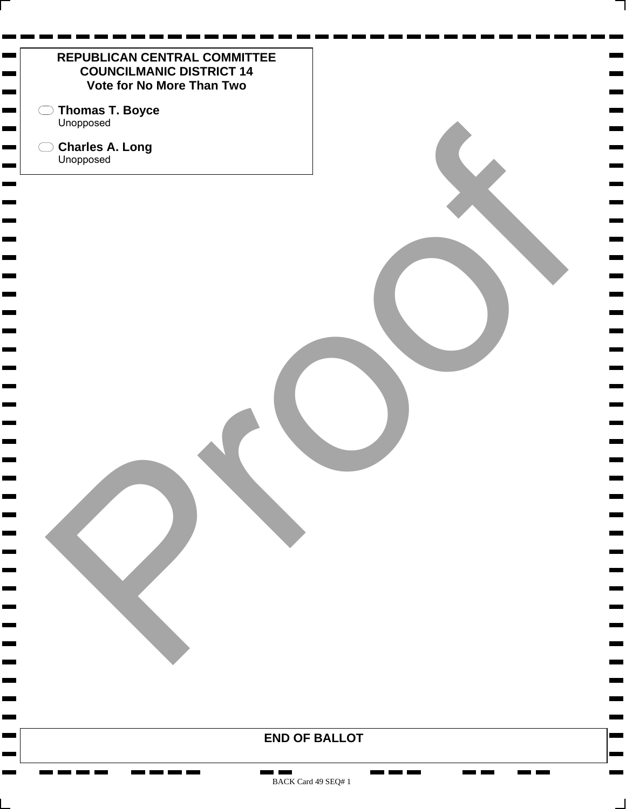| REPUBLICAN CENTRAL COMMITTEE<br><b>COUNCILMANIC DISTRICT 14</b><br>Vote for No More Than Two<br><b>Thomas T. Boyce</b><br><b>Charles A. Long</b><br><b>END OF BALLOT</b><br>$\blacksquare$ . The set of $\blacksquare$<br>BACK Card 49 SEQ# 1 |
|-----------------------------------------------------------------------------------------------------------------------------------------------------------------------------------------------------------------------------------------------|
|-----------------------------------------------------------------------------------------------------------------------------------------------------------------------------------------------------------------------------------------------|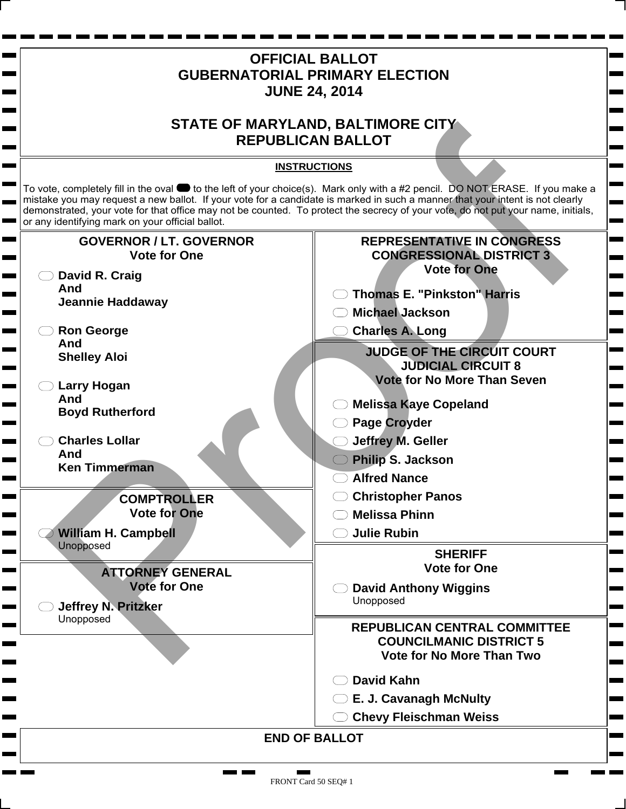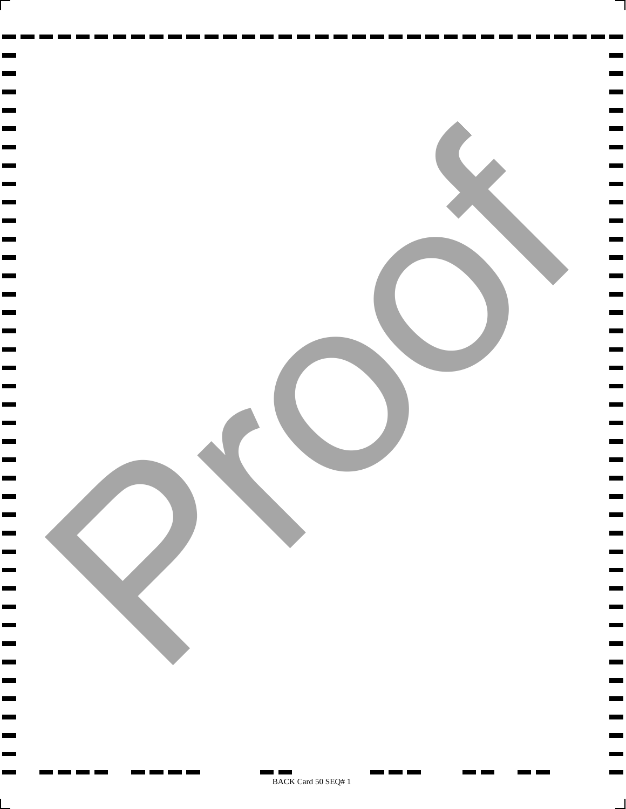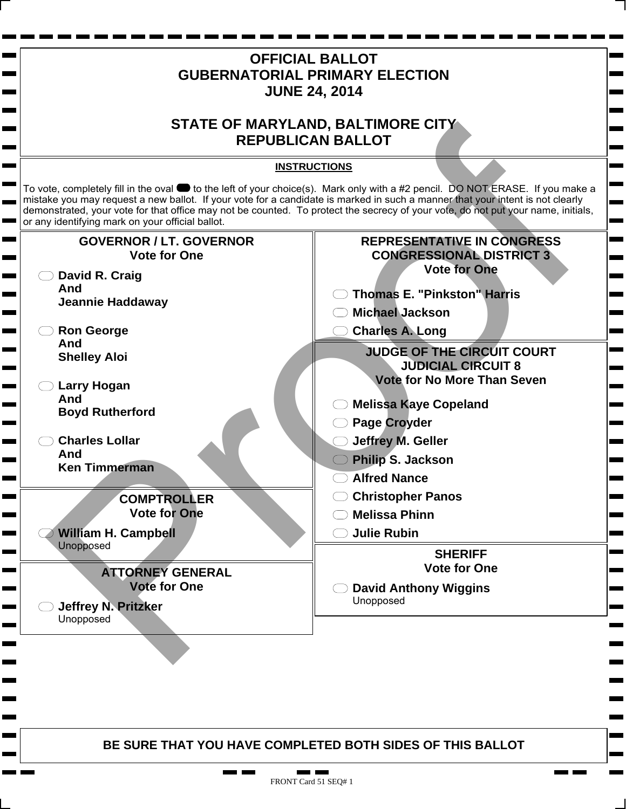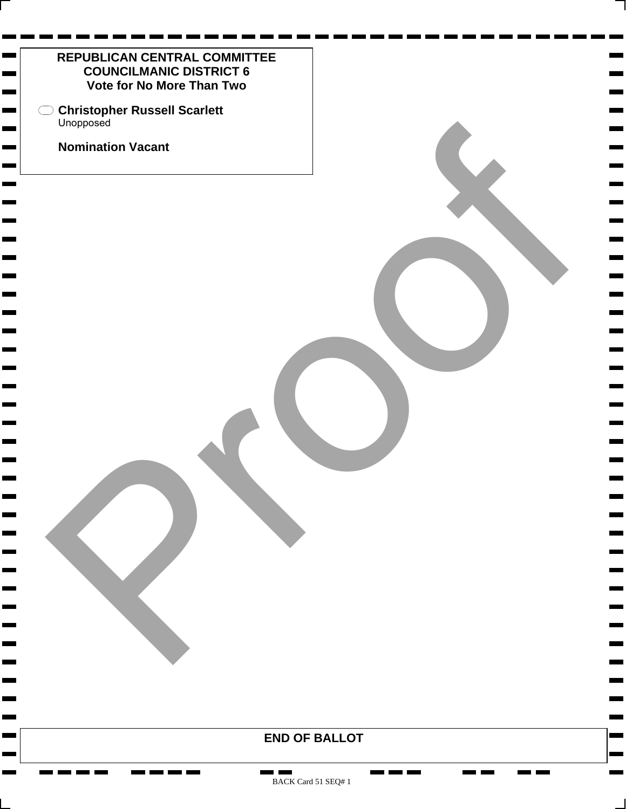г

## **REPUBLICAN CENTRAL COMMITTEE COUNCILMANIC DISTRICT 6 Vote for No More Than Two**

**Christopher Russell Scarlett** Unopposed Nomination Vacant

**Nomination Vacant**

**END OF BALLOT**

 $\blacksquare$ 

man a

 $\mathbf{r}$ 

BACK Card 51 SEQ# 1

<u>the first term</u>

**CONTRACTOR**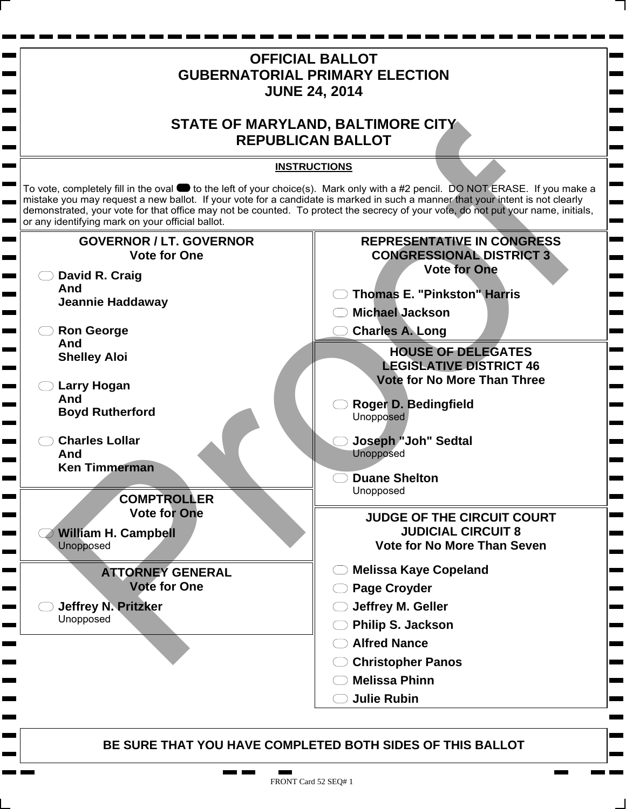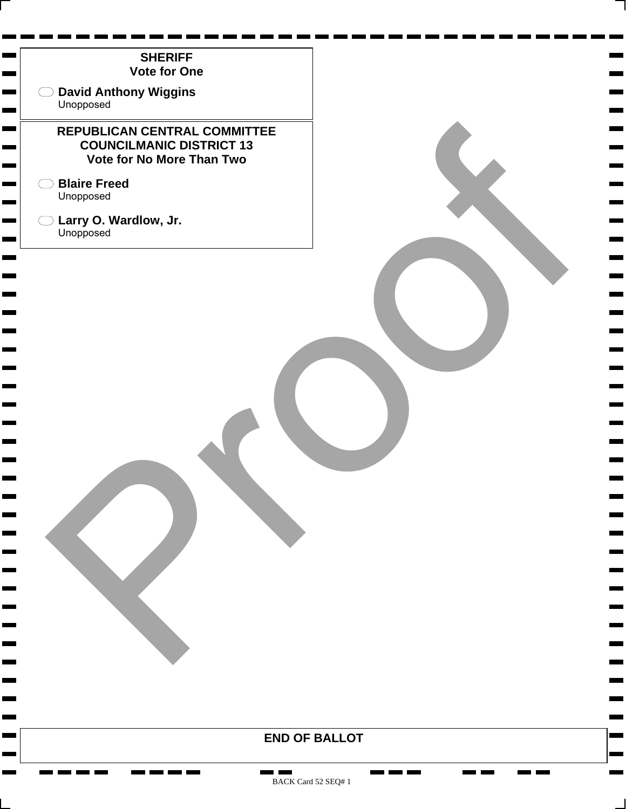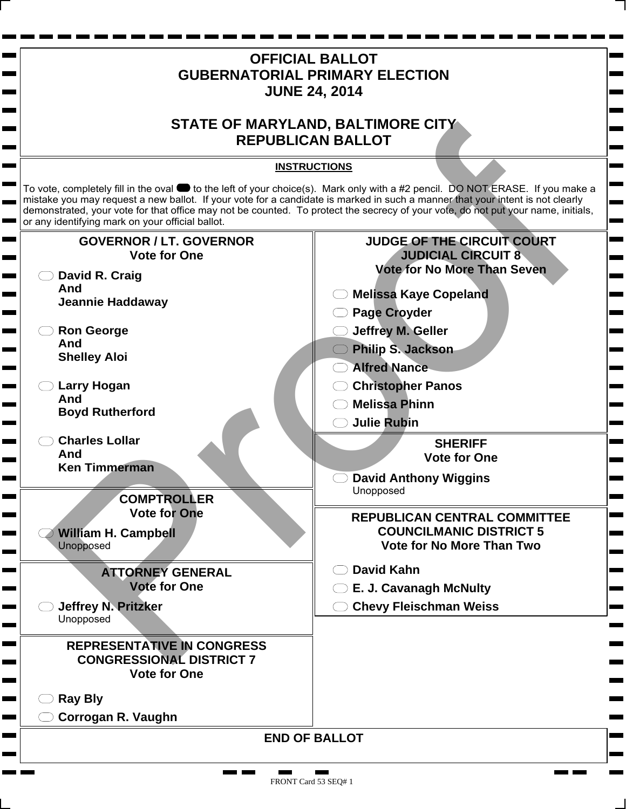